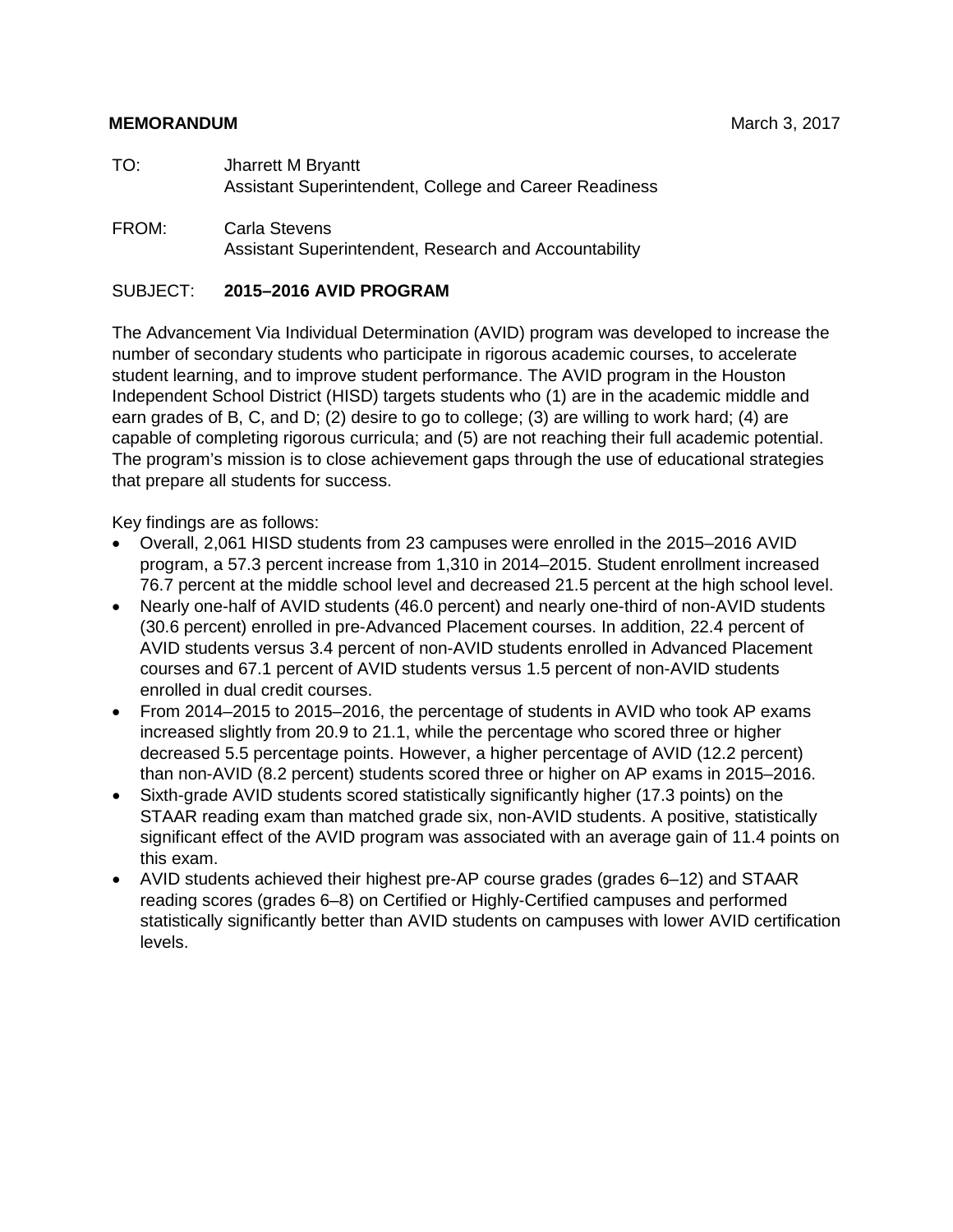#### **MEMORANDUM** March 3, 2017

FROM: Carla Stevens Assistant Superintendent, Research and Accountability

## SUBJECT: **2015–2016 AVID PROGRAM**

The Advancement Via Individual Determination (AVID) program was developed to increase the number of secondary students who participate in rigorous academic courses, to accelerate student learning, and to improve student performance. The AVID program in the Houston Independent School District (HISD) targets students who (1) are in the academic middle and earn grades of B, C, and D; (2) desire to go to college; (3) are willing to work hard; (4) are capable of completing rigorous curricula; and (5) are not reaching their full academic potential. The program's mission is to close achievement gaps through the use of educational strategies that prepare all students for success.

Key findings are as follows:

- Overall, 2,061 HISD students from 23 campuses were enrolled in the 2015–2016 AVID program, a 57.3 percent increase from 1,310 in 2014–2015. Student enrollment increased 76.7 percent at the middle school level and decreased 21.5 percent at the high school level.
- Nearly one-half of AVID students (46.0 percent) and nearly one-third of non-AVID students (30.6 percent) enrolled in pre-Advanced Placement courses. In addition, 22.4 percent of AVID students versus 3.4 percent of non-AVID students enrolled in Advanced Placement courses and 67.1 percent of AVID students versus 1.5 percent of non-AVID students enrolled in dual credit courses.
- From 2014–2015 to 2015–2016, the percentage of students in AVID who took AP exams increased slightly from 20.9 to 21.1, while the percentage who scored three or higher decreased 5.5 percentage points. However, a higher percentage of AVID (12.2 percent) than non-AVID (8.2 percent) students scored three or higher on AP exams in 2015–2016.
- Sixth-grade AVID students scored statistically significantly higher (17.3 points) on the STAAR reading exam than matched grade six, non-AVID students. A positive, statistically significant effect of the AVID program was associated with an average gain of 11.4 points on this exam.
- AVID students achieved their highest pre-AP course grades (grades 6–12) and STAAR reading scores (grades 6–8) on Certified or Highly-Certified campuses and performed statistically significantly better than AVID students on campuses with lower AVID certification levels.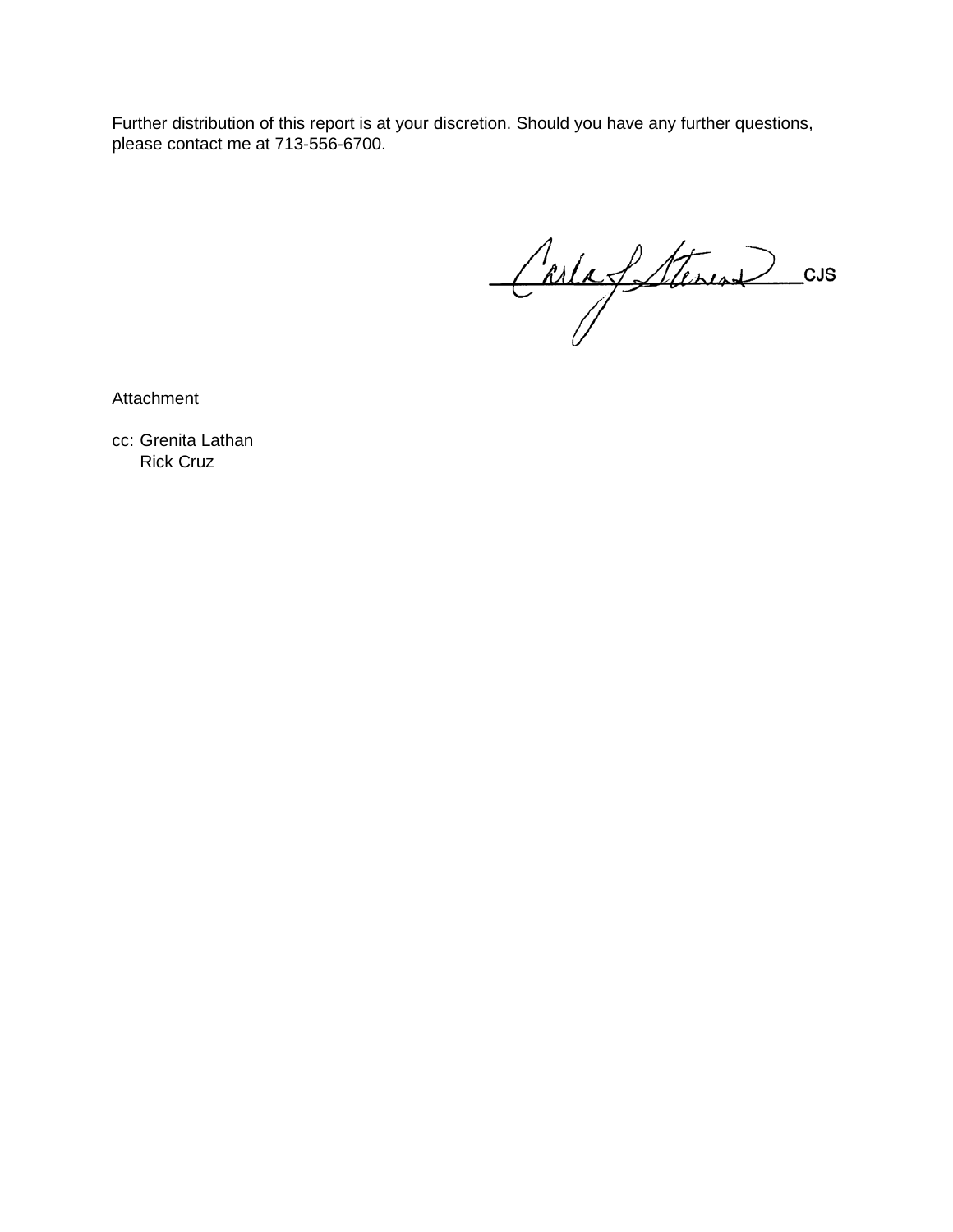Further distribution of this report is at your discretion. Should you have any further questions, please contact me at 713-556-6700.

Carla fattures cus

**Attachment** 

cc: Grenita Lathan Rick Cruz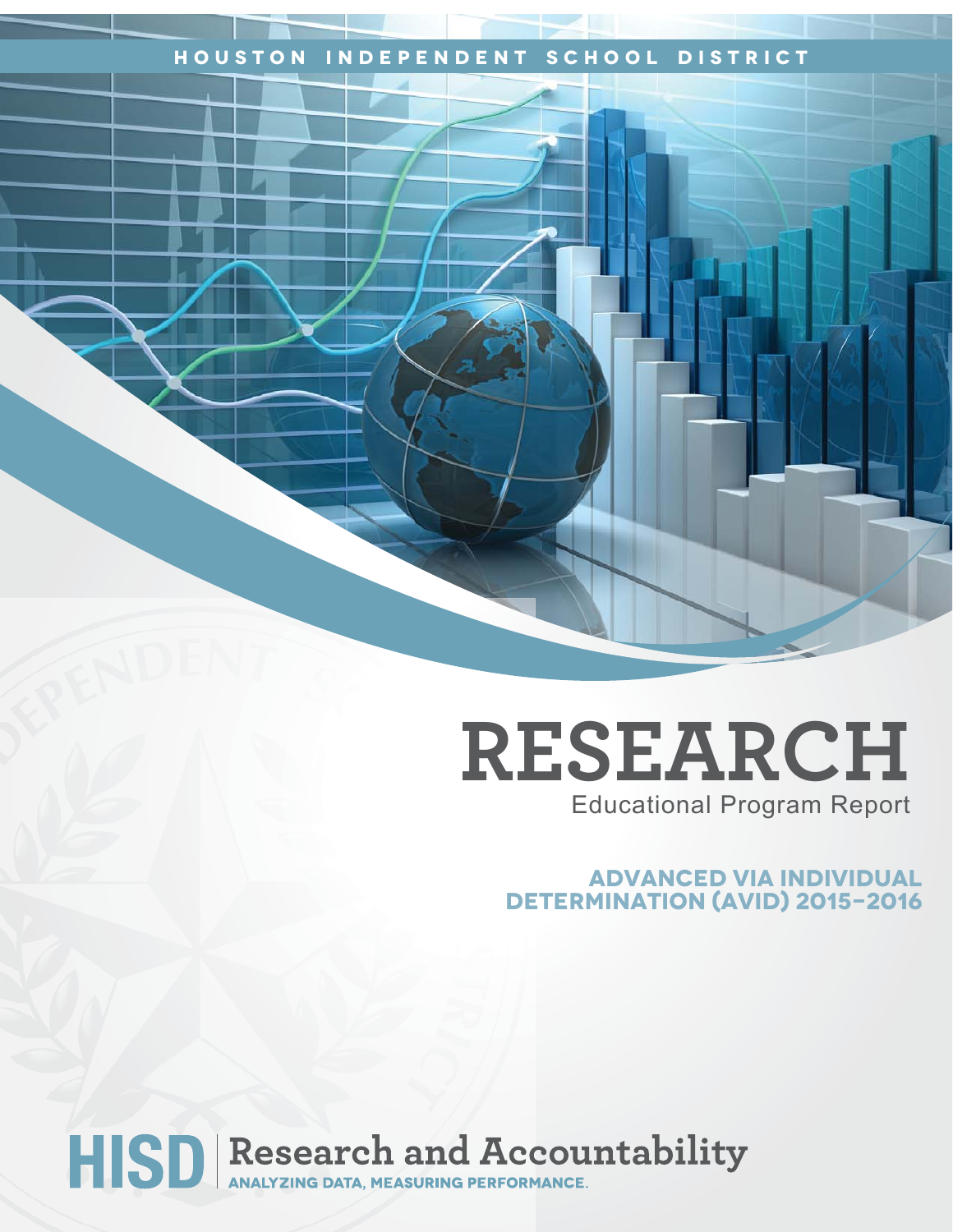# **Houston Independent School District**

# **RESEARCH** Educational Program Report

## **advanced via individual determination (avid) 2015-2016**

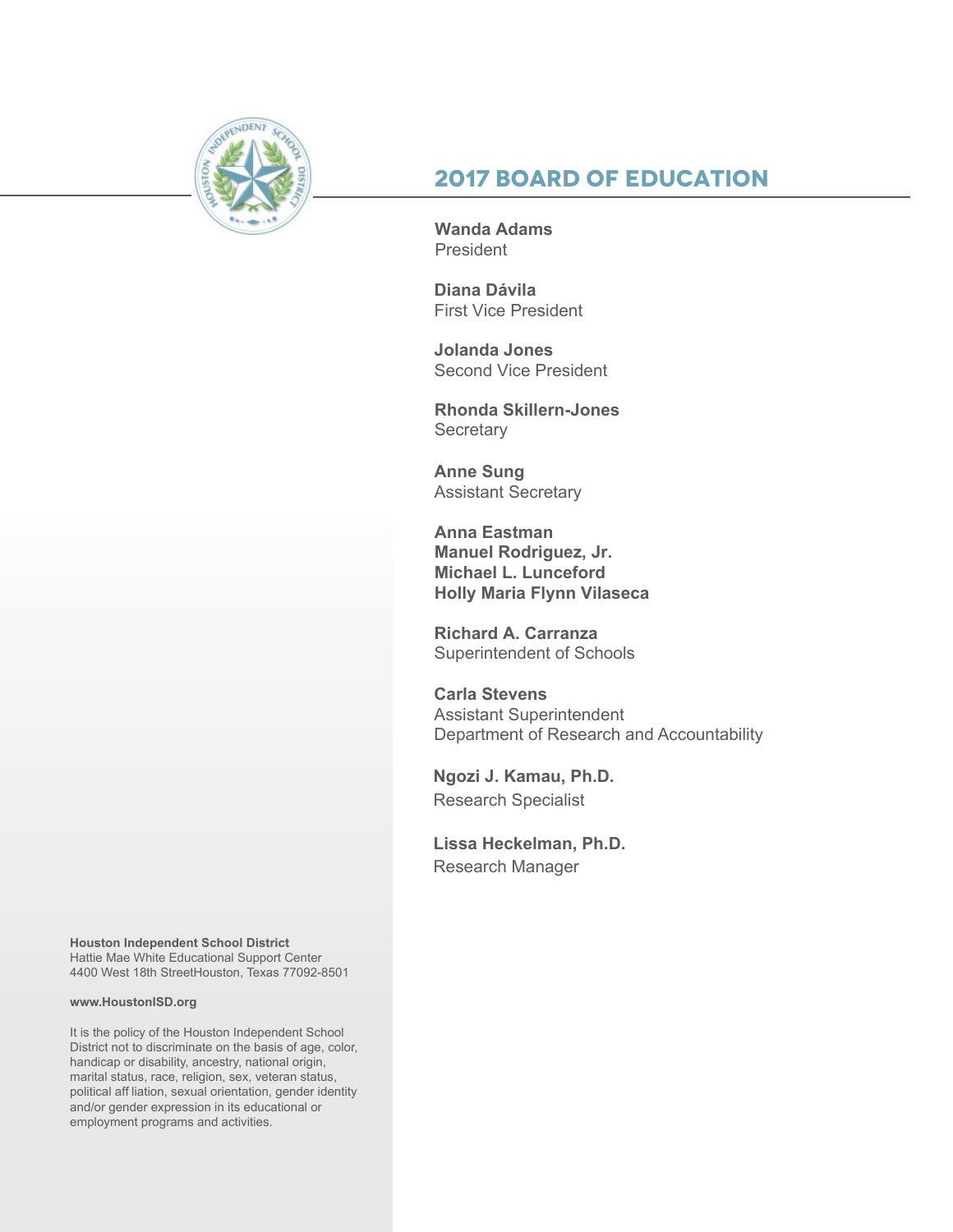

# **2017 Board of Education**

**Wanda Adams**  President

**Diana Dávila**  First Vice President

**Jolanda Jones**  Second Vice President

**Rhonda Skillern-Jones Secretary** 

**Anne Sung** Assistant Secretary

**Anna Eastman Manuel Rodriguez, Jr. Michael L. Lunceford Holly Maria Flynn Vilaseca**

**Richard A. Carranza** Superintendent of Schools

**Carla Stevens** Assistant Superintendent Department of Research and Accountability

**Ngozi J. Kamau, Ph.D.** Research Specialist

**Lissa Heckelman, Ph.D.** Research Manager

**Houston Independent School District** Hattie Mae White Educational Support Center 4400 West 18th StreetHouston, Texas 77092-8501

#### **www.HoustonISD.org**

It is the policy of the Houston Independent School District not to discriminate on the basis of age, color, handicap or disability, ancestry, national origin, marital status, race, religion, sex, veteran status, political aff liation, sexual orientation, gender identity and/or gender expression in its educational or employment programs and activities.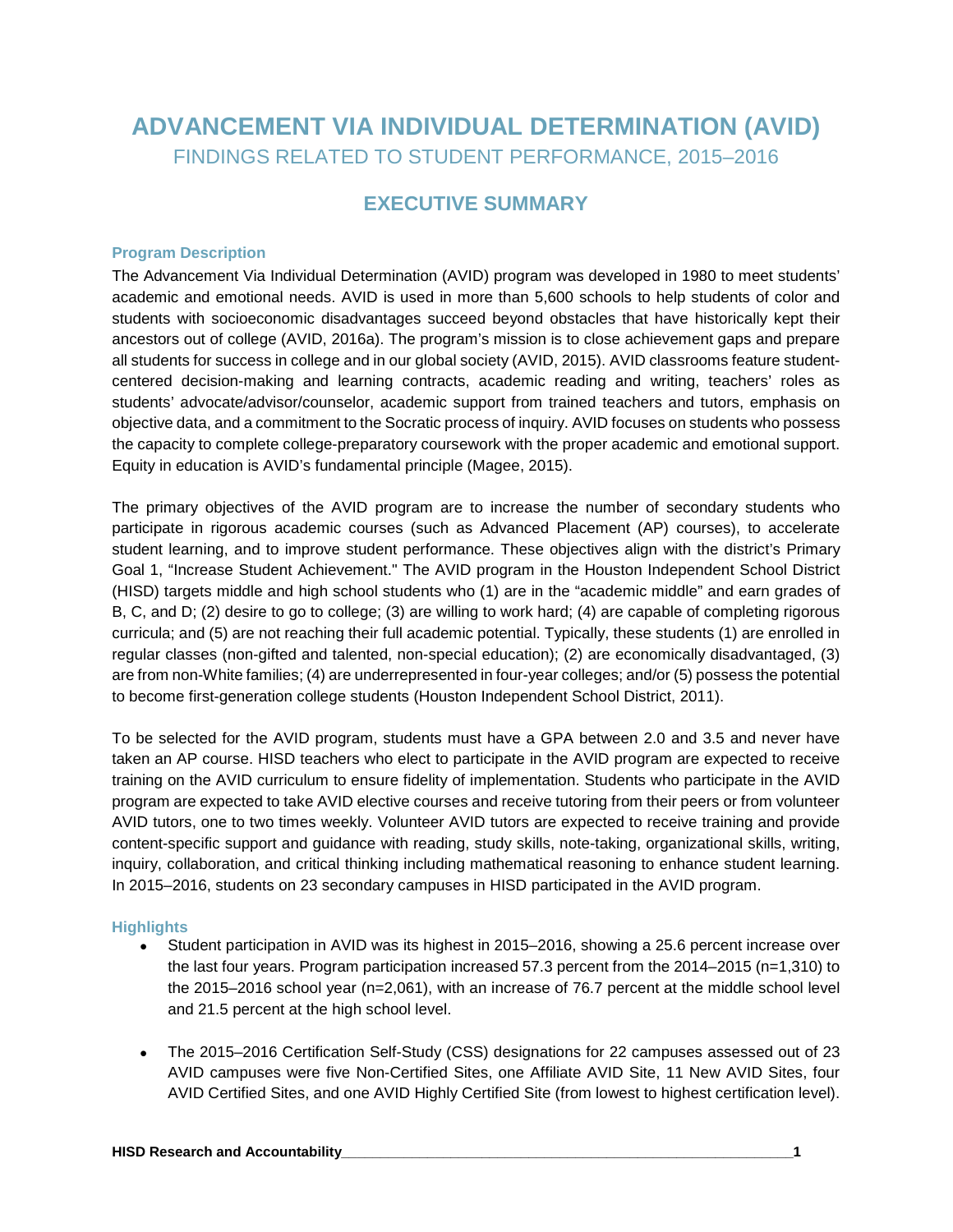# **ADVANCEMENT VIA INDIVIDUAL DETERMINATION (AVID)** FINDINGS RELATED TO STUDENT PERFORMANCE, 2015–2016

# **EXECUTIVE SUMMARY**

#### **Program Description**

The Advancement Via Individual Determination (AVID) program was developed in 1980 to meet students' academic and emotional needs. AVID is used in more than 5,600 schools to help students of color and students with socioeconomic disadvantages succeed beyond obstacles that have historically kept their ancestors out of college (AVID, 2016a). The program's mission is to close achievement gaps and prepare all students for success in college and in our global society (AVID, 2015). AVID classrooms feature studentcentered decision-making and learning contracts, academic reading and writing, teachers' roles as students' advocate/advisor/counselor, academic support from trained teachers and tutors, emphasis on objective data, and a commitment to the Socratic process of inquiry. AVID focuses on students who possess the capacity to complete college-preparatory coursework with the proper academic and emotional support. Equity in education is AVID's fundamental principle (Magee, 2015).

The primary objectives of the AVID program are to increase the number of secondary students who participate in rigorous academic courses (such as Advanced Placement (AP) courses), to accelerate student learning, and to improve student performance. These objectives align with the district's Primary Goal 1, "Increase Student Achievement." The AVID program in the Houston Independent School District (HISD) targets middle and high school students who (1) are in the "academic middle" and earn grades of B, C, and D; (2) desire to go to college; (3) are willing to work hard; (4) are capable of completing rigorous curricula; and (5) are not reaching their full academic potential. Typically, these students (1) are enrolled in regular classes (non-gifted and talented, non-special education); (2) are economically disadvantaged, (3) are from non-White families; (4) are underrepresented in four-year colleges; and/or (5) possess the potential to become first-generation college students (Houston Independent School District, 2011).

To be selected for the AVID program, students must have a GPA between 2.0 and 3.5 and never have taken an AP course. HISD teachers who elect to participate in the AVID program are expected to receive training on the AVID curriculum to ensure fidelity of implementation. Students who participate in the AVID program are expected to take AVID elective courses and receive tutoring from their peers or from volunteer AVID tutors, one to two times weekly. Volunteer AVID tutors are expected to receive training and provide content-specific support and guidance with reading, study skills, note-taking, organizational skills, writing, inquiry, collaboration, and critical thinking including mathematical reasoning to enhance student learning. In 2015–2016, students on 23 secondary campuses in HISD participated in the AVID program.

#### **Highlights**

- Student participation in AVID was its highest in 2015–2016, showing a 25.6 percent increase over the last four years. Program participation increased 57.3 percent from the 2014–2015 (n=1,310) to the 2015–2016 school year (n=2,061), with an increase of 76.7 percent at the middle school level and 21.5 percent at the high school level.
- The 2015–2016 Certification Self-Study (CSS) designations for 22 campuses assessed out of 23 AVID campuses were five Non-Certified Sites, one Affiliate AVID Site, 11 New AVID Sites, four AVID Certified Sites, and one AVID Highly Certified Site (from lowest to highest certification level).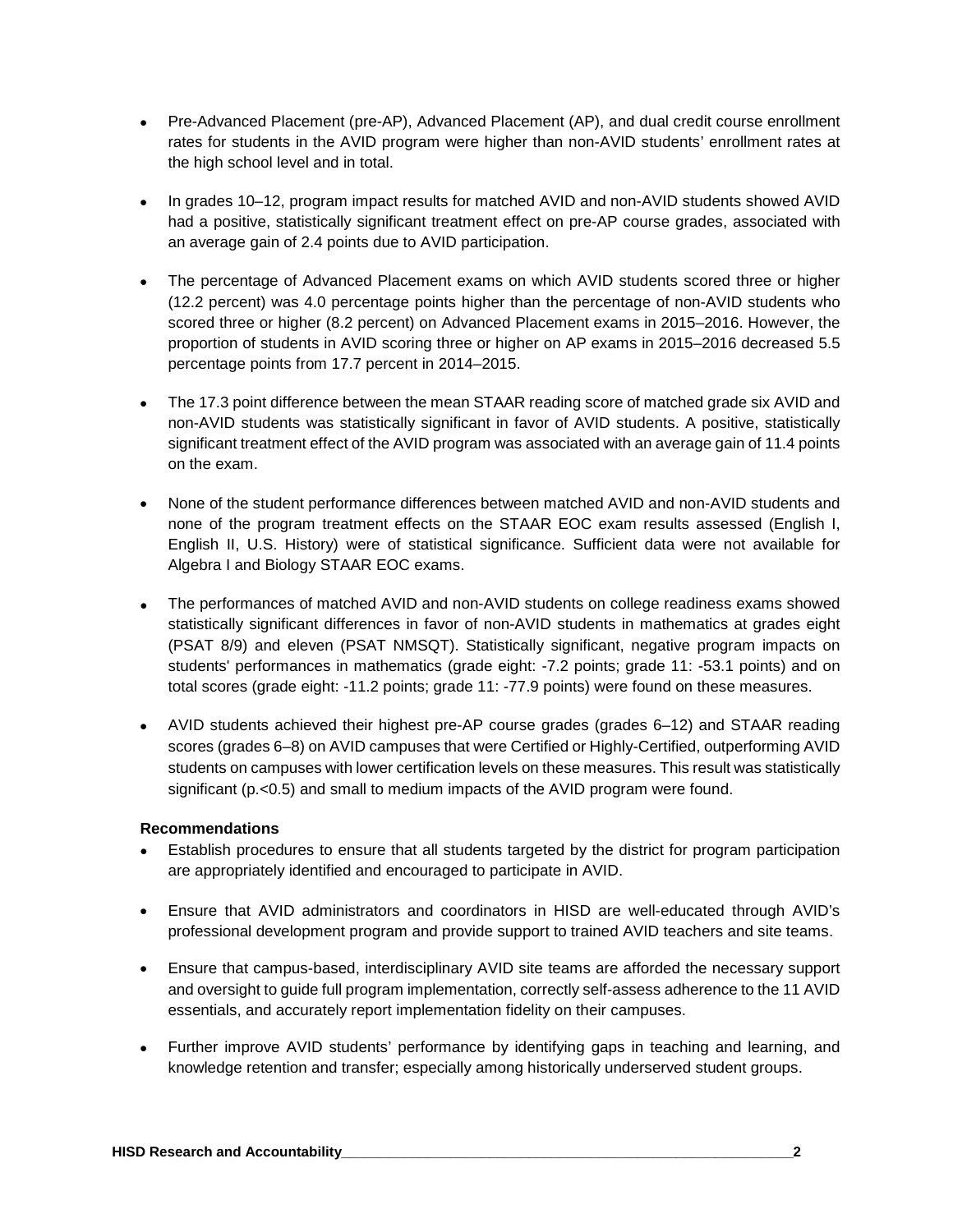- Pre-Advanced Placement (pre-AP), Advanced Placement (AP), and dual credit course enrollment rates for students in the AVID program were higher than non-AVID students' enrollment rates at the high school level and in total.
- In grades 10–12, program impact results for matched AVID and non-AVID students showed AVID had a positive, statistically significant treatment effect on pre-AP course grades, associated with an average gain of 2.4 points due to AVID participation.
- The percentage of Advanced Placement exams on which AVID students scored three or higher (12.2 percent) was 4.0 percentage points higher than the percentage of non-AVID students who scored three or higher (8.2 percent) on Advanced Placement exams in 2015–2016. However, the proportion of students in AVID scoring three or higher on AP exams in 2015–2016 decreased 5.5 percentage points from 17.7 percent in 2014–2015.
- The 17.3 point difference between the mean STAAR reading score of matched grade six AVID and non-AVID students was statistically significant in favor of AVID students. A positive, statistically significant treatment effect of the AVID program was associated with an average gain of 11.4 points on the exam.
- None of the student performance differences between matched AVID and non-AVID students and none of the program treatment effects on the STAAR EOC exam results assessed (English I, English II, U.S. History) were of statistical significance. Sufficient data were not available for Algebra I and Biology STAAR EOC exams.
- The performances of matched AVID and non-AVID students on college readiness exams showed statistically significant differences in favor of non-AVID students in mathematics at grades eight (PSAT 8/9) and eleven (PSAT NMSQT). Statistically significant, negative program impacts on students' performances in mathematics (grade eight: -7.2 points; grade 11: -53.1 points) and on total scores (grade eight: -11.2 points; grade 11: -77.9 points) were found on these measures.
- AVID students achieved their highest pre-AP course grades (grades 6–12) and STAAR reading scores (grades 6–8) on AVID campuses that were Certified or Highly-Certified, outperforming AVID students on campuses with lower certification levels on these measures. This result was statistically significant (p.<0.5) and small to medium impacts of the AVID program were found.

#### **Recommendations**

- Establish procedures to ensure that all students targeted by the district for program participation are appropriately identified and encouraged to participate in AVID.
- Ensure that AVID administrators and coordinators in HISD are well-educated through AVID's professional development program and provide support to trained AVID teachers and site teams.
- Ensure that campus-based, interdisciplinary AVID site teams are afforded the necessary support and oversight to guide full program implementation, correctly self-assess adherence to the 11 AVID essentials, and accurately report implementation fidelity on their campuses.
- Further improve AVID students' performance by identifying gaps in teaching and learning, and knowledge retention and transfer; especially among historically underserved student groups.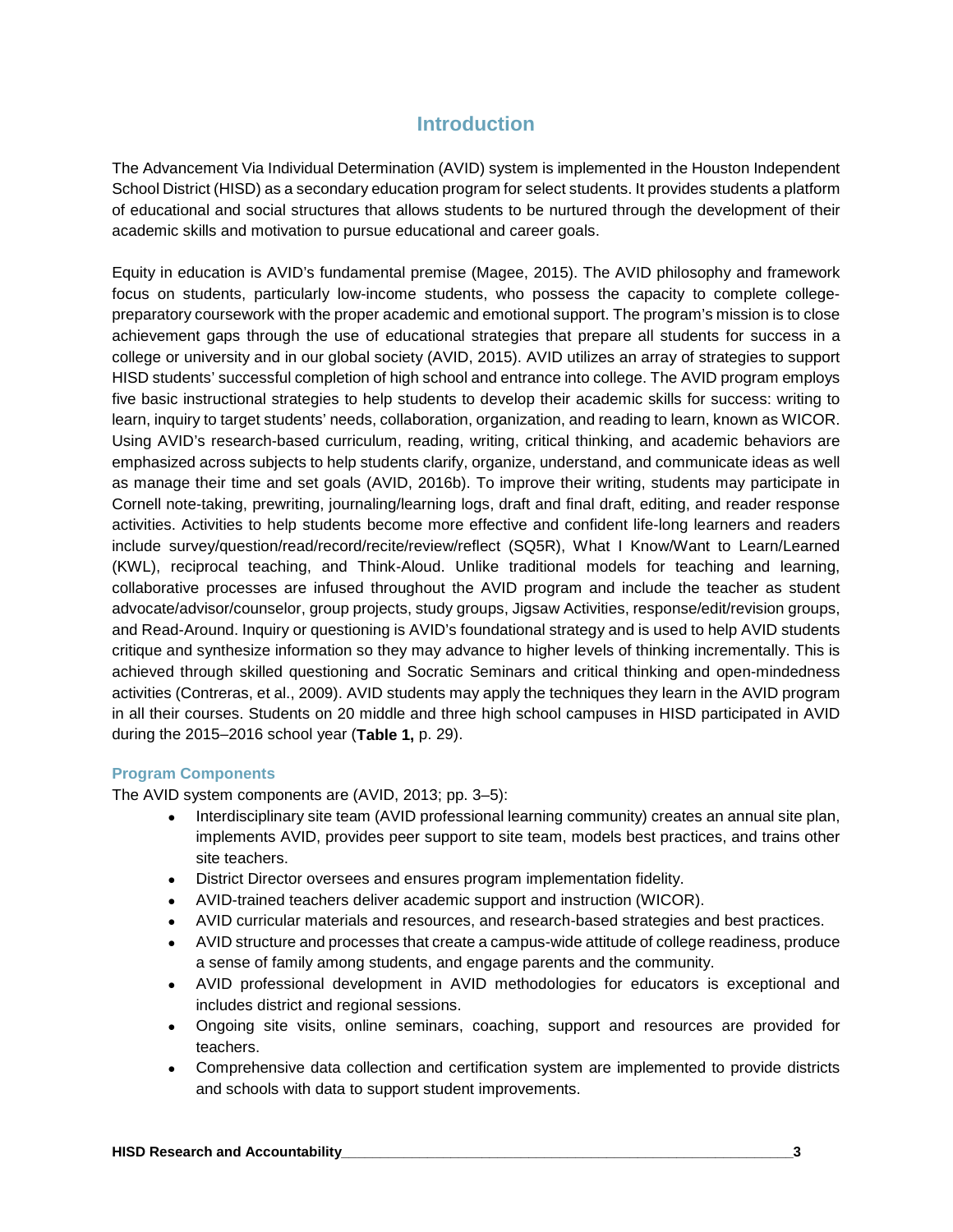## **Introduction**

The Advancement Via Individual Determination (AVID) system is implemented in the Houston Independent School District (HISD) as a secondary education program for select students. It provides students a platform of educational and social structures that allows students to be nurtured through the development of their academic skills and motivation to pursue educational and career goals.

Equity in education is AVID's fundamental premise (Magee, 2015). The AVID philosophy and framework focus on students, particularly low-income students, who possess the capacity to complete collegepreparatory coursework with the proper academic and emotional support. The program's mission is to close achievement gaps through the use of educational strategies that prepare all students for success in a college or university and in our global society (AVID, 2015). AVID utilizes an array of strategies to support HISD students' successful completion of high school and entrance into college. The AVID program employs five basic instructional strategies to help students to develop their academic skills for success: writing to learn, inquiry to target students' needs, collaboration, organization, and reading to learn, known as WICOR. Using AVID's research-based curriculum, reading, writing, critical thinking, and academic behaviors are emphasized across subjects to help students clarify, organize, understand, and communicate ideas as well as manage their time and set goals (AVID, 2016b). To improve their writing, students may participate in Cornell note-taking, prewriting, journaling/learning logs, draft and final draft, editing, and reader response activities. Activities to help students become more effective and confident life-long learners and readers include survey/question/read/record/recite/review/reflect (SQ5R), What I Know/Want to Learn/Learned (KWL), reciprocal teaching, and Think-Aloud. Unlike traditional models for teaching and learning, collaborative processes are infused throughout the AVID program and include the teacher as student advocate/advisor/counselor, group projects, study groups, Jigsaw Activities, response/edit/revision groups, and Read-Around. Inquiry or questioning is AVID's foundational strategy and is used to help AVID students critique and synthesize information so they may advance to higher levels of thinking incrementally. This is achieved through skilled questioning and Socratic Seminars and critical thinking and open-mindedness activities (Contreras, et al., 2009). AVID students may apply the techniques they learn in the AVID program in all their courses. Students on 20 middle and three high school campuses in HISD participated in AVID during the 2015–2016 school year (**Table 1,** p. 29).

#### **Program Components**

The AVID system components are (AVID, 2013; pp. 3–5):

- Interdisciplinary site team (AVID professional learning community) creates an annual site plan, implements AVID, provides peer support to site team, models best practices, and trains other site teachers.
- District Director oversees and ensures program implementation fidelity.
- AVID-trained teachers deliver academic support and instruction (WICOR).
- AVID curricular materials and resources, and research-based strategies and best practices.
- AVID structure and processes that create a campus-wide attitude of college readiness, produce a sense of family among students, and engage parents and the community.
- AVID professional development in AVID methodologies for educators is exceptional and includes district and regional sessions.
- Ongoing site visits, online seminars, coaching, support and resources are provided for teachers.
- Comprehensive data collection and certification system are implemented to provide districts and schools with data to support student improvements.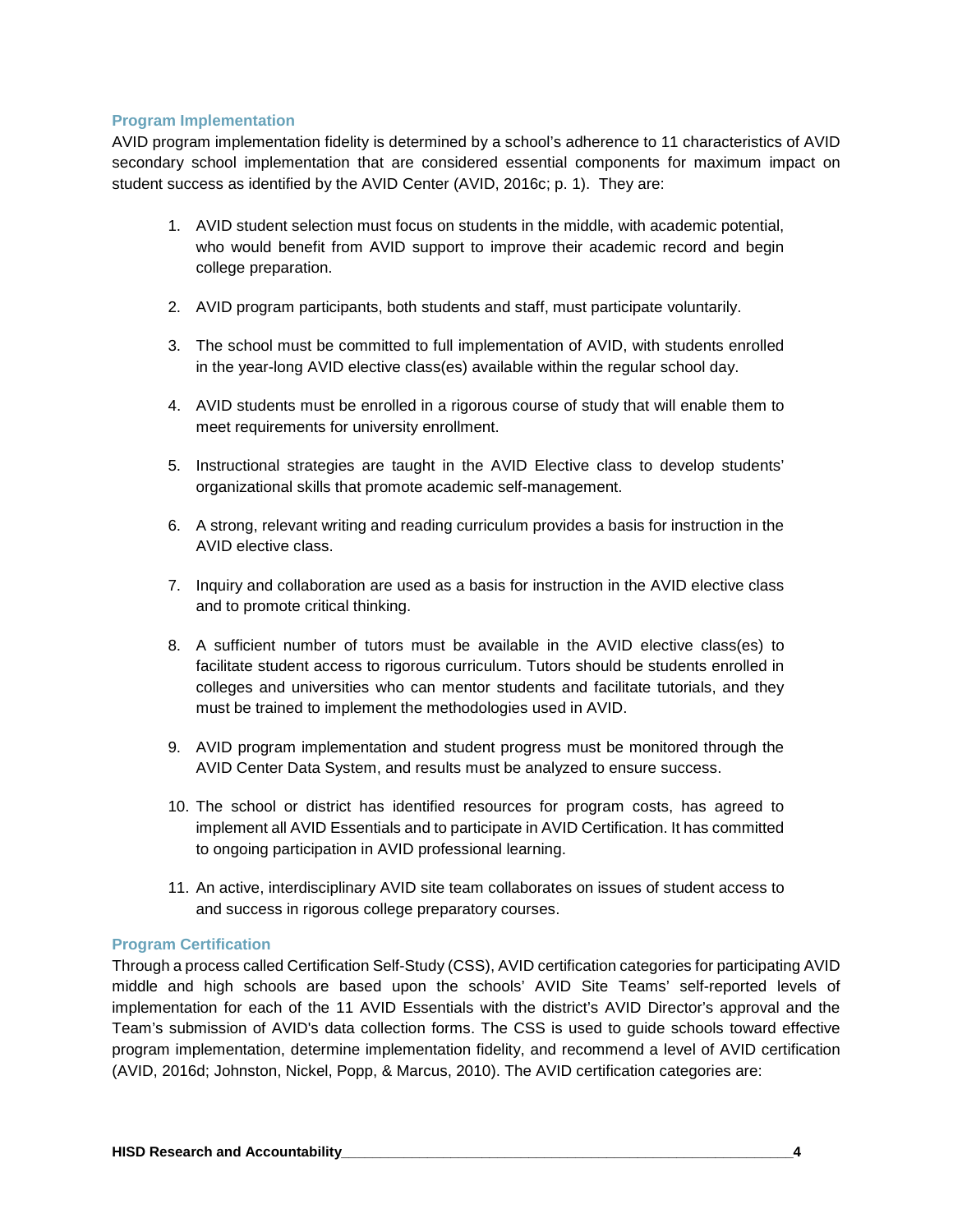#### **Program Implementation**

AVID program implementation fidelity is determined by a school's adherence to 11 characteristics of AVID secondary school implementation that are considered essential components for maximum impact on student success as identified by the AVID Center (AVID, 2016c; p. 1). They are:

- 1. AVID student selection must focus on students in the middle, with academic potential, who would benefit from AVID support to improve their academic record and begin college preparation.
- 2. AVID program participants, both students and staff, must participate voluntarily.
- 3. The school must be committed to full implementation of AVID, with students enrolled in the year-long AVID elective class(es) available within the regular school day.
- 4. AVID students must be enrolled in a rigorous course of study that will enable them to meet requirements for university enrollment.
- 5. Instructional strategies are taught in the AVID Elective class to develop students' organizational skills that promote academic self-management.
- 6. A strong, relevant writing and reading curriculum provides a basis for instruction in the AVID elective class.
- 7. Inquiry and collaboration are used as a basis for instruction in the AVID elective class and to promote critical thinking.
- 8. A sufficient number of tutors must be available in the AVID elective class(es) to facilitate student access to rigorous curriculum. Tutors should be students enrolled in colleges and universities who can mentor students and facilitate tutorials, and they must be trained to implement the methodologies used in AVID.
- 9. AVID program implementation and student progress must be monitored through the AVID Center Data System, and results must be analyzed to ensure success.
- 10. The school or district has identified resources for program costs, has agreed to implement all AVID Essentials and to participate in AVID Certification. It has committed to ongoing participation in AVID professional learning.
- 11. An active, interdisciplinary AVID site team collaborates on issues of student access to and success in rigorous college preparatory courses.

#### **Program Certification**

Through a process called Certification Self-Study (CSS), AVID certification categories for participating AVID middle and high schools are based upon the schools' AVID Site Teams' self-reported levels of implementation for each of the 11 AVID Essentials with the district's AVID Director's approval and the Team's submission of AVID's data collection forms. The CSS is used to guide schools toward effective program implementation, determine implementation fidelity, and recommend a level of AVID certification (AVID, 2016d; Johnston, Nickel, Popp, & Marcus, 2010). The AVID certification categories are: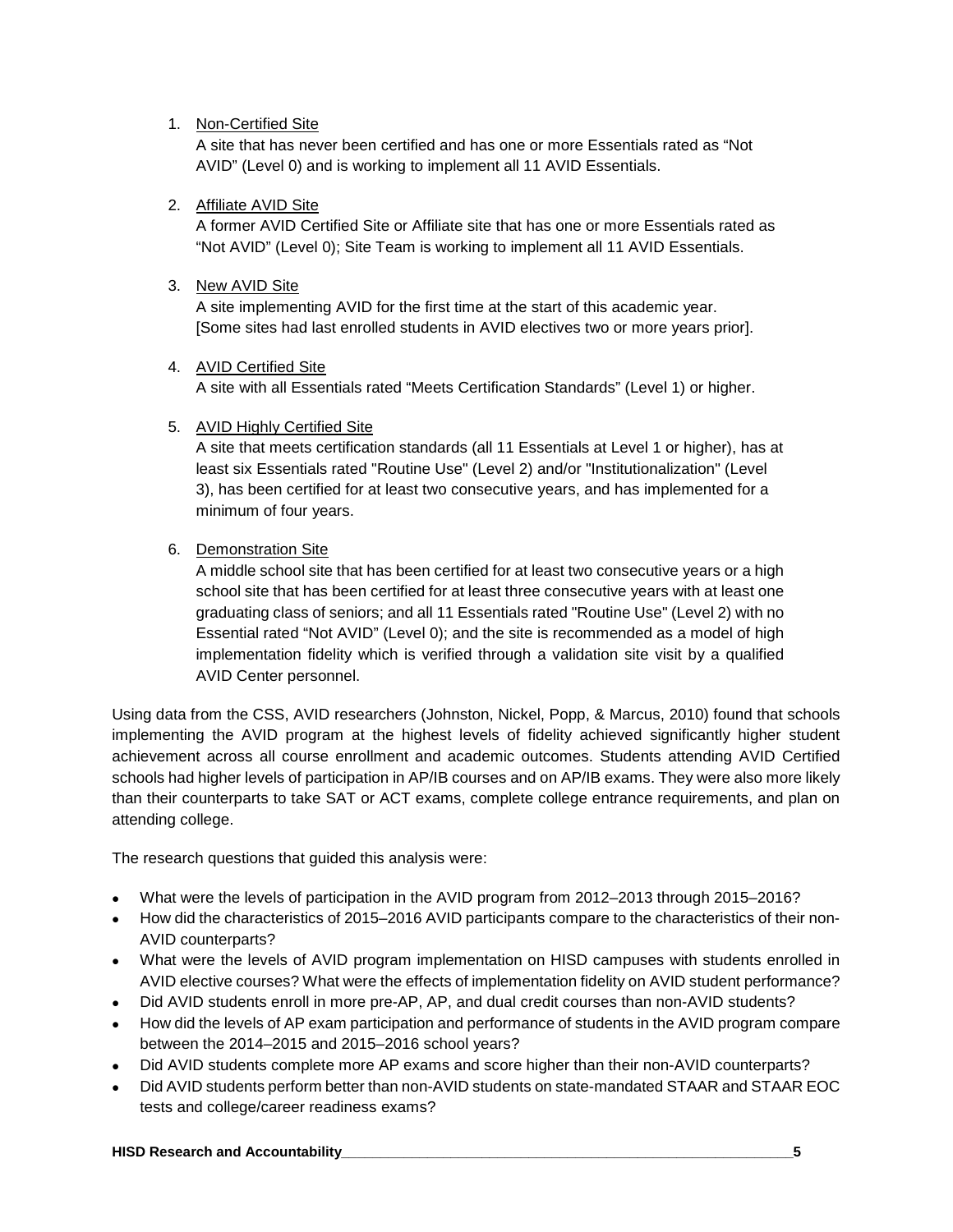#### 1. Non-Certified Site

A site that has never been certified and has one or more Essentials rated as "Not AVID" (Level 0) and is working to implement all 11 AVID Essentials.

#### 2. Affiliate AVID Site

A former AVID Certified Site or Affiliate site that has one or more Essentials rated as "Not AVID" (Level 0); Site Team is working to implement all 11 AVID Essentials.

#### 3. New AVID Site

A site implementing AVID for the first time at the start of this academic year. [Some sites had last enrolled students in AVID electives two or more years prior].

#### 4. AVID Certified Site

A site with all Essentials rated "Meets Certification Standards" (Level 1) or higher.

#### 5. AVID Highly Certified Site

A site that meets certification standards (all 11 Essentials at Level 1 or higher), has at least six Essentials rated "Routine Use" (Level 2) and/or "Institutionalization" (Level 3), has been certified for at least two consecutive years, and has implemented for a minimum of four years.

#### 6. Demonstration Site

A middle school site that has been certified for at least two consecutive years or a high school site that has been certified for at least three consecutive years with at least one graduating class of seniors; and all 11 Essentials rated "Routine Use" (Level 2) with no Essential rated "Not AVID" (Level 0); and the site is recommended as a model of high implementation fidelity which is verified through a validation site visit by a qualified AVID Center personnel.

Using data from the CSS, AVID researchers (Johnston, Nickel, Popp, & Marcus, 2010) found that schools implementing the AVID program at the highest levels of fidelity achieved significantly higher student achievement across all course enrollment and academic outcomes. Students attending AVID Certified schools had higher levels of participation in AP/IB courses and on AP/IB exams. They were also more likely than their counterparts to take SAT or ACT exams, complete college entrance requirements, and plan on attending college.

The research questions that guided this analysis were:

- What were the levels of participation in the AVID program from 2012–2013 through 2015–2016?
- How did the characteristics of 2015–2016 AVID participants compare to the characteristics of their non-AVID counterparts?
- What were the levels of AVID program implementation on HISD campuses with students enrolled in AVID elective courses? What were the effects of implementation fidelity on AVID student performance?
- Did AVID students enroll in more pre-AP, AP, and dual credit courses than non-AVID students?
- How did the levels of AP exam participation and performance of students in the AVID program compare between the 2014–2015 and 2015–2016 school years?
- Did AVID students complete more AP exams and score higher than their non-AVID counterparts?
- Did AVID students perform better than non-AVID students on state-mandated STAAR and STAAR EOC tests and college/career readiness exams?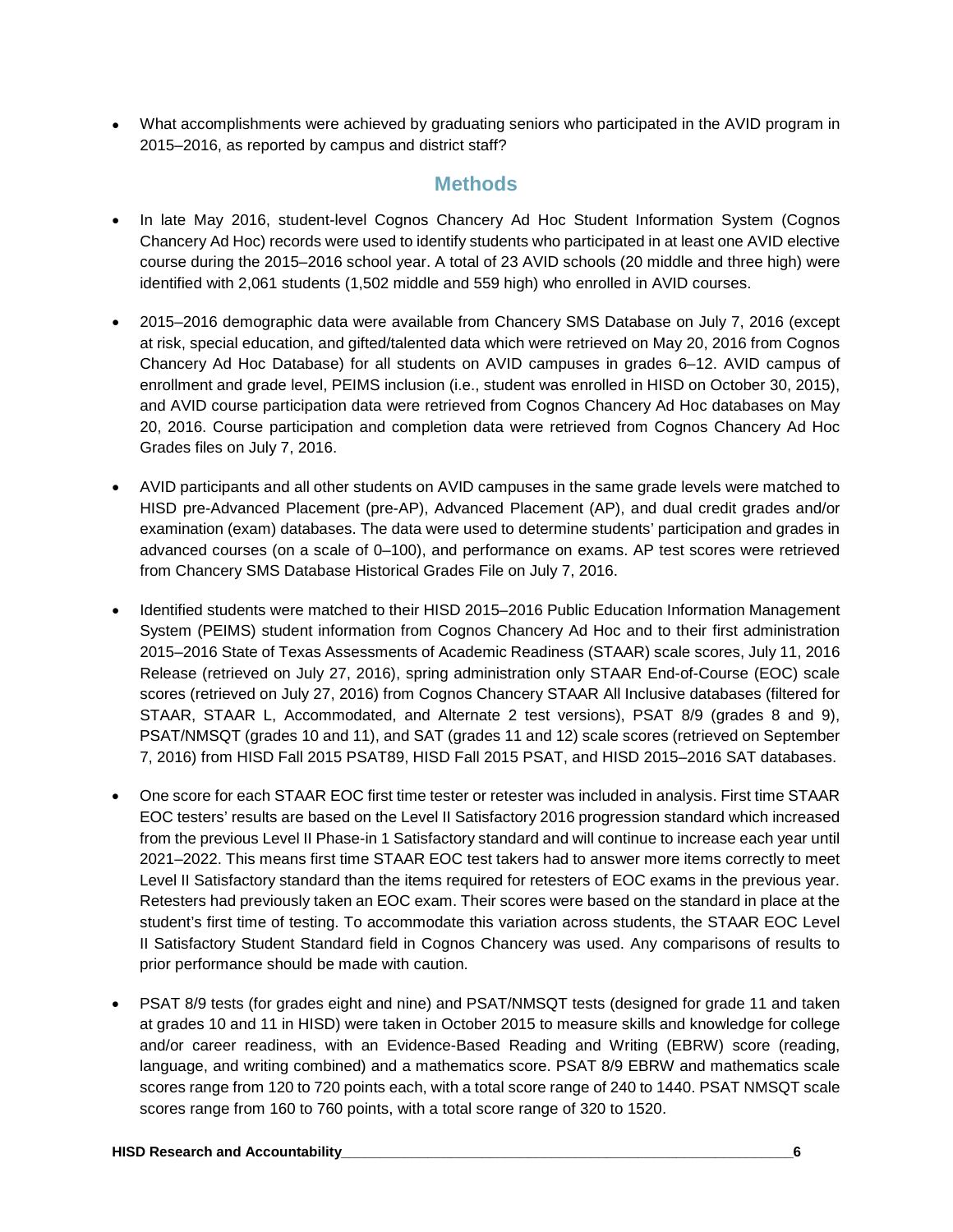• What accomplishments were achieved by graduating seniors who participated in the AVID program in 2015–2016, as reported by campus and district staff?

## **Methods**

- In late May 2016, student-level Cognos Chancery Ad Hoc Student Information System (Cognos Chancery Ad Hoc) records were used to identify students who participated in at least one AVID elective course during the 2015–2016 school year. A total of 23 AVID schools (20 middle and three high) were identified with 2,061 students (1,502 middle and 559 high) who enrolled in AVID courses.
- 2015–2016 demographic data were available from Chancery SMS Database on July 7, 2016 (except at risk, special education, and gifted/talented data which were retrieved on May 20, 2016 from Cognos Chancery Ad Hoc Database) for all students on AVID campuses in grades 6–12. AVID campus of enrollment and grade level, PEIMS inclusion (i.e., student was enrolled in HISD on October 30, 2015), and AVID course participation data were retrieved from Cognos Chancery Ad Hoc databases on May 20, 2016. Course participation and completion data were retrieved from Cognos Chancery Ad Hoc Grades files on July 7, 2016.
- AVID participants and all other students on AVID campuses in the same grade levels were matched to HISD pre-Advanced Placement (pre-AP), Advanced Placement (AP), and dual credit grades and/or examination (exam) databases. The data were used to determine students' participation and grades in advanced courses (on a scale of 0–100), and performance on exams. AP test scores were retrieved from Chancery SMS Database Historical Grades File on July 7, 2016.
- Identified students were matched to their HISD 2015–2016 Public Education Information Management System (PEIMS) student information from Cognos Chancery Ad Hoc and to their first administration 2015–2016 State of Texas Assessments of Academic Readiness (STAAR) scale scores, July 11, 2016 Release (retrieved on July 27, 2016), spring administration only STAAR End-of-Course (EOC) scale scores (retrieved on July 27, 2016) from Cognos Chancery STAAR All Inclusive databases (filtered for STAAR, STAAR L, Accommodated, and Alternate 2 test versions), PSAT 8/9 (grades 8 and 9), PSAT/NMSQT (grades 10 and 11), and SAT (grades 11 and 12) scale scores (retrieved on September 7, 2016) from HISD Fall 2015 PSAT89, HISD Fall 2015 PSAT, and HISD 2015–2016 SAT databases.
- One score for each STAAR EOC first time tester or retester was included in analysis. First time STAAR EOC testers' results are based on the Level II Satisfactory 2016 progression standard which increased from the previous Level II Phase-in 1 Satisfactory standard and will continue to increase each year until 2021–2022. This means first time STAAR EOC test takers had to answer more items correctly to meet Level II Satisfactory standard than the items required for retesters of EOC exams in the previous year. Retesters had previously taken an EOC exam. Their scores were based on the standard in place at the student's first time of testing. To accommodate this variation across students, the STAAR EOC Level II Satisfactory Student Standard field in Cognos Chancery was used. Any comparisons of results to prior performance should be made with caution.
- PSAT 8/9 tests (for grades eight and nine) and PSAT/NMSQT tests (designed for grade 11 and taken at grades 10 and 11 in HISD) were taken in October 2015 to measure skills and knowledge for college and/or career readiness, with an Evidence-Based Reading and Writing (EBRW) score (reading, language, and writing combined) and a mathematics score. PSAT 8/9 EBRW and mathematics scale scores range from 120 to 720 points each, with a total score range of 240 to 1440. PSAT NMSQT scale scores range from 160 to 760 points, with a total score range of 320 to 1520.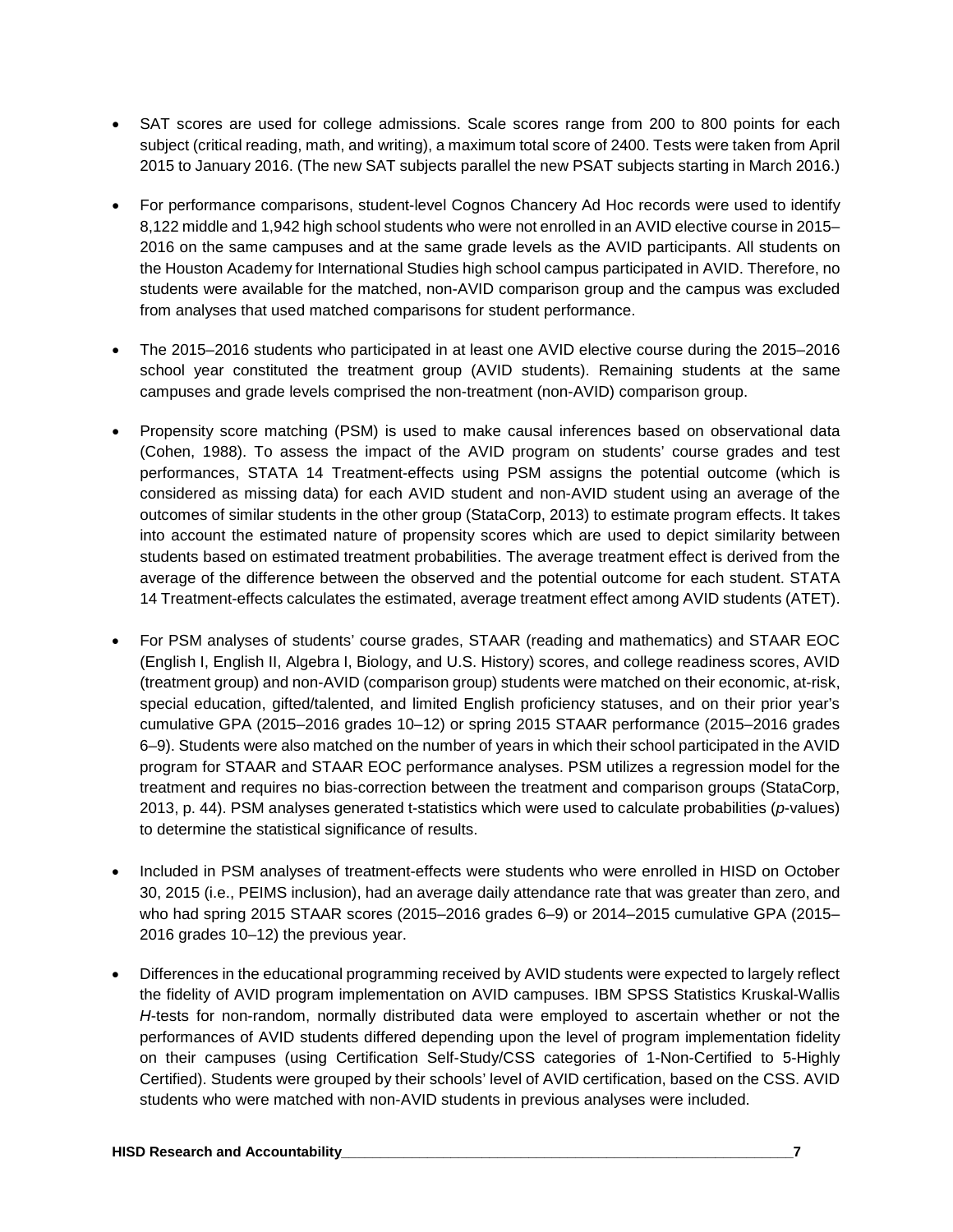- SAT scores are used for college admissions. Scale scores range from 200 to 800 points for each subject (critical reading, math, and writing), a maximum total score of 2400. Tests were taken from April 2015 to January 2016. (The new SAT subjects parallel the new PSAT subjects starting in March 2016.)
- For performance comparisons, student-level Cognos Chancery Ad Hoc records were used to identify 8,122 middle and 1,942 high school students who were not enrolled in an AVID elective course in 2015– 2016 on the same campuses and at the same grade levels as the AVID participants. All students on the Houston Academy for International Studies high school campus participated in AVID. Therefore, no students were available for the matched, non-AVID comparison group and the campus was excluded from analyses that used matched comparisons for student performance.
- The 2015–2016 students who participated in at least one AVID elective course during the 2015–2016 school year constituted the treatment group (AVID students). Remaining students at the same campuses and grade levels comprised the non-treatment (non-AVID) comparison group.
- Propensity score matching (PSM) is used to make causal inferences based on observational data (Cohen, 1988). To assess the impact of the AVID program on students' course grades and test performances, STATA 14 Treatment-effects using PSM assigns the potential outcome (which is considered as missing data) for each AVID student and non-AVID student using an average of the outcomes of similar students in the other group (StataCorp, 2013) to estimate program effects. It takes into account the estimated nature of propensity scores which are used to depict similarity between students based on estimated treatment probabilities. The average treatment effect is derived from the average of the difference between the observed and the potential outcome for each student. STATA 14 Treatment-effects calculates the estimated, average treatment effect among AVID students (ATET).
- For PSM analyses of students' course grades, STAAR (reading and mathematics) and STAAR EOC (English I, English II, Algebra I, Biology, and U.S. History) scores, and college readiness scores, AVID (treatment group) and non-AVID (comparison group) students were matched on their economic, at-risk, special education, gifted/talented, and limited English proficiency statuses, and on their prior year's cumulative GPA (2015–2016 grades 10–12) or spring 2015 STAAR performance (2015–2016 grades 6–9). Students were also matched on the number of years in which their school participated in the AVID program for STAAR and STAAR EOC performance analyses. PSM utilizes a regression model for the treatment and requires no bias-correction between the treatment and comparison groups (StataCorp, 2013, p. 44). PSM analyses generated t-statistics which were used to calculate probabilities (*p*-values) to determine the statistical significance of results.
- Included in PSM analyses of treatment-effects were students who were enrolled in HISD on October 30, 2015 (i.e., PEIMS inclusion), had an average daily attendance rate that was greater than zero, and who had spring 2015 STAAR scores (2015–2016 grades 6–9) or 2014–2015 cumulative GPA (2015– 2016 grades 10–12) the previous year.
- Differences in the educational programming received by AVID students were expected to largely reflect the fidelity of AVID program implementation on AVID campuses. IBM SPSS Statistics Kruskal-Wallis *H*-tests for non-random, normally distributed data were employed to ascertain whether or not the performances of AVID students differed depending upon the level of program implementation fidelity on their campuses (using Certification Self-Study/CSS categories of 1-Non-Certified to 5-Highly Certified). Students were grouped by their schools' level of AVID certification, based on the CSS. AVID students who were matched with non-AVID students in previous analyses were included.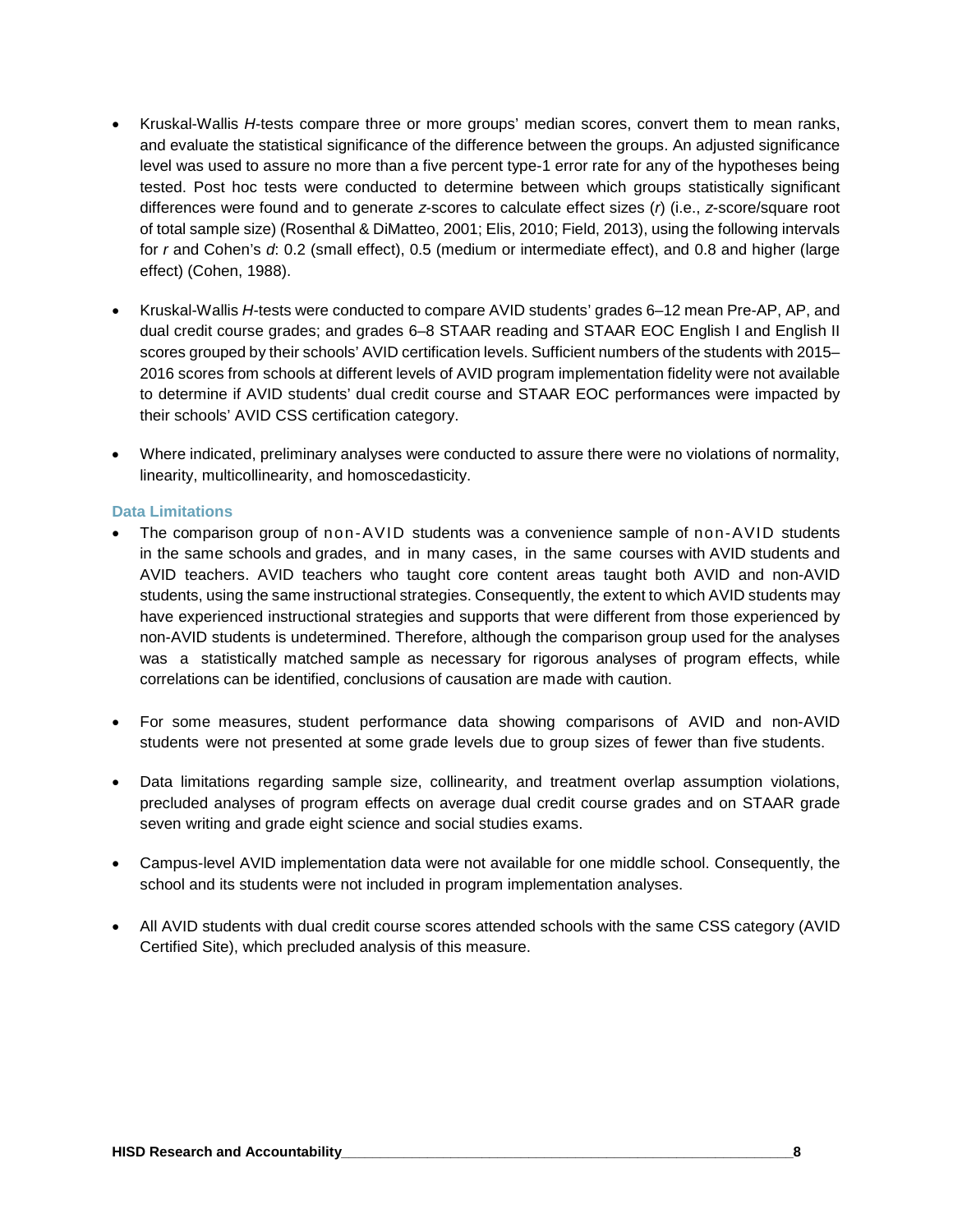- Kruskal-Wallis *H*-tests compare three or more groups' median scores, convert them to mean ranks, and evaluate the statistical significance of the difference between the groups. An adjusted significance level was used to assure no more than a five percent type-1 error rate for any of the hypotheses being tested. Post hoc tests were conducted to determine between which groups statistically significant differences were found and to generate *z*-scores to calculate effect sizes (*r*) (i.e., *z*-score/square root of total sample size) (Rosenthal & DiMatteo, 2001; Elis, 2010; Field, 2013), using the following intervals for *r* and Cohen's *d*: 0.2 (small effect), 0.5 (medium or intermediate effect), and 0.8 and higher (large effect) (Cohen, 1988).
- Kruskal-Wallis *H*-tests were conducted to compare AVID students' grades 6–12 mean Pre-AP, AP, and dual credit course grades; and grades 6–8 STAAR reading and STAAR EOC English I and English II scores grouped by their schools' AVID certification levels. Sufficient numbers of the students with 2015– 2016 scores from schools at different levels of AVID program implementation fidelity were not available to determine if AVID students' dual credit course and STAAR EOC performances were impacted by their schools' AVID CSS certification category.
- Where indicated, preliminary analyses were conducted to assure there were no violations of normality, linearity, multicollinearity, and homoscedasticity.

#### **Data Limitations**

- The comparison group of non-AVID students was a convenience sample of non-AVID students in the same schools and grades, and in many cases, in the same courses with AVID students and AVID teachers. AVID teachers who taught core content areas taught both AVID and non-AVID students, using the same instructional strategies. Consequently, the extent to which AVID students may have experienced instructional strategies and supports that were different from those experienced by non-AVID students is undetermined. Therefore, although the comparison group used for the analyses was a statistically matched sample as necessary for rigorous analyses of program effects, while correlations can be identified, conclusions of causation are made with caution.
- For some measures, student performance data showing comparisons of AVID and non-AVID students were not presented at some grade levels due to group sizes of fewer than five students.
- Data limitations regarding sample size, collinearity, and treatment overlap assumption violations, precluded analyses of program effects on average dual credit course grades and on STAAR grade seven writing and grade eight science and social studies exams.
- Campus-level AVID implementation data were not available for one middle school. Consequently, the school and its students were not included in program implementation analyses.
- All AVID students with dual credit course scores attended schools with the same CSS category (AVID Certified Site), which precluded analysis of this measure.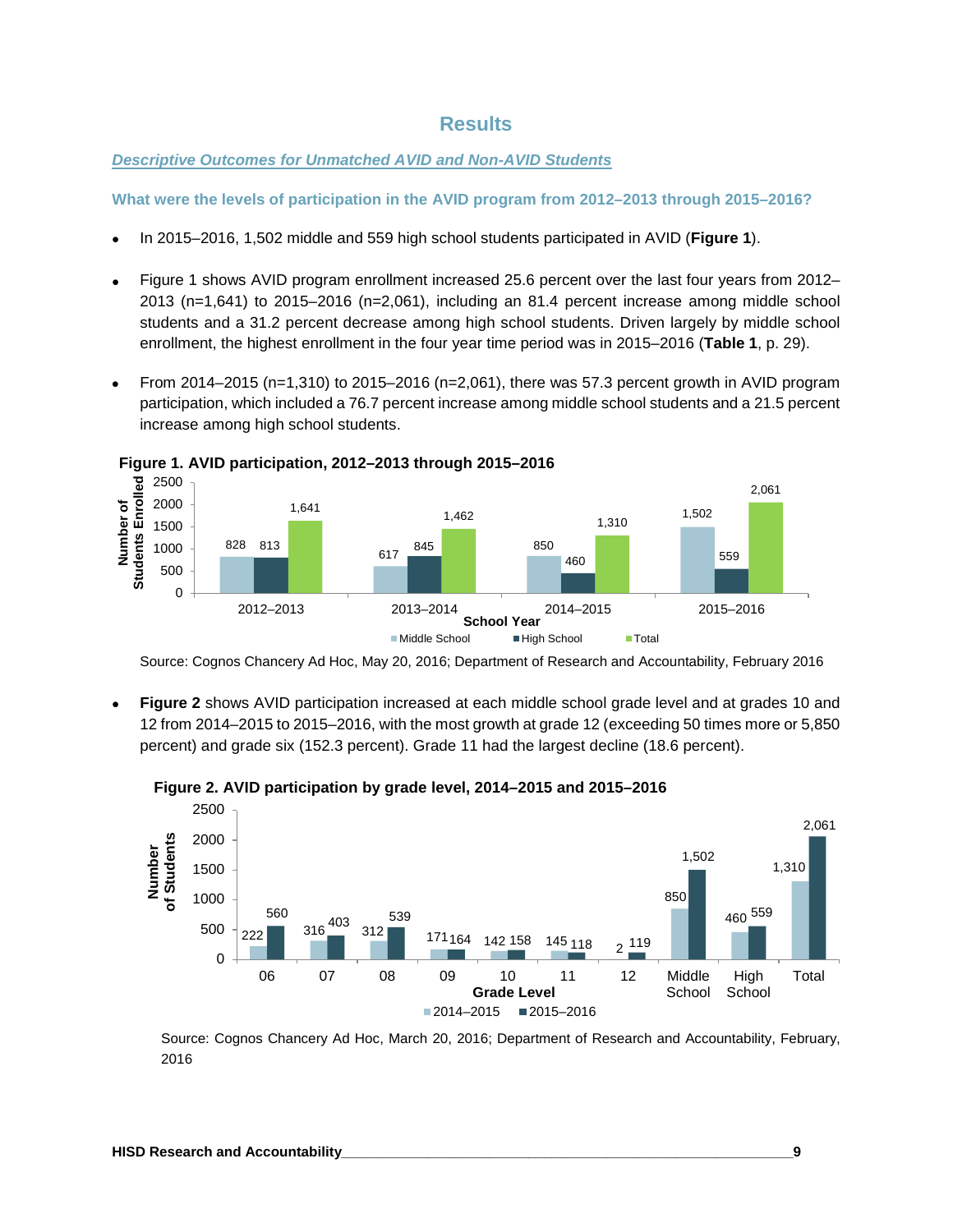## **Results**

#### *Descriptive Outcomes for Unmatched AVID and Non-AVID Students*

**What were the levels of participation in the AVID program from 2012–2013 through 2015–2016?**

- In 2015–2016, 1,502 middle and 559 high school students participated in AVID (**Figure 1**).
- Figure 1 shows AVID program enrollment increased 25.6 percent over the last four years from 2012– 2013 (n=1,641) to 2015–2016 (n=2,061), including an 81.4 percent increase among middle school students and a 31.2 percent decrease among high school students. Driven largely by middle school enrollment, the highest enrollment in the four year time period was in 2015–2016 (**Table 1**, p. 29).
- From 2014–2015 (n=1,310) to 2015–2016 (n=2,061), there was 57.3 percent growth in AVID program participation, which included a 76.7 percent increase among middle school students and a 21.5 percent increase among high school students.





Source: Cognos Chancery Ad Hoc, May 20, 2016; Department of Research and Accountability, February 2016

• **Figure 2** shows AVID participation increased at each middle school grade level and at grades 10 and 12 from 2014–2015 to 2015–2016, with the most growth at grade 12 (exceeding 50 times more or 5,850 percent) and grade six (152.3 percent). Grade 11 had the largest decline (18.6 percent).





Source: Cognos Chancery Ad Hoc, March 20, 2016; Department of Research and Accountability, February, 2016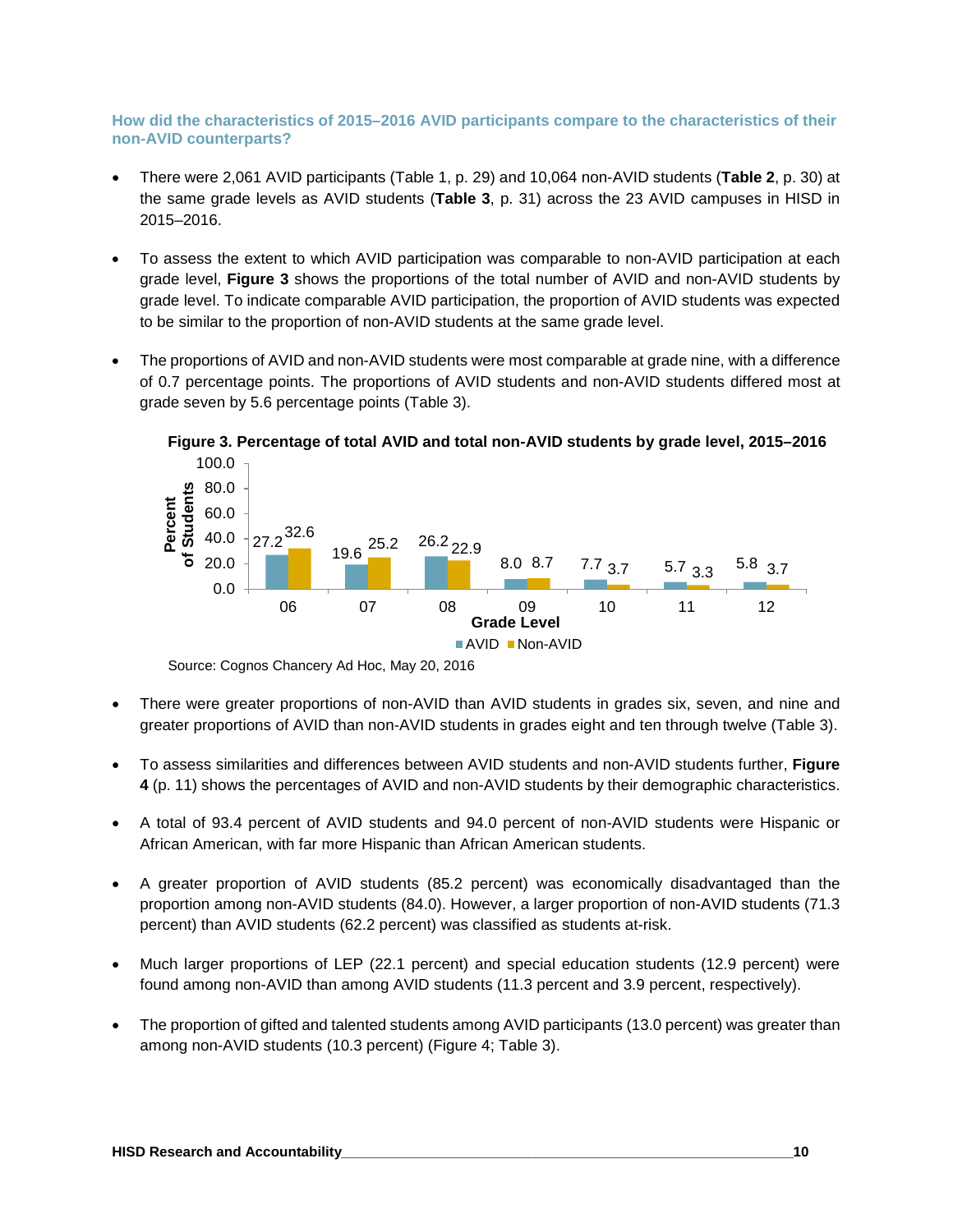**How did the characteristics of 2015–2016 AVID participants compare to the characteristics of their non-AVID counterparts?**

- There were 2,061 AVID participants (Table 1, p. 29) and 10,064 non-AVID students (**Table 2**, p. 30) at the same grade levels as AVID students (**Table 3**, p. 31) across the 23 AVID campuses in HISD in 2015–2016.
- To assess the extent to which AVID participation was comparable to non-AVID participation at each grade level, **Figure 3** shows the proportions of the total number of AVID and non-AVID students by grade level. To indicate comparable AVID participation, the proportion of AVID students was expected to be similar to the proportion of non-AVID students at the same grade level.
- The proportions of AVID and non-AVID students were most comparable at grade nine, with a difference of 0.7 percentage points. The proportions of AVID students and non-AVID students differed most at grade seven by 5.6 percentage points (Table 3).



**Figure 3. Percentage of total AVID and total non-AVID students by grade level, 2015–2016**

Source: Cognos Chancery Ad Hoc, May 20, 2016

- There were greater proportions of non-AVID than AVID students in grades six, seven, and nine and greater proportions of AVID than non-AVID students in grades eight and ten through twelve (Table 3).
- To assess similarities and differences between AVID students and non-AVID students further, **Figure 4** (p. 11) shows the percentages of AVID and non-AVID students by their demographic characteristics.
- A total of 93.4 percent of AVID students and 94.0 percent of non-AVID students were Hispanic or African American, with far more Hispanic than African American students.
- A greater proportion of AVID students (85.2 percent) was economically disadvantaged than the proportion among non-AVID students (84.0). However, a larger proportion of non-AVID students (71.3 percent) than AVID students (62.2 percent) was classified as students at-risk.
- Much larger proportions of LEP (22.1 percent) and special education students (12.9 percent) were found among non-AVID than among AVID students (11.3 percent and 3.9 percent, respectively).
- The proportion of gifted and talented students among AVID participants (13.0 percent) was greater than among non-AVID students (10.3 percent) (Figure 4; Table 3).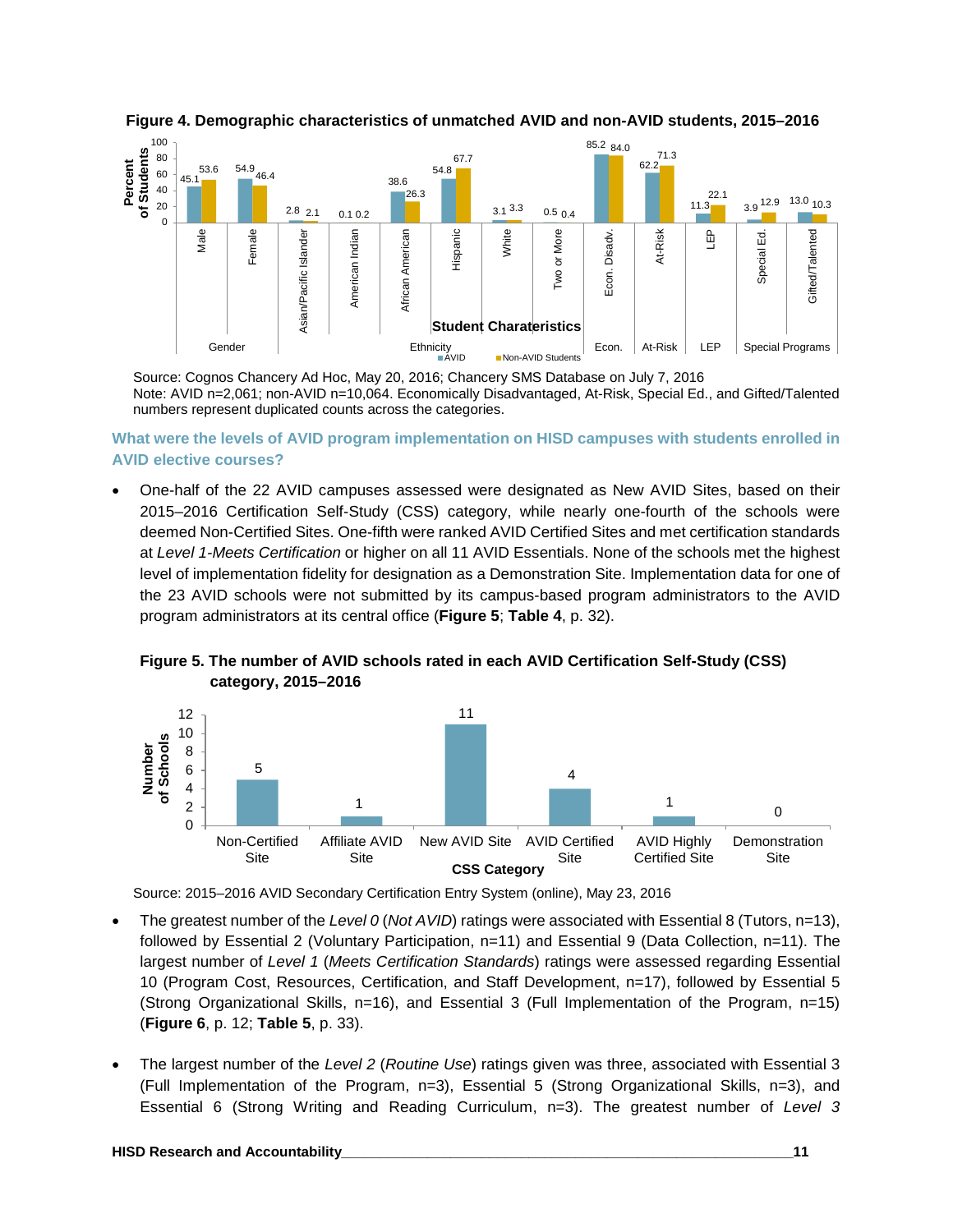



Source: Cognos Chancery Ad Hoc, May 20, 2016; Chancery SMS Database on July 7, 2016 Note: AVID n=2,061; non-AVID n=10,064. Economically Disadvantaged, At-Risk, Special Ed., and Gifted/Talented numbers represent duplicated counts across the categories.

**What were the levels of AVID program implementation on HISD campuses with students enrolled in AVID elective courses?**

• One-half of the 22 AVID campuses assessed were designated as New AVID Sites, based on their 2015–2016 Certification Self-Study (CSS) category, while nearly one-fourth of the schools were deemed Non-Certified Sites. One-fifth were ranked AVID Certified Sites and met certification standards at *Level 1-Meets Certification* or higher on all 11 AVID Essentials. None of the schools met the highest level of implementation fidelity for designation as a Demonstration Site. Implementation data for one of the 23 AVID schools were not submitted by its campus-based program administrators to the AVID program administrators at its central office (**Figure 5**; **Table 4**, p. 32).



**Figure 5. The number of AVID schools rated in each AVID Certification Self-Study (CSS) category, 2015–2016**

Source: 2015–2016 AVID Secondary Certification Entry System (online), May 23, 2016

- The greatest number of the *Level 0* (*Not AVID*) ratings were associated with Essential 8 (Tutors, n=13), followed by Essential 2 (Voluntary Participation, n=11) and Essential 9 (Data Collection, n=11). The largest number of *Level 1* (*Meets Certification Standards*) ratings were assessed regarding Essential 10 (Program Cost, Resources, Certification, and Staff Development, n=17), followed by Essential 5 (Strong Organizational Skills, n=16), and Essential 3 (Full Implementation of the Program, n=15) (**Figure 6**, p. 12; **Table 5**, p. 33).
- The largest number of the *Level 2* (*Routine Use*) ratings given was three, associated with Essential 3 (Full Implementation of the Program, n=3), Essential 5 (Strong Organizational Skills, n=3), and Essential 6 (Strong Writing and Reading Curriculum, n=3). The greatest number of *Level 3*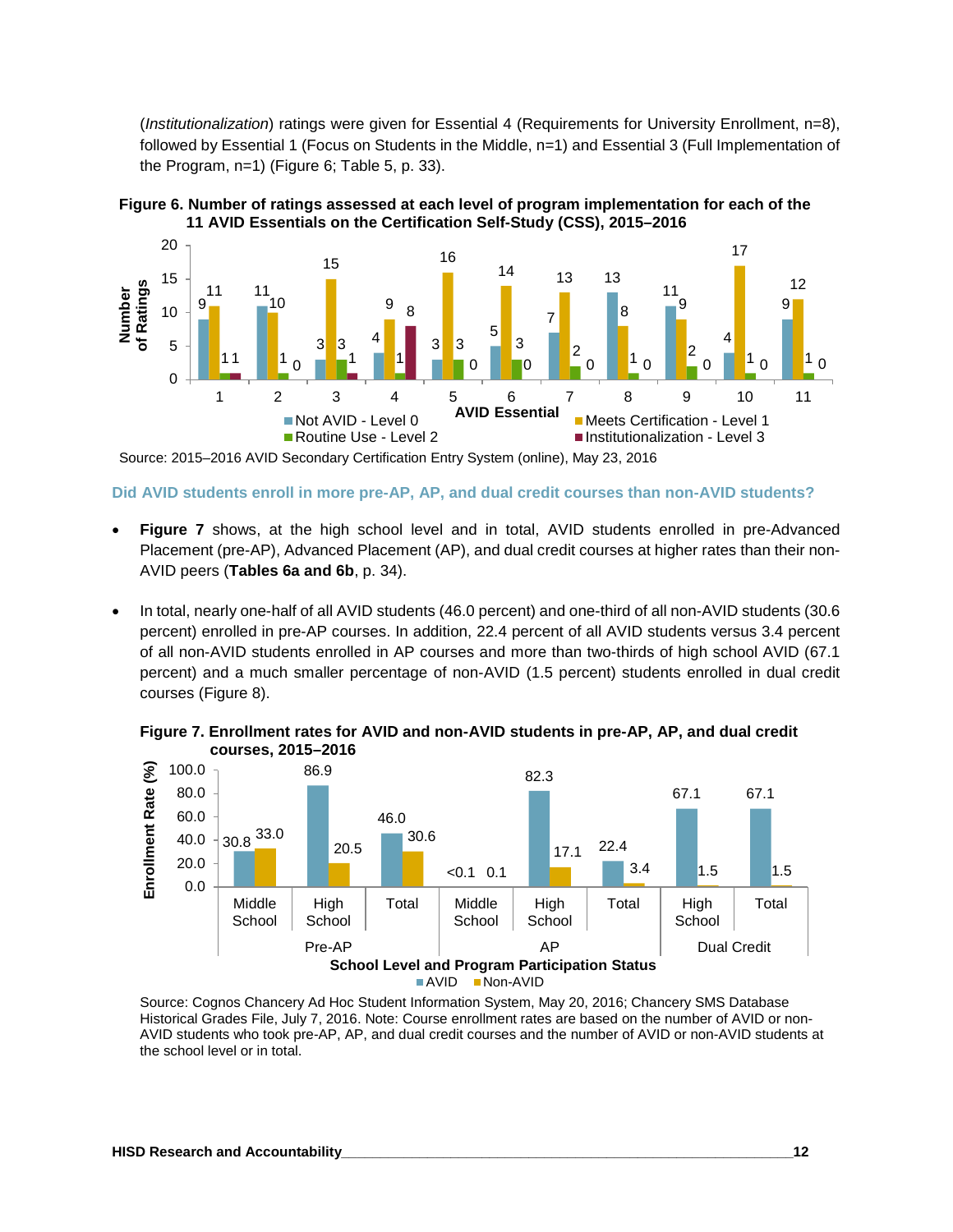(*Institutionalization*) ratings were given for Essential 4 (Requirements for University Enrollment, n=8), followed by Essential 1 (Focus on Students in the Middle, n=1) and Essential 3 (Full Implementation of the Program, n=1) (Figure 6; Table 5, p. 33).





Source: 2015–2016 AVID Secondary Certification Entry System (online), May 23, 2016

**Did AVID students enroll in more pre-AP, AP, and dual credit courses than non-AVID students?**

- **Figure 7** shows, at the high school level and in total, AVID students enrolled in pre-Advanced Placement (pre-AP), Advanced Placement (AP), and dual credit courses at higher rates than their non-AVID peers (**Tables 6a and 6b**, p. 34).
- In total, nearly one-half of all AVID students (46.0 percent) and one-third of all non-AVID students (30.6 percent) enrolled in pre-AP courses. In addition, 22.4 percent of all AVID students versus 3.4 percent of all non-AVID students enrolled in AP courses and more than two-thirds of high school AVID (67.1 percent) and a much smaller percentage of non-AVID (1.5 percent) students enrolled in dual credit courses (Figure 8).



**Figure 7. Enrollment rates for AVID and non-AVID students in pre-AP, AP, and dual credit courses, 2015–2016**

Source: Cognos Chancery Ad Hoc Student Information System, May 20, 2016; Chancery SMS Database Historical Grades File, July 7, 2016. Note: Course enrollment rates are based on the number of AVID or non-AVID students who took pre-AP, AP, and dual credit courses and the number of AVID or non-AVID students at the school level or in total.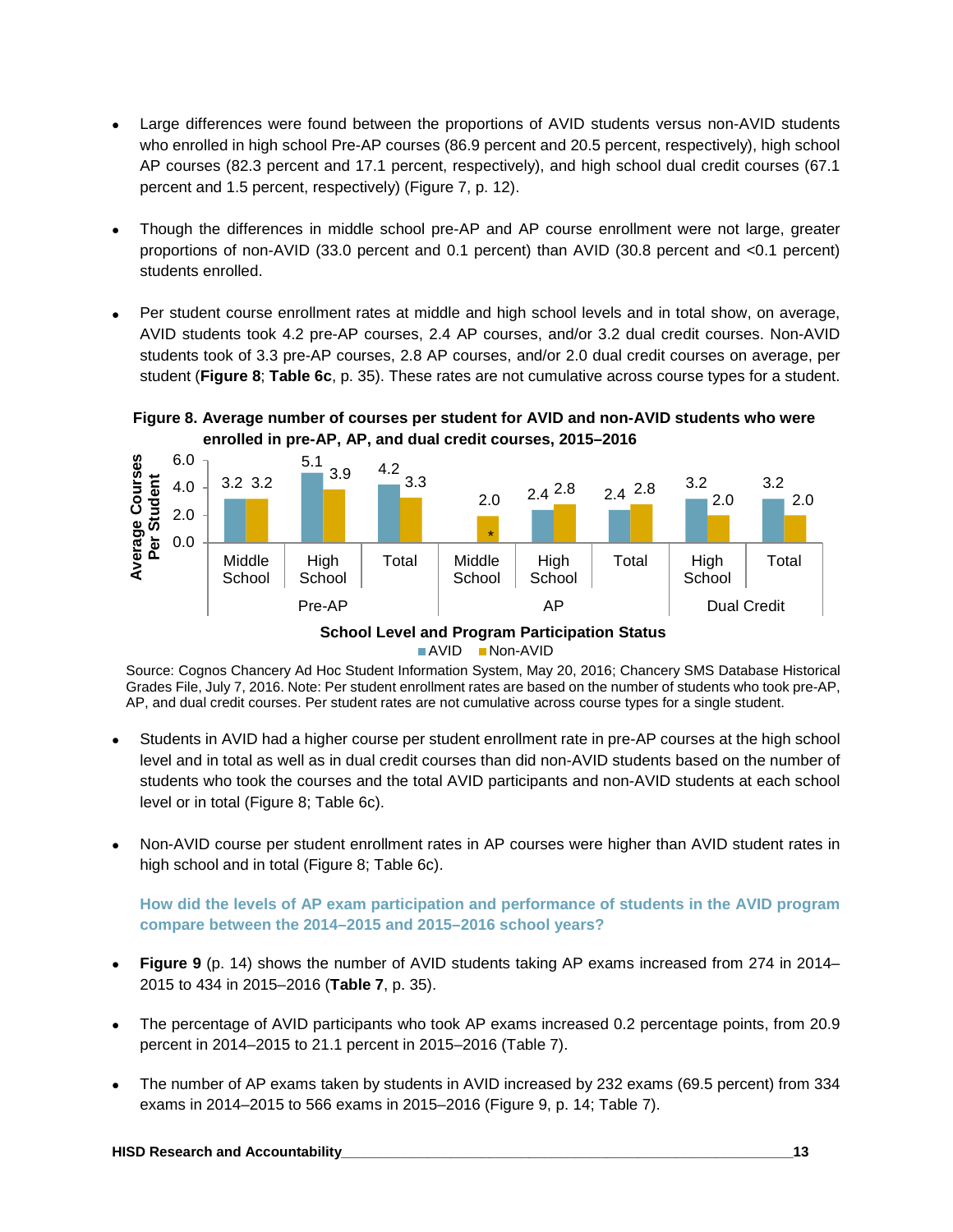- Large differences were found between the proportions of AVID students versus non-AVID students who enrolled in high school Pre-AP courses (86.9 percent and 20.5 percent, respectively), high school AP courses (82.3 percent and 17.1 percent, respectively), and high school dual credit courses (67.1 percent and 1.5 percent, respectively) (Figure 7, p. 12).
- Though the differences in middle school pre-AP and AP course enrollment were not large, greater proportions of non-AVID (33.0 percent and 0.1 percent) than AVID (30.8 percent and <0.1 percent) students enrolled.
- Per student course enrollment rates at middle and high school levels and in total show, on average, AVID students took 4.2 pre-AP courses, 2.4 AP courses, and/or 3.2 dual credit courses. Non-AVID students took of 3.3 pre-AP courses, 2.8 AP courses, and/or 2.0 dual credit courses on average, per student (**Figure 8**; **Table 6c**, p. 35). These rates are not cumulative across course types for a student.

#### **Figure 8. Average number of courses per student for AVID and non-AVID students who were enrolled in pre-AP, AP, and dual credit courses, 2015–2016**



**AVID** Non-AVID

Source: Cognos Chancery Ad Hoc Student Information System, May 20, 2016; Chancery SMS Database Historical Grades File, July 7, 2016. Note: Per student enrollment rates are based on the number of students who took pre-AP, AP, and dual credit courses. Per student rates are not cumulative across course types for a single student.

- Students in AVID had a higher course per student enrollment rate in pre-AP courses at the high school level and in total as well as in dual credit courses than did non-AVID students based on the number of students who took the courses and the total AVID participants and non-AVID students at each school level or in total (Figure 8; Table 6c).
- Non-AVID course per student enrollment rates in AP courses were higher than AVID student rates in high school and in total (Figure 8; Table 6c).

**How did the levels of AP exam participation and performance of students in the AVID program compare between the 2014–2015 and 2015–2016 school years?**

- **Figure 9** (p. 14) shows the number of AVID students taking AP exams increased from 274 in 2014– 2015 to 434 in 2015–2016 (**Table 7**, p. 35).
- The percentage of AVID participants who took AP exams increased 0.2 percentage points, from 20.9 percent in 2014–2015 to 21.1 percent in 2015–2016 (Table 7).
- The number of AP exams taken by students in AVID increased by 232 exams (69.5 percent) from 334 exams in 2014–2015 to 566 exams in 2015–2016 (Figure 9, p. 14; Table 7).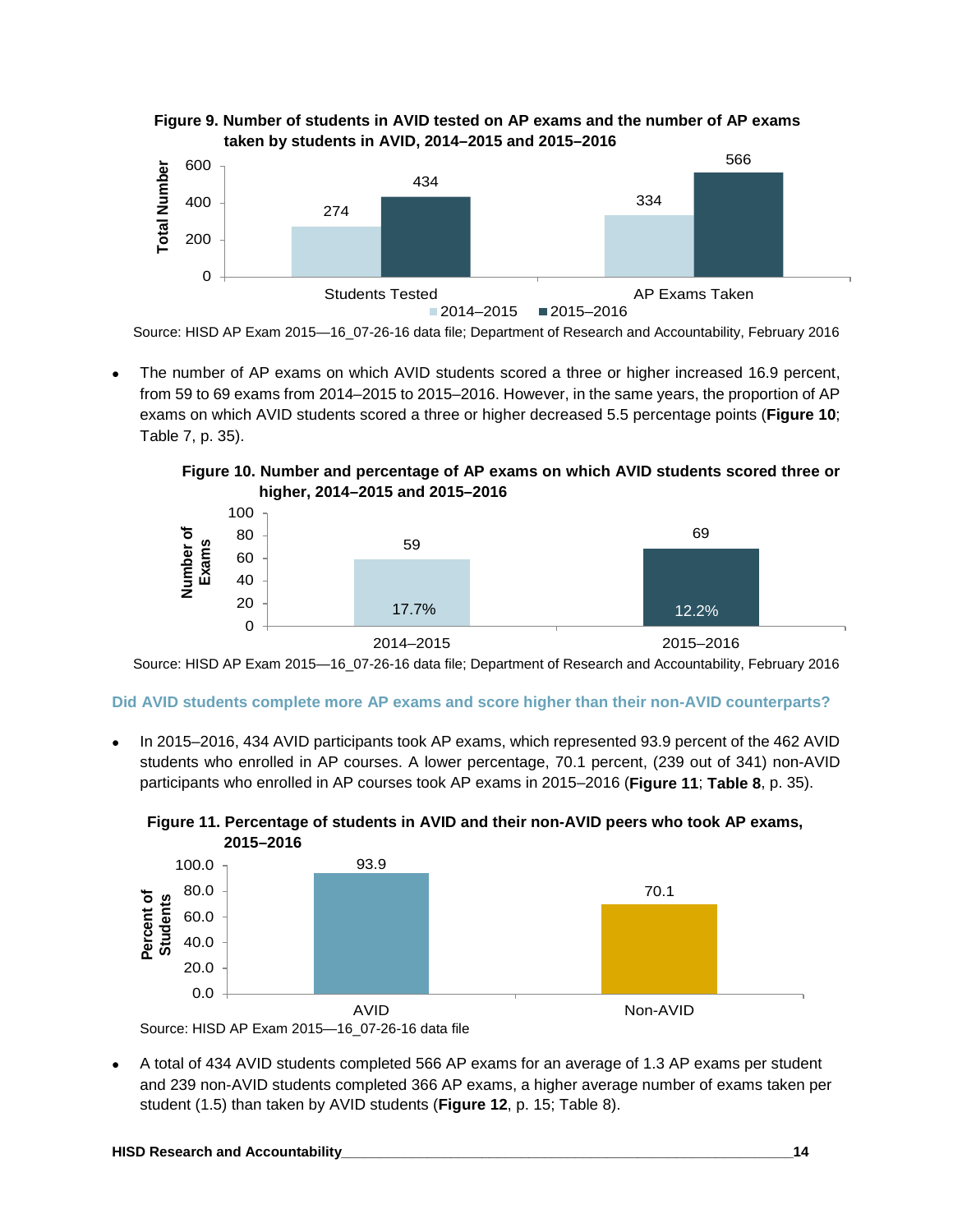



Source: HISD AP Exam 2015—16\_07-26-16 data file; Department of Research and Accountability, February 2016

• The number of AP exams on which AVID students scored a three or higher increased 16.9 percent, from 59 to 69 exams from 2014–2015 to 2015–2016. However, in the same years, the proportion of AP exams on which AVID students scored a three or higher decreased 5.5 percentage points (**Figure 10**; Table 7, p. 35).

**Figure 10. Number and percentage of AP exams on which AVID students scored three or higher, 2014–2015 and 2015–2016**



Source: HISD AP Exam 2015—16\_07-26-16 data file; Department of Research and Accountability, February 2016

#### **Did AVID students complete more AP exams and score higher than their non-AVID counterparts?**

• In 2015–2016, 434 AVID participants took AP exams, which represented 93.9 percent of the 462 AVID students who enrolled in AP courses. A lower percentage, 70.1 percent, (239 out of 341) non-AVID participants who enrolled in AP courses took AP exams in 2015–2016 (**Figure 11**; **Table 8**, p. 35).





• A total of 434 AVID students completed 566 AP exams for an average of 1.3 AP exams per student and 239 non-AVID students completed 366 AP exams, a higher average number of exams taken per student (1.5) than taken by AVID students (**Figure 12**, p. 15; Table 8).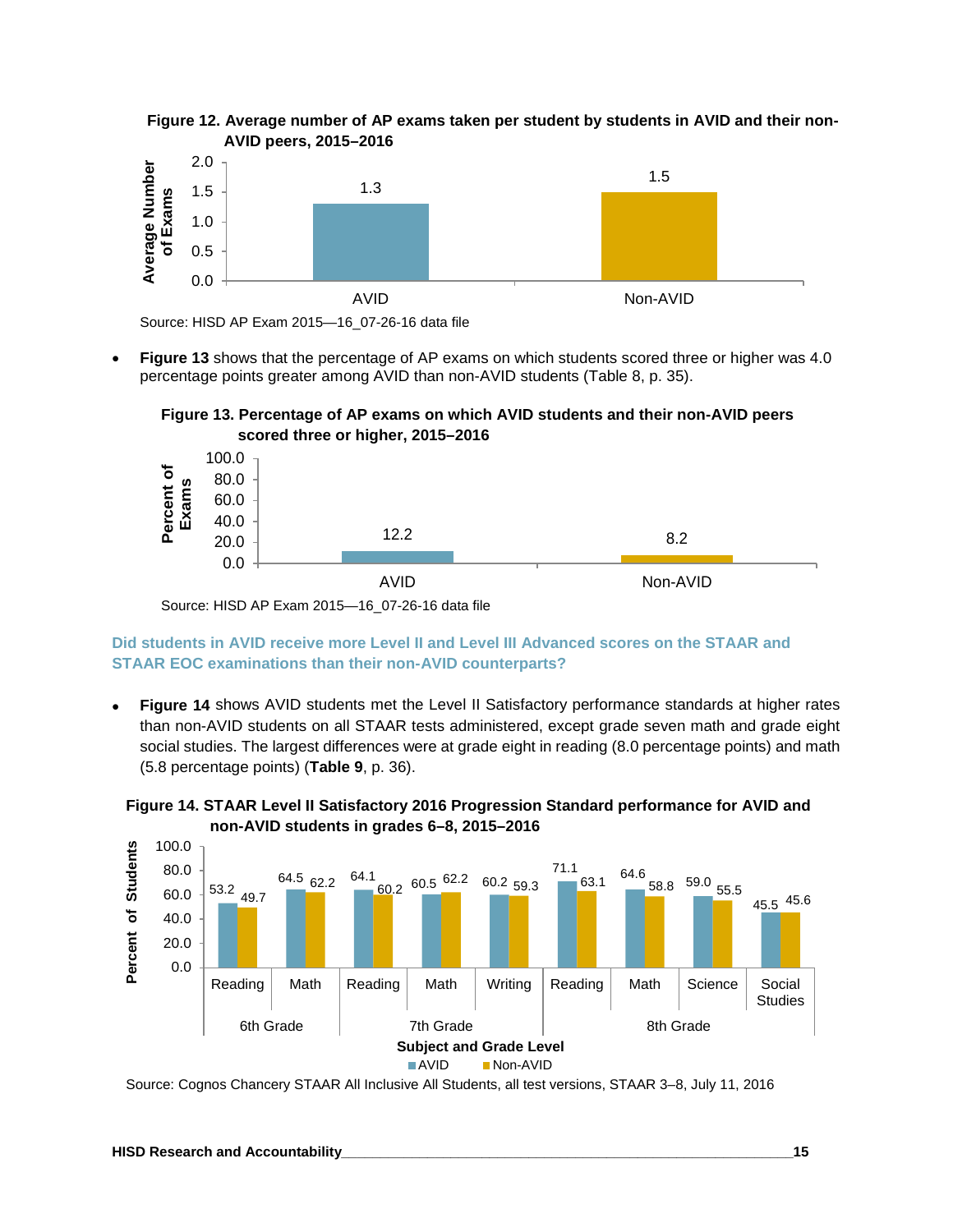



Source: HISD AP Exam 2015—16\_07-26-16 data file

• **Figure 13** shows that the percentage of AP exams on which students scored three or higher was 4.0 percentage points greater among AVID than non-AVID students (Table 8, p. 35).





Source: HISD AP Exam 2015—16\_07-26-16 data file

**Did students in AVID receive more Level II and Level III Advanced scores on the STAAR and STAAR EOC examinations than their non-AVID counterparts?**

• **Figure 14** shows AVID students met the Level II Satisfactory performance standards at higher rates than non-AVID students on all STAAR tests administered, except grade seven math and grade eight social studies. The largest differences were at grade eight in reading (8.0 percentage points) and math (5.8 percentage points) (**Table 9**, p. 36).





Source: Cognos Chancery STAAR All Inclusive All Students, all test versions, STAAR 3–8, July 11, 2016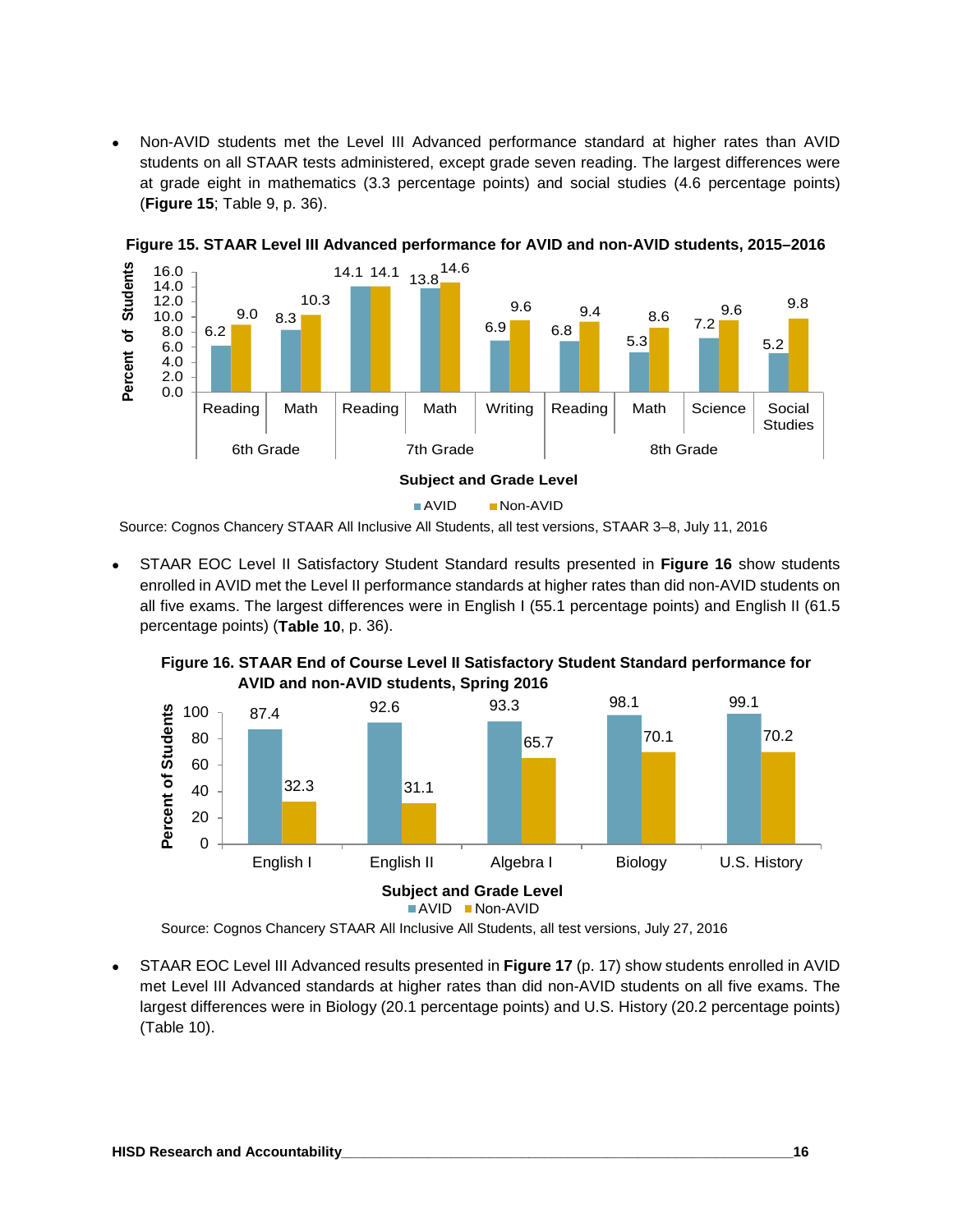• Non-AVID students met the Level III Advanced performance standard at higher rates than AVID students on all STAAR tests administered, except grade seven reading. The largest differences were at grade eight in mathematics (3.3 percentage points) and social studies (4.6 percentage points) (**Figure 15**; Table 9, p. 36).



**Figure 15. STAAR Level III Advanced performance for AVID and non-AVID students, 2015–2016**

Source: Cognos Chancery STAAR All Inclusive All Students, all test versions, STAAR 3–8, July 11, 2016

• STAAR EOC Level II Satisfactory Student Standard results presented in **Figure 16** show students enrolled in AVID met the Level II performance standards at higher rates than did non-AVID students on all five exams. The largest differences were in English I (55.1 percentage points) and English II (61.5 percentage points) (**Table 10**, p. 36).



**Figure 16. STAAR End of Course Level II Satisfactory Student Standard performance for AVID and non-AVID students, Spring 2016**

Source: Cognos Chancery STAAR All Inclusive All Students, all test versions, July 27, 2016

• STAAR EOC Level III Advanced results presented in **Figure 17** (p. 17) show students enrolled in AVID met Level III Advanced standards at higher rates than did non-AVID students on all five exams. The largest differences were in Biology (20.1 percentage points) and U.S. History (20.2 percentage points) (Table 10).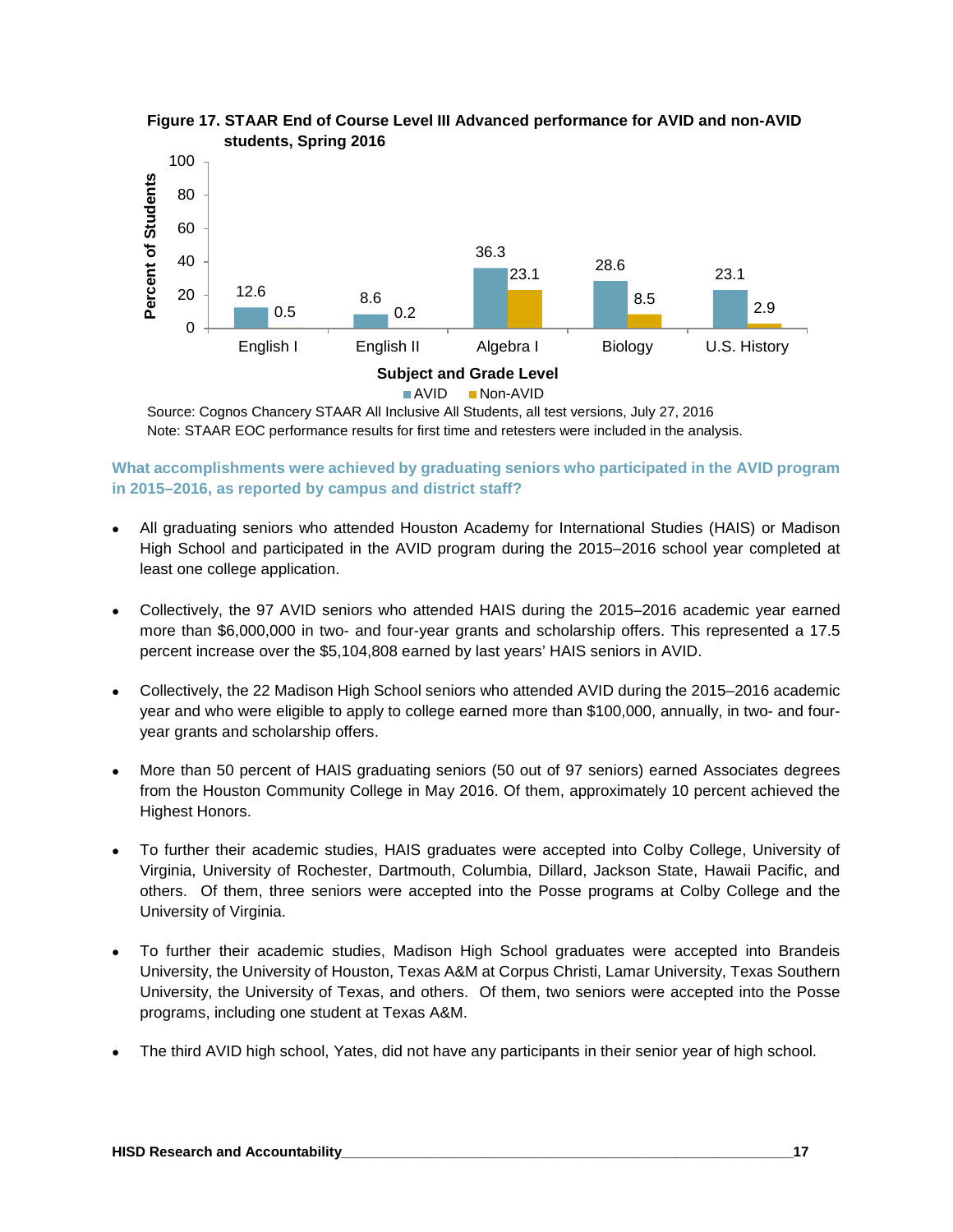



Source: Cognos Chancery STAAR All Inclusive All Students, all test versions, July 27, 2016 Note: STAAR EOC performance results for first time and retesters were included in the analysis.

**What accomplishments were achieved by graduating seniors who participated in the AVID program in 2015–2016, as reported by campus and district staff?**

- All graduating seniors who attended Houston Academy for International Studies (HAIS) or Madison High School and participated in the AVID program during the 2015–2016 school year completed at least one college application.
- Collectively, the 97 AVID seniors who attended HAIS during the 2015–2016 academic year earned more than \$6,000,000 in two- and four-year grants and scholarship offers. This represented a 17.5 percent increase over the \$5,104,808 earned by last years' HAIS seniors in AVID.
- Collectively, the 22 Madison High School seniors who attended AVID during the 2015–2016 academic year and who were eligible to apply to college earned more than \$100,000, annually, in two- and fouryear grants and scholarship offers.
- More than 50 percent of HAIS graduating seniors (50 out of 97 seniors) earned Associates degrees from the Houston Community College in May 2016. Of them, approximately 10 percent achieved the Highest Honors.
- To further their academic studies, HAIS graduates were accepted into Colby College, University of Virginia, University of Rochester, Dartmouth, Columbia, Dillard, Jackson State, Hawaii Pacific, and others. Of them, three seniors were accepted into the Posse programs at Colby College and the University of Virginia.
- To further their academic studies, Madison High School graduates were accepted into Brandeis University, the University of Houston, Texas A&M at Corpus Christi, Lamar University, Texas Southern University, the University of Texas, and others. Of them, two seniors were accepted into the Posse programs, including one student at Texas A&M.
- The third AVID high school, Yates, did not have any participants in their senior year of high school.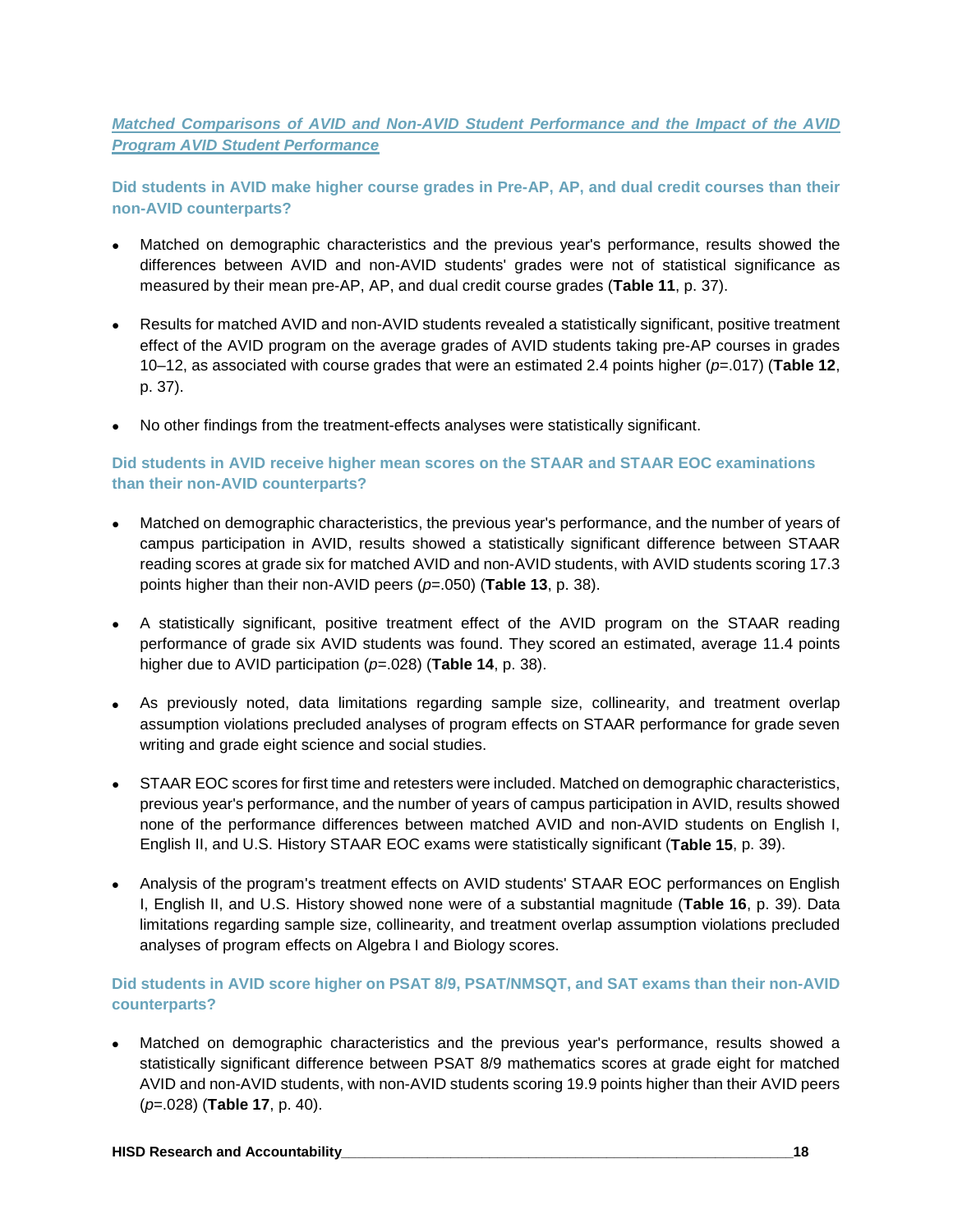*Matched Comparisons of AVID and Non-AVID Student Performance and the Impact of the AVID Program AVID Student Performance*

**Did students in AVID make higher course grades in Pre-AP, AP, and dual credit courses than their non-AVID counterparts?**

- Matched on demographic characteristics and the previous year's performance, results showed the differences between AVID and non-AVID students' grades were not of statistical significance as measured by their mean pre-AP, AP, and dual credit course grades (**Table 11**, p. 37).
- Results for matched AVID and non-AVID students revealed a statistically significant, positive treatment effect of the AVID program on the average grades of AVID students taking pre-AP courses in grades 10–12, as associated with course grades that were an estimated 2.4 points higher (*p*=.017) (**Table 12**, p. 37).
- No other findings from the treatment-effects analyses were statistically significant.

#### **Did students in AVID receive higher mean scores on the STAAR and STAAR EOC examinations than their non-AVID counterparts?**

- Matched on demographic characteristics, the previous year's performance, and the number of years of campus participation in AVID, results showed a statistically significant difference between STAAR reading scores at grade six for matched AVID and non-AVID students, with AVID students scoring 17.3 points higher than their non-AVID peers (*p*=.050) (**Table 13**, p. 38).
- A statistically significant, positive treatment effect of the AVID program on the STAAR reading performance of grade six AVID students was found. They scored an estimated, average 11.4 points higher due to AVID participation (*p*=.028) (**Table 14**, p. 38).
- As previously noted, data limitations regarding sample size, collinearity, and treatment overlap assumption violations precluded analyses of program effects on STAAR performance for grade seven writing and grade eight science and social studies.
- STAAR EOC scores for first time and retesters were included. Matched on demographic characteristics, previous year's performance, and the number of years of campus participation in AVID, results showed none of the performance differences between matched AVID and non-AVID students on English I, English II, and U.S. History STAAR EOC exams were statistically significant (**Table 15**, p. 39).
- Analysis of the program's treatment effects on AVID students' STAAR EOC performances on English I, English II, and U.S. History showed none were of a substantial magnitude (**Table 16**, p. 39). Data limitations regarding sample size, collinearity, and treatment overlap assumption violations precluded analyses of program effects on Algebra I and Biology scores.

#### **Did students in AVID score higher on PSAT 8/9, PSAT/NMSQT, and SAT exams than their non-AVID counterparts?**

• Matched on demographic characteristics and the previous year's performance, results showed a statistically significant difference between PSAT 8/9 mathematics scores at grade eight for matched AVID and non-AVID students, with non-AVID students scoring 19.9 points higher than their AVID peers (*p*=.028) (**Table 17**, p. 40).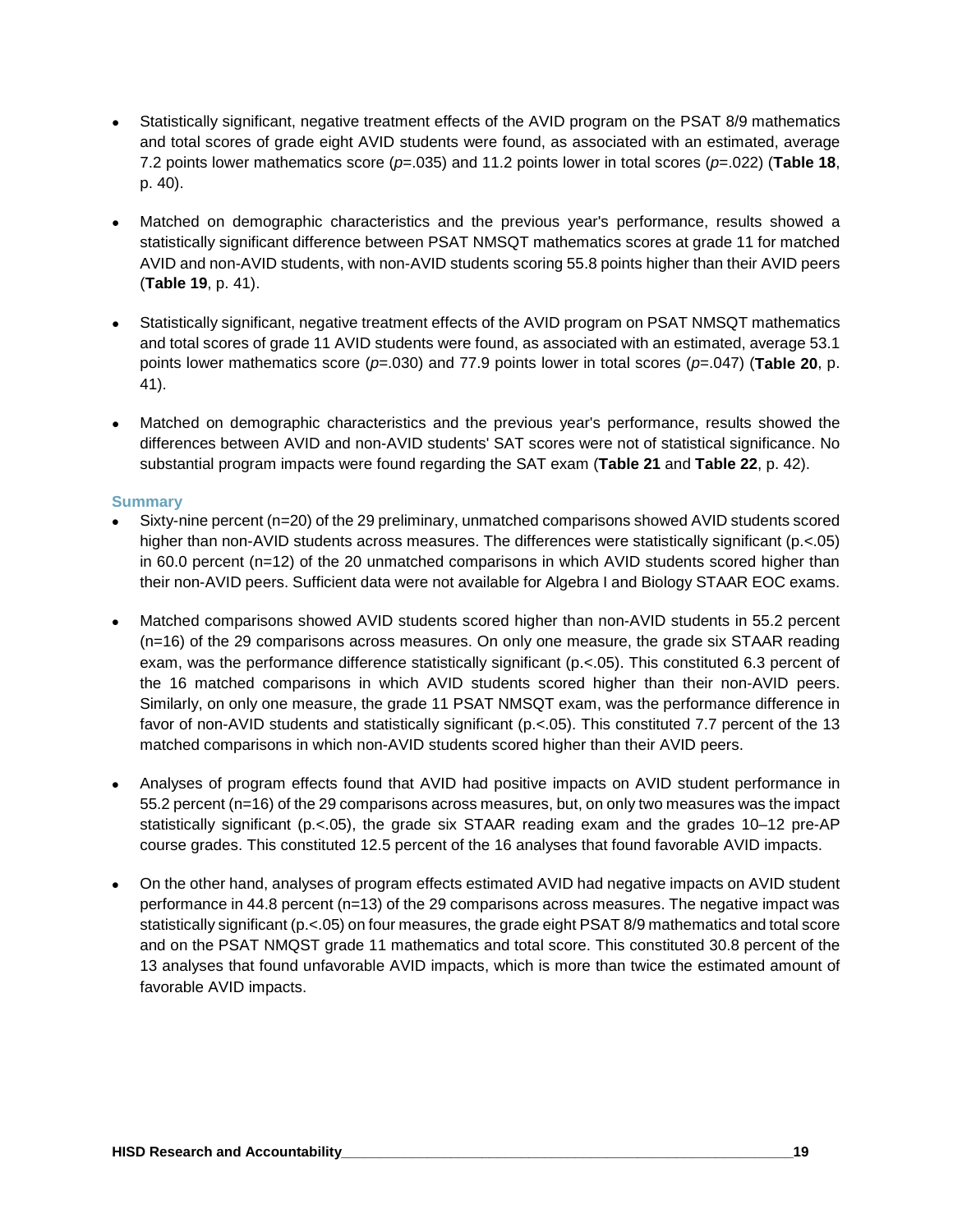- Statistically significant, negative treatment effects of the AVID program on the PSAT 8/9 mathematics and total scores of grade eight AVID students were found, as associated with an estimated, average 7.2 points lower mathematics score (*p*=.035) and 11.2 points lower in total scores (*p*=.022) (**Table 18**, p. 40).
- Matched on demographic characteristics and the previous year's performance, results showed a statistically significant difference between PSAT NMSQT mathematics scores at grade 11 for matched AVID and non-AVID students, with non-AVID students scoring 55.8 points higher than their AVID peers (**Table 19**, p. 41).
- Statistically significant, negative treatment effects of the AVID program on PSAT NMSQT mathematics and total scores of grade 11 AVID students were found, as associated with an estimated, average 53.1 points lower mathematics score (*p*=.030) and 77.9 points lower in total scores (*p*=.047) (**Table 20**, p. 41).
- Matched on demographic characteristics and the previous year's performance, results showed the differences between AVID and non-AVID students' SAT scores were not of statistical significance. No substantial program impacts were found regarding the SAT exam (**Table 21** and **Table 22**, p. 42).

#### **Summary**

- Sixty-nine percent (n=20) of the 29 preliminary, unmatched comparisons showed AVID students scored higher than non-AVID students across measures. The differences were statistically significant (p.<.05) in 60.0 percent (n=12) of the 20 unmatched comparisons in which AVID students scored higher than their non-AVID peers. Sufficient data were not available for Algebra I and Biology STAAR EOC exams.
- Matched comparisons showed AVID students scored higher than non-AVID students in 55.2 percent (n=16) of the 29 comparisons across measures. On only one measure, the grade six STAAR reading exam, was the performance difference statistically significant (p.<.05). This constituted 6.3 percent of the 16 matched comparisons in which AVID students scored higher than their non-AVID peers. Similarly, on only one measure, the grade 11 PSAT NMSQT exam, was the performance difference in favor of non-AVID students and statistically significant (p.<.05). This constituted 7.7 percent of the 13 matched comparisons in which non-AVID students scored higher than their AVID peers.
- Analyses of program effects found that AVID had positive impacts on AVID student performance in 55.2 percent (n=16) of the 29 comparisons across measures, but, on only two measures was the impact statistically significant (p.<.05), the grade six STAAR reading exam and the grades 10–12 pre-AP course grades. This constituted 12.5 percent of the 16 analyses that found favorable AVID impacts.
- On the other hand, analyses of program effects estimated AVID had negative impacts on AVID student performance in 44.8 percent (n=13) of the 29 comparisons across measures. The negative impact was statistically significant (p.<.05) on four measures, the grade eight PSAT 8/9 mathematics and total score and on the PSAT NMQST grade 11 mathematics and total score. This constituted 30.8 percent of the 13 analyses that found unfavorable AVID impacts, which is more than twice the estimated amount of favorable AVID impacts.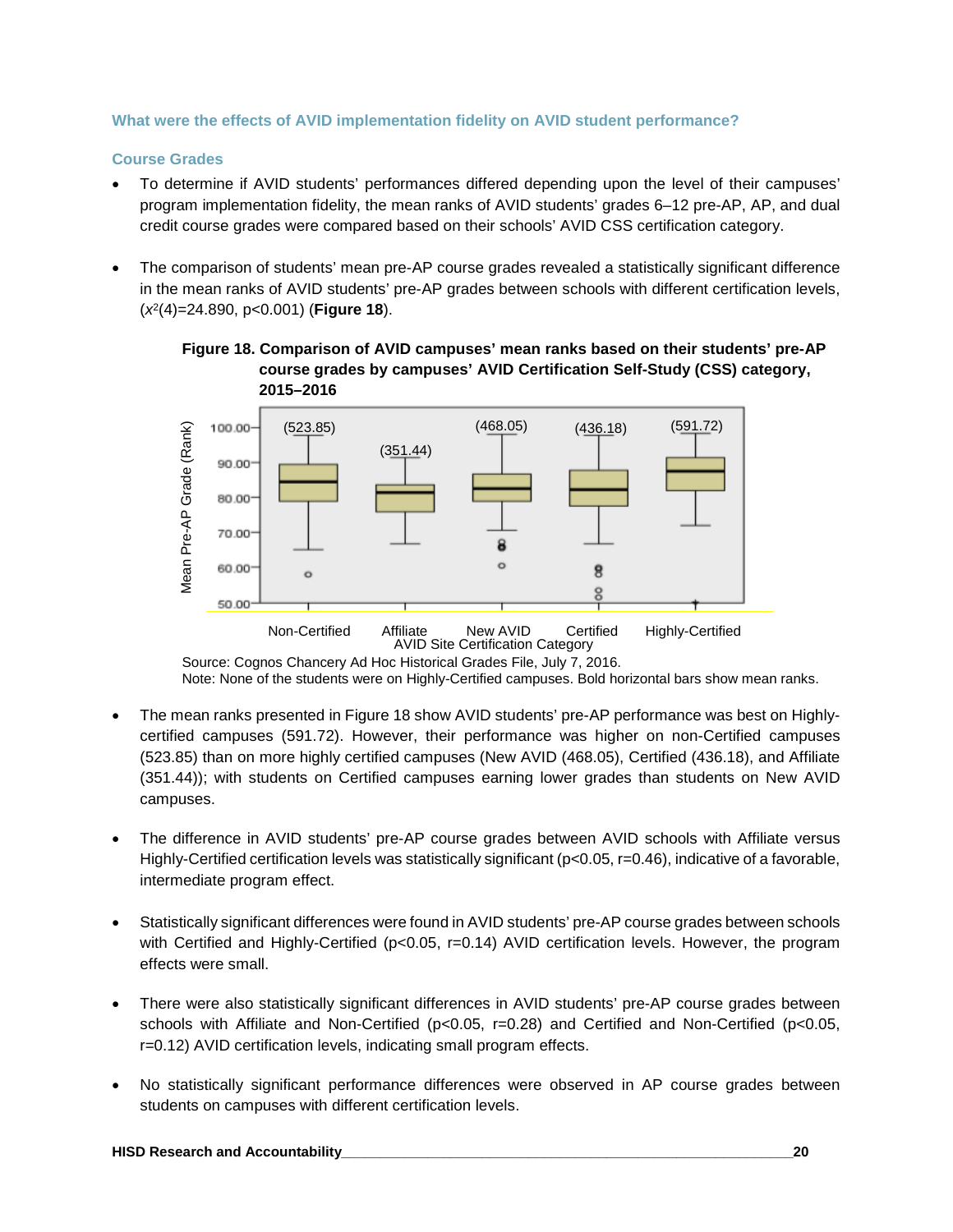#### **What were the effects of AVID implementation fidelity on AVID student performance?**

#### **Course Grades**

- To determine if AVID students' performances differed depending upon the level of their campuses' program implementation fidelity, the mean ranks of AVID students' grades 6–12 pre-AP, AP, and dual credit course grades were compared based on their schools' AVID CSS certification category.
- The comparison of students' mean pre-AP course grades revealed a statistically significant difference in the mean ranks of AVID students' pre-AP grades between schools with different certification levels, (*x*2(4)=24.890, p<0.001) (**Figure 18**).





Source: Cognos Chancery Ad Hoc Historical Grades File, July 7, 2016. Note: None of the students were on Highly-Certified campuses. Bold horizontal bars show mean ranks.

- The mean ranks presented in Figure 18 show AVID students' pre-AP performance was best on Highlycertified campuses (591.72). However, their performance was higher on non-Certified campuses (523.85) than on more highly certified campuses (New AVID (468.05), Certified (436.18), and Affiliate (351.44)); with students on Certified campuses earning lower grades than students on New AVID campuses.
- The difference in AVID students' pre-AP course grades between AVID schools with Affiliate versus Highly-Certified certification levels was statistically significant (p<0.05, r=0.46), indicative of a favorable, intermediate program effect.
- Statistically significant differences were found in AVID students' pre-AP course grades between schools with Certified and Highly-Certified (p<0.05, r=0.14) AVID certification levels. However, the program effects were small.
- There were also statistically significant differences in AVID students' pre-AP course grades between schools with Affiliate and Non-Certified (p<0.05, r=0.28) and Certified and Non-Certified (p<0.05, r=0.12) AVID certification levels, indicating small program effects.
- No statistically significant performance differences were observed in AP course grades between students on campuses with different certification levels.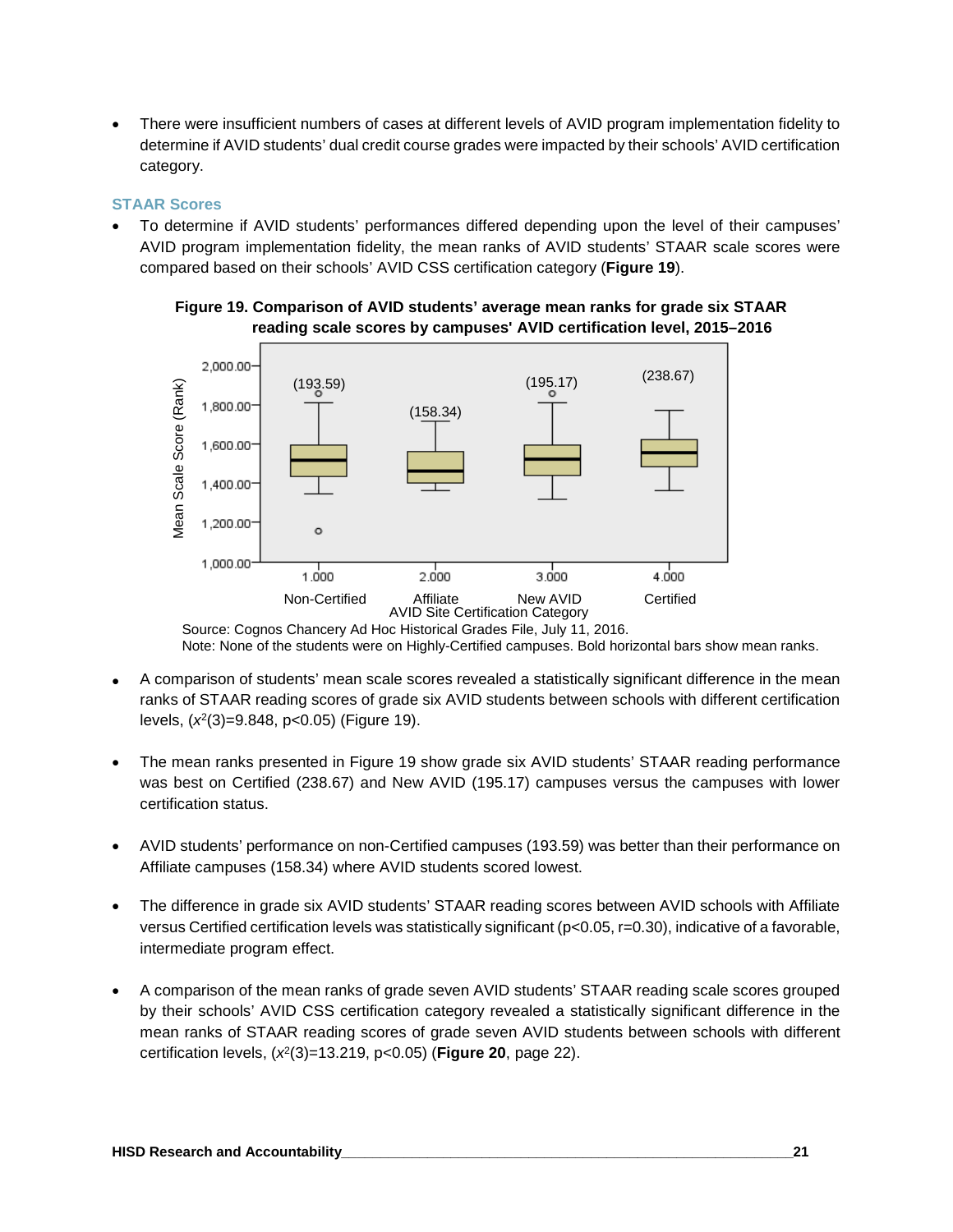• There were insufficient numbers of cases at different levels of AVID program implementation fidelity to determine if AVID students' dual credit course grades were impacted by their schools' AVID certification category.

#### **STAAR Scores**

• To determine if AVID students' performances differed depending upon the level of their campuses' AVID program implementation fidelity, the mean ranks of AVID students' STAAR scale scores were compared based on their schools' AVID CSS certification category (**Figure 19**).





Source: Cognos Chancery Ad Hoc Historical Grades File, July 11, 2016. Note: None of the students were on Highly-Certified campuses. Bold horizontal bars show mean ranks.

- A comparison of students' mean scale scores revealed a statistically significant difference in the mean ranks of STAAR reading scores of grade six AVID students between schools with different certification levels, (*x*<sup>2</sup> (3)=9.848, p<0.05) (Figure 19).
- The mean ranks presented in Figure 19 show grade six AVID students' STAAR reading performance was best on Certified (238.67) and New AVID (195.17) campuses versus the campuses with lower certification status.
- AVID students' performance on non-Certified campuses (193.59) was better than their performance on Affiliate campuses (158.34) where AVID students scored lowest.
- The difference in grade six AVID students' STAAR reading scores between AVID schools with Affiliate versus Certified certification levels was statistically significant (p<0.05, r=0.30), indicative of a favorable, intermediate program effect.
- A comparison of the mean ranks of grade seven AVID students' STAAR reading scale scores grouped by their schools' AVID CSS certification category revealed a statistically significant difference in the mean ranks of STAAR reading scores of grade seven AVID students between schools with different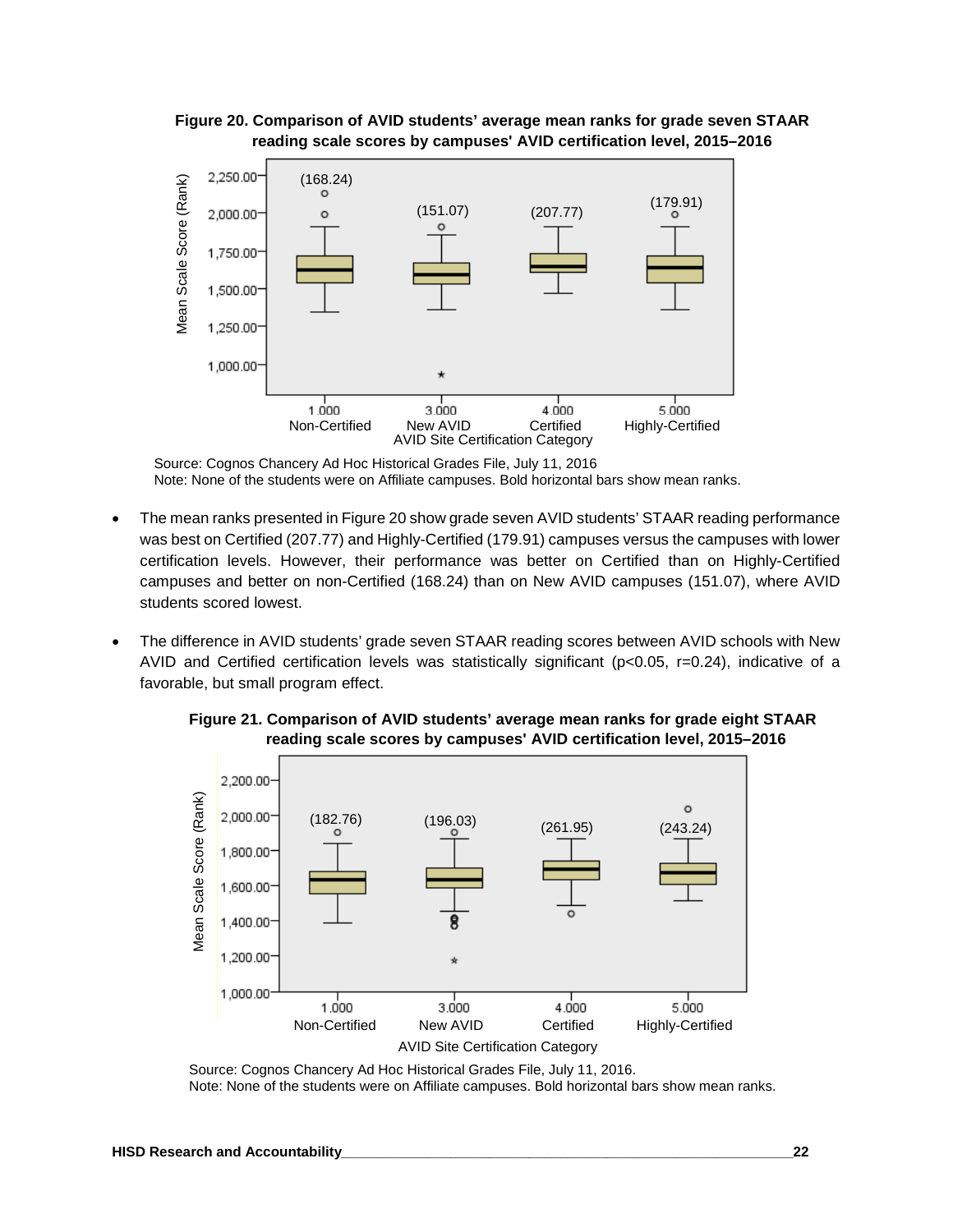

#### **Figure 20. Comparison of AVID students' average mean ranks for grade seven STAAR reading scale scores by campuses' AVID certification level, 2015–2016**

Source: Cognos Chancery Ad Hoc Historical Grades File, July 11, 2016 Note: None of the students were on Affiliate campuses. Bold horizontal bars show mean ranks.

- The mean ranks presented in Figure 20 show grade seven AVID students' STAAR reading performance was best on Certified (207.77) and Highly-Certified (179.91) campuses versus the campuses with lower certification levels. However, their performance was better on Certified than on Highly-Certified campuses and better on non-Certified (168.24) than on New AVID campuses (151.07), where AVID students scored lowest.
- The difference in AVID students' grade seven STAAR reading scores between AVID schools with New AVID and Certified certification levels was statistically significant (p<0.05, r=0.24), indicative of a favorable, but small program effect.





Source: Cognos Chancery Ad Hoc Historical Grades File, July 11, 2016. Note: None of the students were on Affiliate campuses. Bold horizontal bars show mean ranks.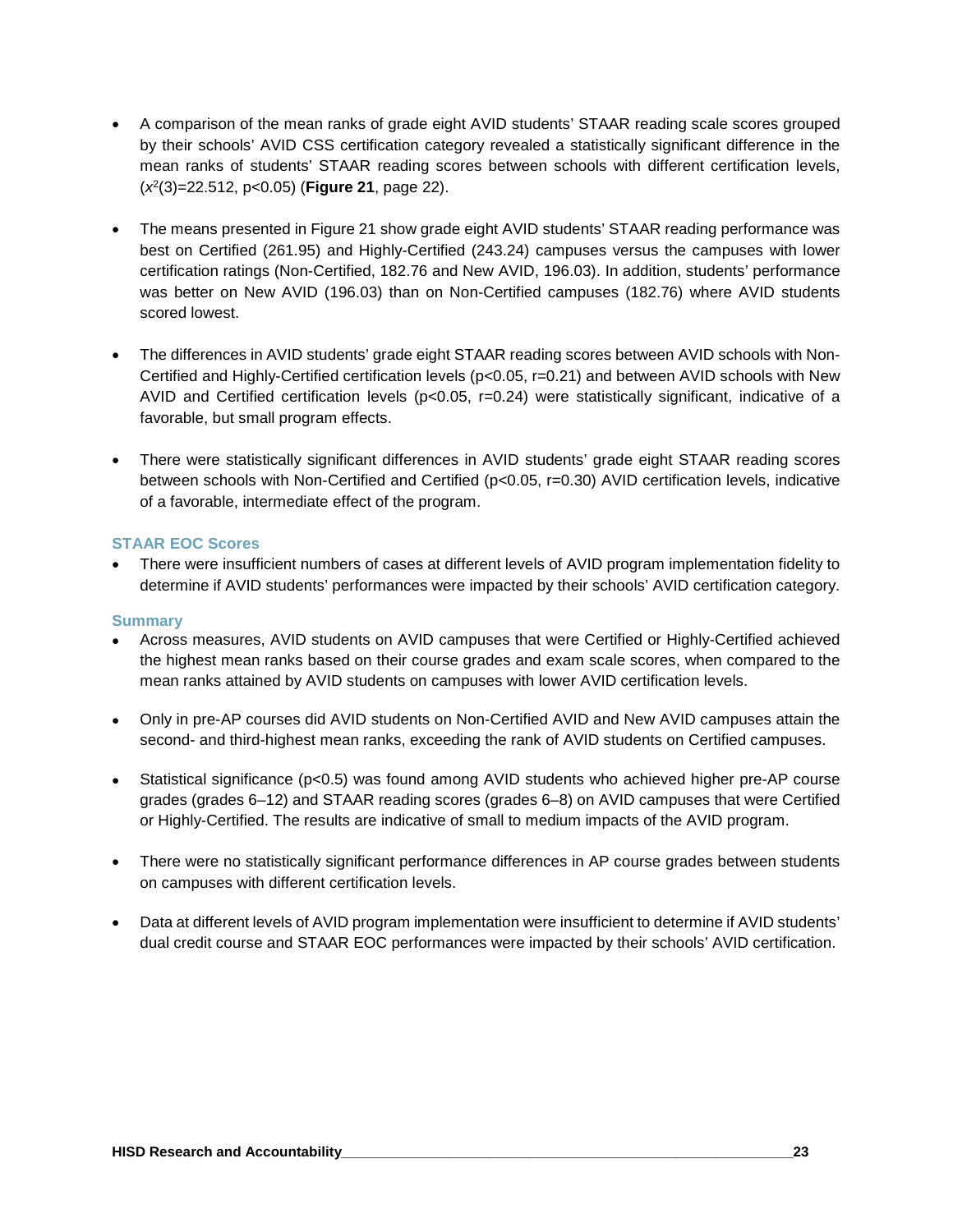- A comparison of the mean ranks of grade eight AVID students' STAAR reading scale scores grouped by their schools' AVID CSS certification category revealed a statistically significant difference in the mean ranks of students' STAAR reading scores between schools with different certification levels, (*x*2(3)=22.512, p<0.05) (**Figure 21**, page 22).
- The means presented in Figure 21 show grade eight AVID students' STAAR reading performance was best on Certified (261.95) and Highly-Certified (243.24) campuses versus the campuses with lower certification ratings (Non-Certified, 182.76 and New AVID, 196.03). In addition, students' performance was better on New AVID (196.03) than on Non-Certified campuses (182.76) where AVID students scored lowest.
- The differences in AVID students' grade eight STAAR reading scores between AVID schools with Non-Certified and Highly-Certified certification levels (p<0.05, r=0.21) and between AVID schools with New AVID and Certified certification levels (p<0.05, r=0.24) were statistically significant, indicative of a favorable, but small program effects.
- There were statistically significant differences in AVID students' grade eight STAAR reading scores between schools with Non-Certified and Certified (p<0.05, r=0.30) AVID certification levels, indicative of a favorable, intermediate effect of the program.

#### **STAAR EOC Scores**

• There were insufficient numbers of cases at different levels of AVID program implementation fidelity to determine if AVID students' performances were impacted by their schools' AVID certification category.

#### **Summary**

- Across measures, AVID students on AVID campuses that were Certified or Highly-Certified achieved the highest mean ranks based on their course grades and exam scale scores, when compared to the mean ranks attained by AVID students on campuses with lower AVID certification levels.
- Only in pre-AP courses did AVID students on Non-Certified AVID and New AVID campuses attain the second- and third-highest mean ranks, exceeding the rank of AVID students on Certified campuses.
- Statistical significance (p<0.5) was found among AVID students who achieved higher pre-AP course grades (grades 6–12) and STAAR reading scores (grades 6–8) on AVID campuses that were Certified or Highly-Certified. The results are indicative of small to medium impacts of the AVID program.
- There were no statistically significant performance differences in AP course grades between students on campuses with different certification levels.
- Data at different levels of AVID program implementation were insufficient to determine if AVID students' dual credit course and STAAR EOC performances were impacted by their schools' AVID certification.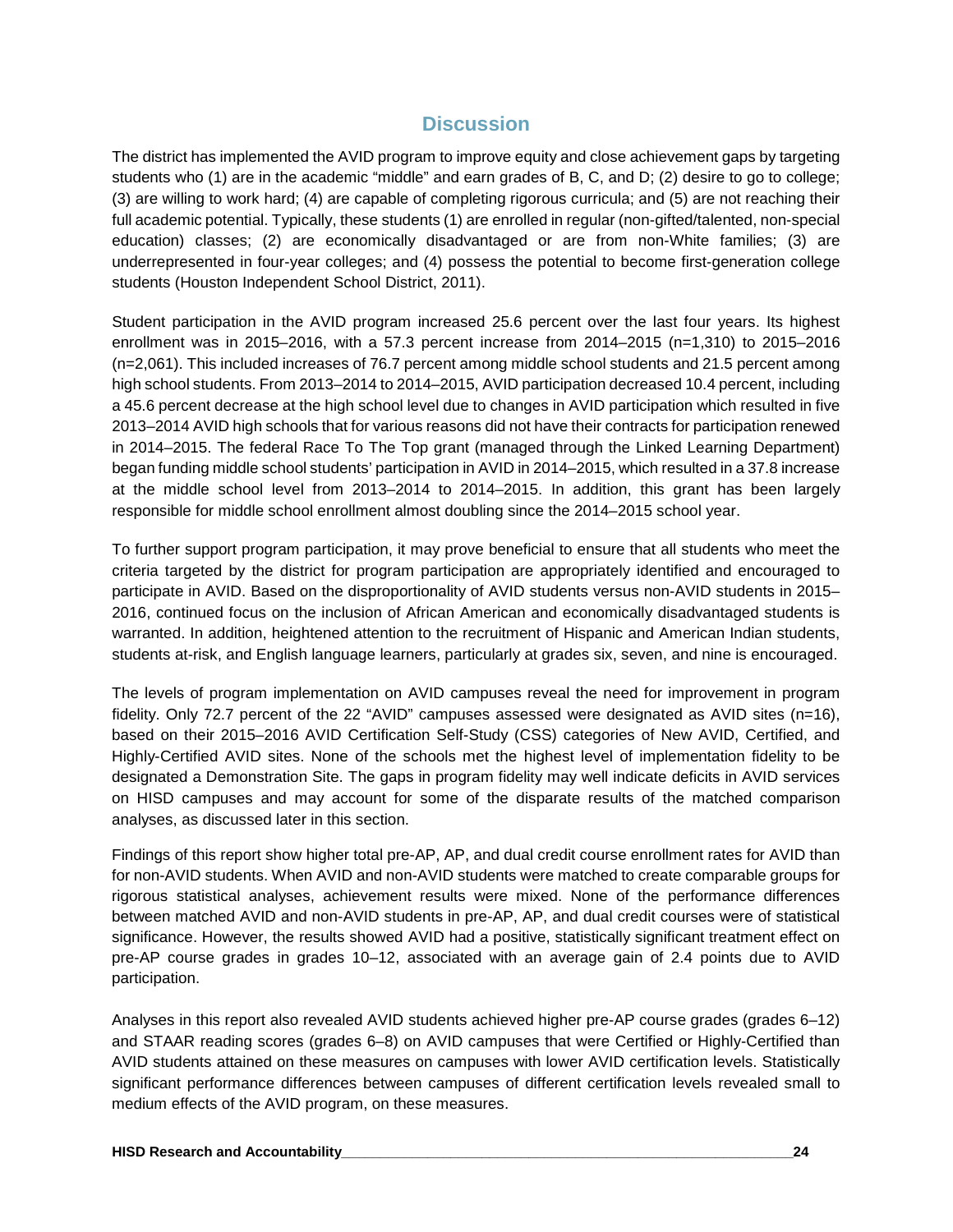## **Discussion**

The district has implemented the AVID program to improve equity and close achievement gaps by targeting students who (1) are in the academic "middle" and earn grades of B, C, and D; (2) desire to go to college; (3) are willing to work hard; (4) are capable of completing rigorous curricula; and (5) are not reaching their full academic potential. Typically, these students (1) are enrolled in regular (non-gifted/talented, non-special education) classes; (2) are economically disadvantaged or are from non-White families; (3) are underrepresented in four-year colleges; and (4) possess the potential to become first-generation college students (Houston Independent School District, 2011).

Student participation in the AVID program increased 25.6 percent over the last four years. Its highest enrollment was in 2015–2016, with a 57.3 percent increase from 2014–2015 (n=1,310) to 2015–2016 (n=2,061). This included increases of 76.7 percent among middle school students and 21.5 percent among high school students. From 2013–2014 to 2014–2015, AVID participation decreased 10.4 percent, including a 45.6 percent decrease at the high school level due to changes in AVID participation which resulted in five 2013–2014 AVID high schools that for various reasons did not have their contracts for participation renewed in 2014–2015. The federal Race To The Top grant (managed through the Linked Learning Department) began funding middle school students' participation in AVID in 2014–2015, which resulted in a 37.8 increase at the middle school level from 2013–2014 to 2014–2015. In addition, this grant has been largely responsible for middle school enrollment almost doubling since the 2014–2015 school year.

To further support program participation, it may prove beneficial to ensure that all students who meet the criteria targeted by the district for program participation are appropriately identified and encouraged to participate in AVID. Based on the disproportionality of AVID students versus non-AVID students in 2015– 2016, continued focus on the inclusion of African American and economically disadvantaged students is warranted. In addition, heightened attention to the recruitment of Hispanic and American Indian students, students at-risk, and English language learners, particularly at grades six, seven, and nine is encouraged.

The levels of program implementation on AVID campuses reveal the need for improvement in program fidelity. Only 72.7 percent of the 22 "AVID" campuses assessed were designated as AVID sites (n=16), based on their 2015–2016 AVID Certification Self-Study (CSS) categories of New AVID, Certified, and Highly-Certified AVID sites. None of the schools met the highest level of implementation fidelity to be designated a Demonstration Site. The gaps in program fidelity may well indicate deficits in AVID services on HISD campuses and may account for some of the disparate results of the matched comparison analyses, as discussed later in this section.

Findings of this report show higher total pre-AP, AP, and dual credit course enrollment rates for AVID than for non-AVID students. When AVID and non-AVID students were matched to create comparable groups for rigorous statistical analyses, achievement results were mixed. None of the performance differences between matched AVID and non-AVID students in pre-AP, AP, and dual credit courses were of statistical significance. However, the results showed AVID had a positive, statistically significant treatment effect on pre-AP course grades in grades 10–12, associated with an average gain of 2.4 points due to AVID participation.

Analyses in this report also revealed AVID students achieved higher pre-AP course grades (grades 6–12) and STAAR reading scores (grades 6–8) on AVID campuses that were Certified or Highly-Certified than AVID students attained on these measures on campuses with lower AVID certification levels. Statistically significant performance differences between campuses of different certification levels revealed small to medium effects of the AVID program, on these measures.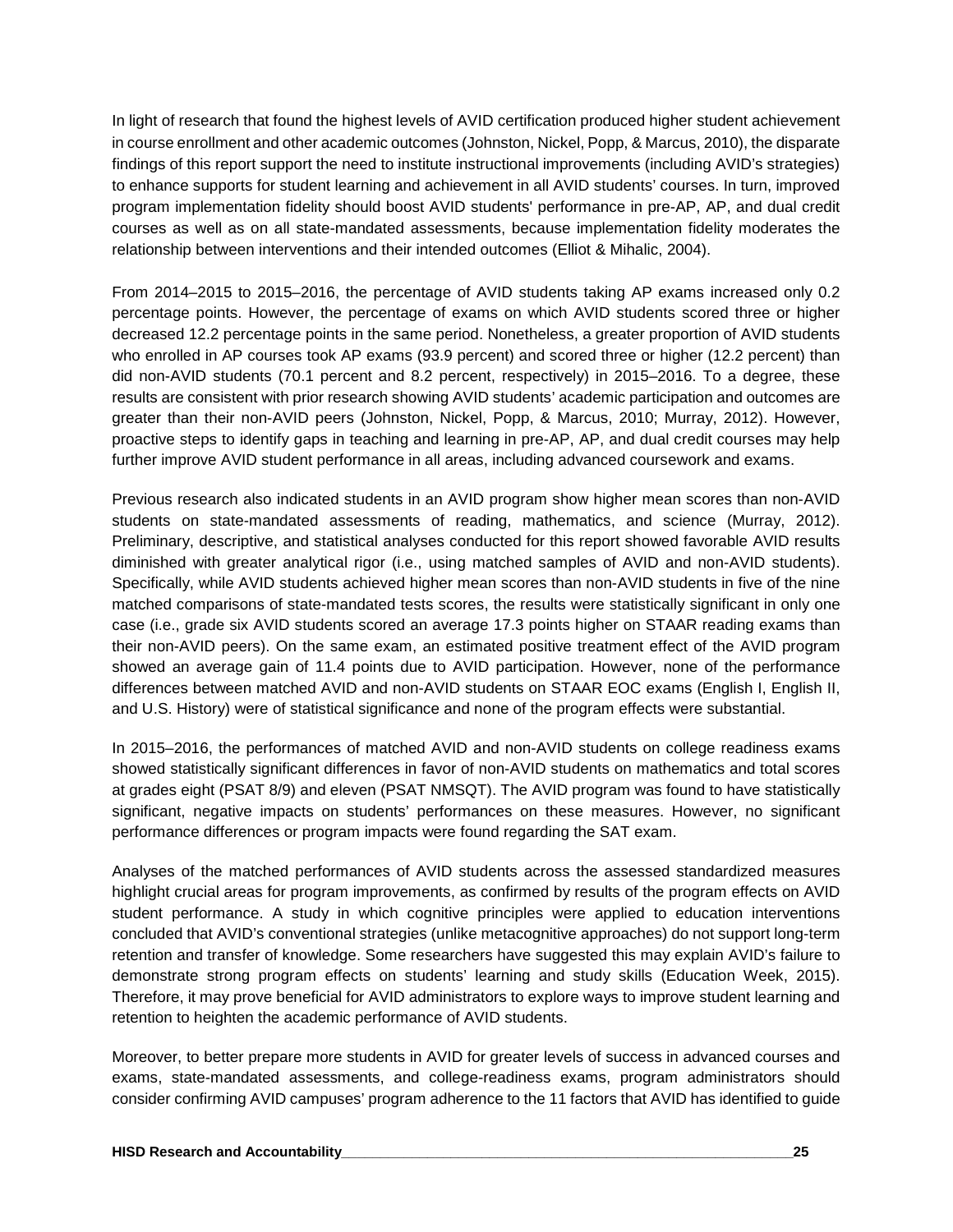In light of research that found the highest levels of AVID certification produced higher student achievement in course enrollment and other academic outcomes (Johnston, Nickel, Popp, & Marcus, 2010), the disparate findings of this report support the need to institute instructional improvements (including AVID's strategies) to enhance supports for student learning and achievement in all AVID students' courses. In turn, improved program implementation fidelity should boost AVID students' performance in pre-AP, AP, and dual credit courses as well as on all state-mandated assessments, because implementation fidelity moderates the relationship between interventions and their intended outcomes (Elliot & Mihalic, 2004).

From 2014–2015 to 2015–2016, the percentage of AVID students taking AP exams increased only 0.2 percentage points. However, the percentage of exams on which AVID students scored three or higher decreased 12.2 percentage points in the same period. Nonetheless, a greater proportion of AVID students who enrolled in AP courses took AP exams (93.9 percent) and scored three or higher (12.2 percent) than did non-AVID students (70.1 percent and 8.2 percent, respectively) in 2015–2016. To a degree, these results are consistent with prior research showing AVID students' academic participation and outcomes are greater than their non-AVID peers (Johnston, Nickel, Popp, & Marcus, 2010; Murray, 2012). However, proactive steps to identify gaps in teaching and learning in pre-AP, AP, and dual credit courses may help further improve AVID student performance in all areas, including advanced coursework and exams.

Previous research also indicated students in an AVID program show higher mean scores than non-AVID students on state-mandated assessments of reading, mathematics, and science (Murray, 2012). Preliminary, descriptive, and statistical analyses conducted for this report showed favorable AVID results diminished with greater analytical rigor (i.e., using matched samples of AVID and non-AVID students). Specifically, while AVID students achieved higher mean scores than non-AVID students in five of the nine matched comparisons of state-mandated tests scores, the results were statistically significant in only one case (i.e., grade six AVID students scored an average 17.3 points higher on STAAR reading exams than their non-AVID peers). On the same exam, an estimated positive treatment effect of the AVID program showed an average gain of 11.4 points due to AVID participation. However, none of the performance differences between matched AVID and non-AVID students on STAAR EOC exams (English I, English II, and U.S. History) were of statistical significance and none of the program effects were substantial.

In 2015–2016, the performances of matched AVID and non-AVID students on college readiness exams showed statistically significant differences in favor of non-AVID students on mathematics and total scores at grades eight (PSAT 8/9) and eleven (PSAT NMSQT). The AVID program was found to have statistically significant, negative impacts on students' performances on these measures. However, no significant performance differences or program impacts were found regarding the SAT exam.

Analyses of the matched performances of AVID students across the assessed standardized measures highlight crucial areas for program improvements, as confirmed by results of the program effects on AVID student performance. A study in which cognitive principles were applied to education interventions concluded that AVID's conventional strategies (unlike metacognitive approaches) do not support long-term retention and transfer of knowledge. Some researchers have suggested this may explain AVID's failure to demonstrate strong program effects on students' learning and study skills (Education Week, 2015). Therefore, it may prove beneficial for AVID administrators to explore ways to improve student learning and retention to heighten the academic performance of AVID students.

Moreover, to better prepare more students in AVID for greater levels of success in advanced courses and exams, state-mandated assessments, and college-readiness exams, program administrators should consider confirming AVID campuses' program adherence to the 11 factors that AVID has identified to guide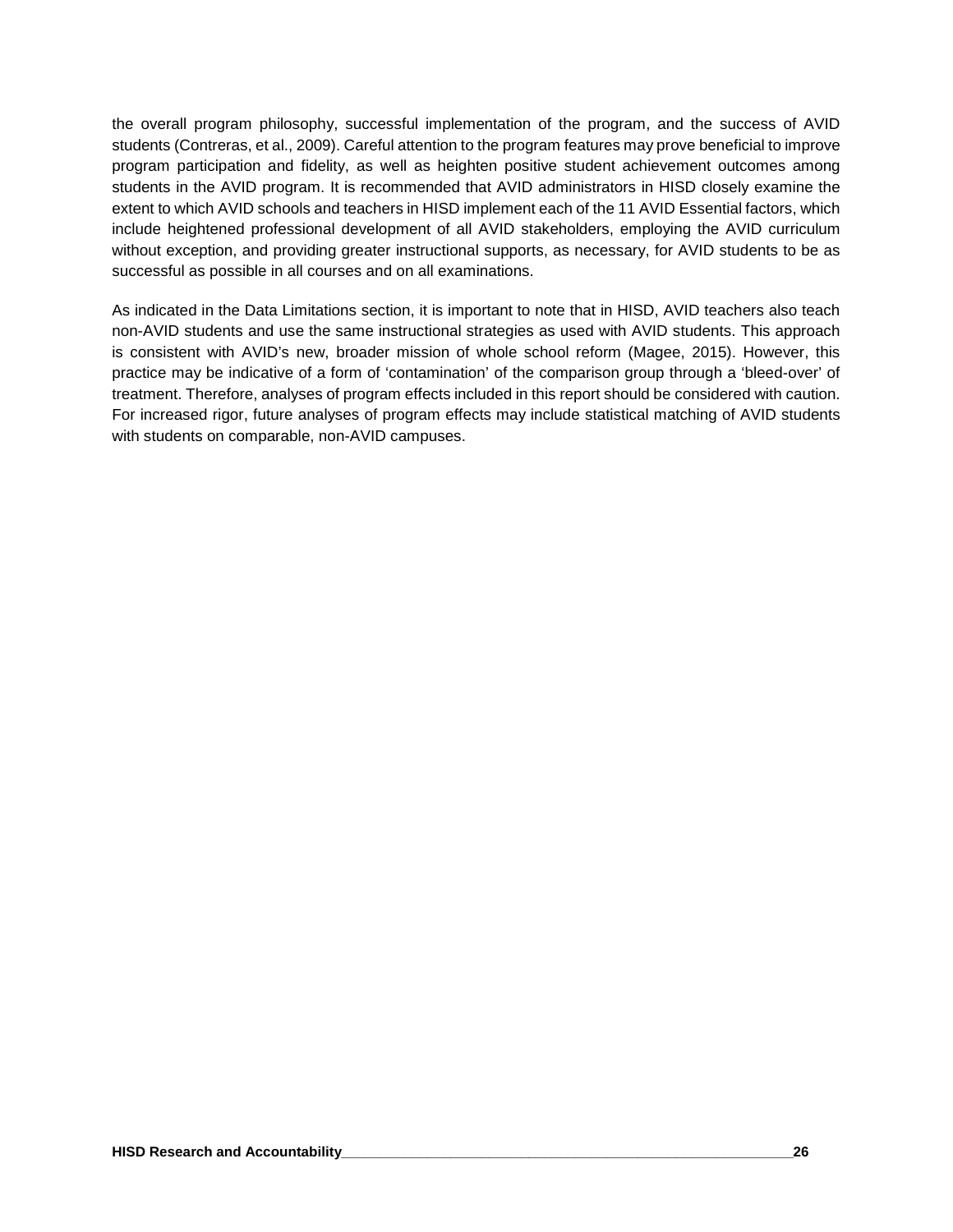the overall program philosophy, successful implementation of the program, and the success of AVID students (Contreras, et al., 2009). Careful attention to the program features may prove beneficial to improve program participation and fidelity, as well as heighten positive student achievement outcomes among students in the AVID program. It is recommended that AVID administrators in HISD closely examine the extent to which AVID schools and teachers in HISD implement each of the 11 AVID Essential factors, which include heightened professional development of all AVID stakeholders, employing the AVID curriculum without exception, and providing greater instructional supports, as necessary, for AVID students to be as successful as possible in all courses and on all examinations.

As indicated in the Data Limitations section, it is important to note that in HISD, AVID teachers also teach non-AVID students and use the same instructional strategies as used with AVID students. This approach is consistent with AVID's new, broader mission of whole school reform (Magee, 2015). However, this practice may be indicative of a form of 'contamination' of the comparison group through a 'bleed-over' of treatment. Therefore, analyses of program effects included in this report should be considered with caution. For increased rigor, future analyses of program effects may include statistical matching of AVID students with students on comparable, non-AVID campuses.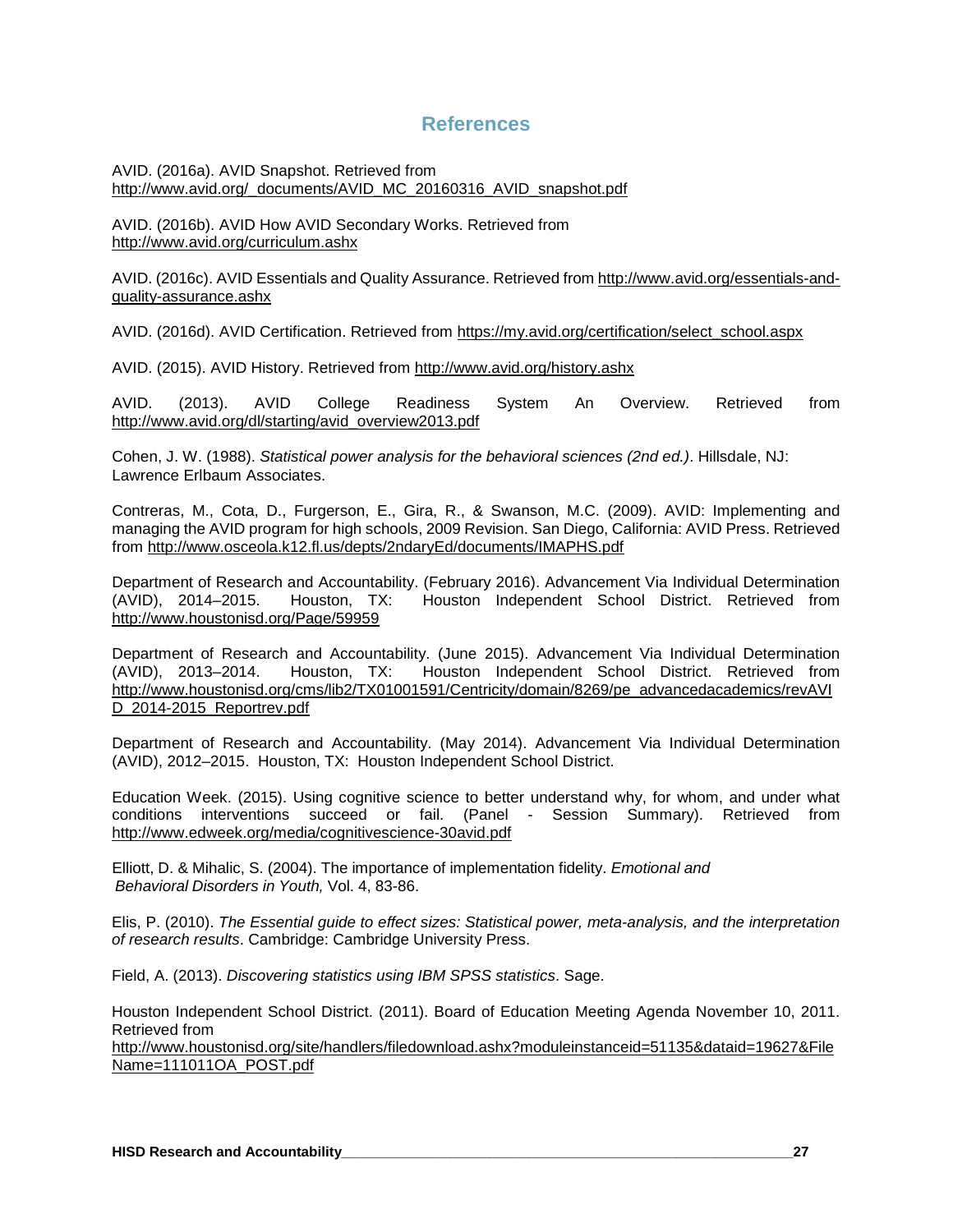## **References**

AVID. (2016a). AVID Snapshot. Retrieved from [http://www.avid.org/\\_documents/AVID\\_MC\\_20160316\\_AVID\\_snapshot.pdf](http://www.avid.org/_documents/AVID_MC_20160316_AVID_snapshot.pdf)

AVID. (2016b). AVID How AVID Secondary Works. Retrieved from <http://www.avid.org/curriculum.ashx>

AVID. (2016c). AVID Essentials and Quality Assurance. Retrieved from [http://www.avid.org/essentials-and](http://www.avid.org/essentials-and-quality-assurance.ashx)[quality-assurance.ashx](http://www.avid.org/essentials-and-quality-assurance.ashx)

AVID. (2016d). AVID Certification. Retrieved from https://my.avid.org/certification/select\_school.aspx

AVID. (2015). AVID History. Retrieved from <http://www.avid.org/history.ashx>

AVID. (2013). AVID College Readiness System An Overview. Retrieved from http://www.avid.org/dl/starting/avid\_overview2013.pdf

Cohen, J. W. (1988). *Statistical power analysis for the behavioral sciences (2nd ed.)*. Hillsdale, NJ: Lawrence Erlbaum Associates.

Contreras, M., Cota, D., Furgerson, E., Gira, R., & Swanson, M.C. (2009). AVID: Implementing and managing the AVID program for high schools, 2009 Revision. San Diego, California: AVID Press. Retrieved from http://www.osceola.k12.fl.us/depts/2ndaryEd/documents/IMAPHS.pdf

Department of Research and Accountability. (February 2016). Advancement Via Individual Determination (AVID), 2014–2015. Houston, TX: Houston Independent School District. Retrieved from Houston Independent School District. Retrieved from <http://www.houstonisd.org/Page/59959>

Department of Research and Accountability. (June 2015). Advancement Via Individual Determination<br>(AVID), 2013–2014. Houston, TX: Houston Independent School District. Retrieved from (AVID), 2013–2014. Houston, TX: Houston Independent School District. Retrieved from [http://www.houstonisd.org/cms/lib2/TX01001591/Centricity/domain/8269/pe\\_advancedacademics/revAVI](http://www.houstonisd.org/cms/lib2/TX01001591/Centricity/domain/8269/pe_advancedacademics/revAVID_2014-2015_Reportrev.pdf) D 2014-2015 Reportrev.pdf

Department of Research and Accountability. (May 2014). Advancement Via Individual Determination (AVID), 2012–2015. Houston, TX: Houston Independent School District.

Education Week. (2015). Using cognitive science to better understand why, for whom, and under what conditions interventions succeed or fail. (Panel - Session Summary). Retrieved from <http://www.edweek.org/media/cognitivescience-30avid.pdf>

Elliott, D. & Mihalic, S. (2004). The importance of implementation fidelity. *Emotional and Behavioral Disorders in Youth,* Vol. 4, 83-86.

Elis, P. (2010). *The Essential guide to effect sizes: Statistical power, meta-analysis, and the interpretation of research results*. Cambridge: Cambridge University Press.

Field, A. (2013). *Discovering statistics using IBM SPSS statistics*. Sage.

Houston Independent School District. (2011). Board of Education Meeting Agenda November 10, 2011. Retrieved from

http://www.houstonisd.org/site/handlers/filedownload.ashx?moduleinstanceid=51135&dataid=19627&File Name=111011OA\_POST.pdf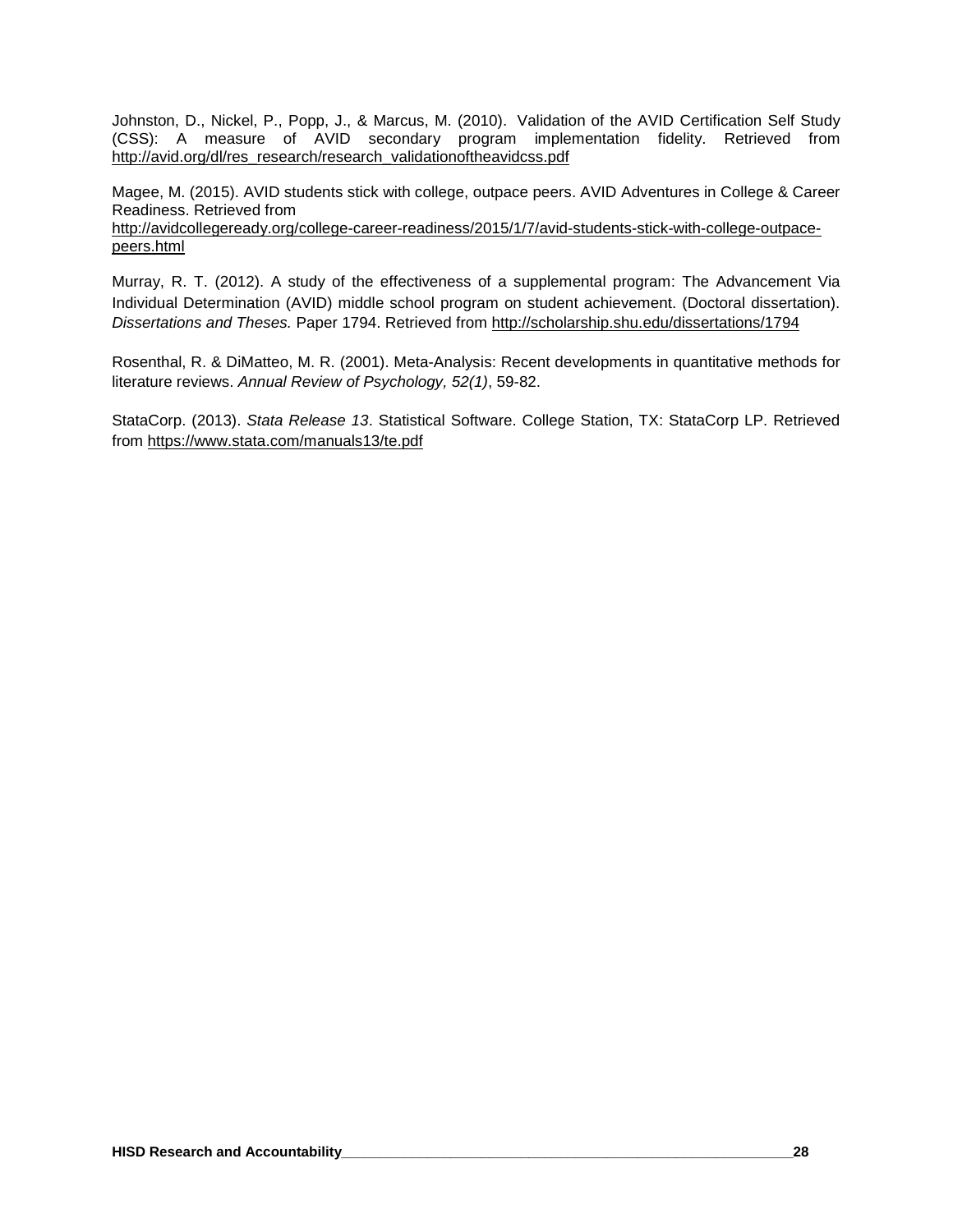Johnston, D., Nickel, P., Popp, J., & Marcus, M. (2010). Validation of the AVID Certification Self Study (CSS): A measure of AVID secondary program implementation fidelity. Retrieved from http://avid.org/dl/res\_research/research\_validationoftheavidcss.pdf

Magee, M. (2015). AVID students stick with college, outpace peers. AVID Adventures in College & Career Readiness. Retrieved from

http://avidcollegeready.org/college-career-readiness/2015/1/7/avid-students-stick-with-college-outpacepeers.html

Murray, R. T. (2012). A study of the effectiveness of a supplemental program: The Advancement Via Individual Determination (AVID) middle school program on student achievement. (Doctoral dissertation). *Dissertations and Theses.* Paper 1794. Retrieved from http://scholarship.shu.edu/dissertations/1794

Rosenthal, R. & DiMatteo, M. R. (2001). Meta-Analysis: Recent developments in quantitative methods for literature reviews. *Annual Review of Psychology, 52(1)*, 59-82.

StataCorp. (2013). *Stata Release 13*. Statistical Software. College Station, TX: StataCorp LP. Retrieved from<https://www.stata.com/manuals13/te.pdf>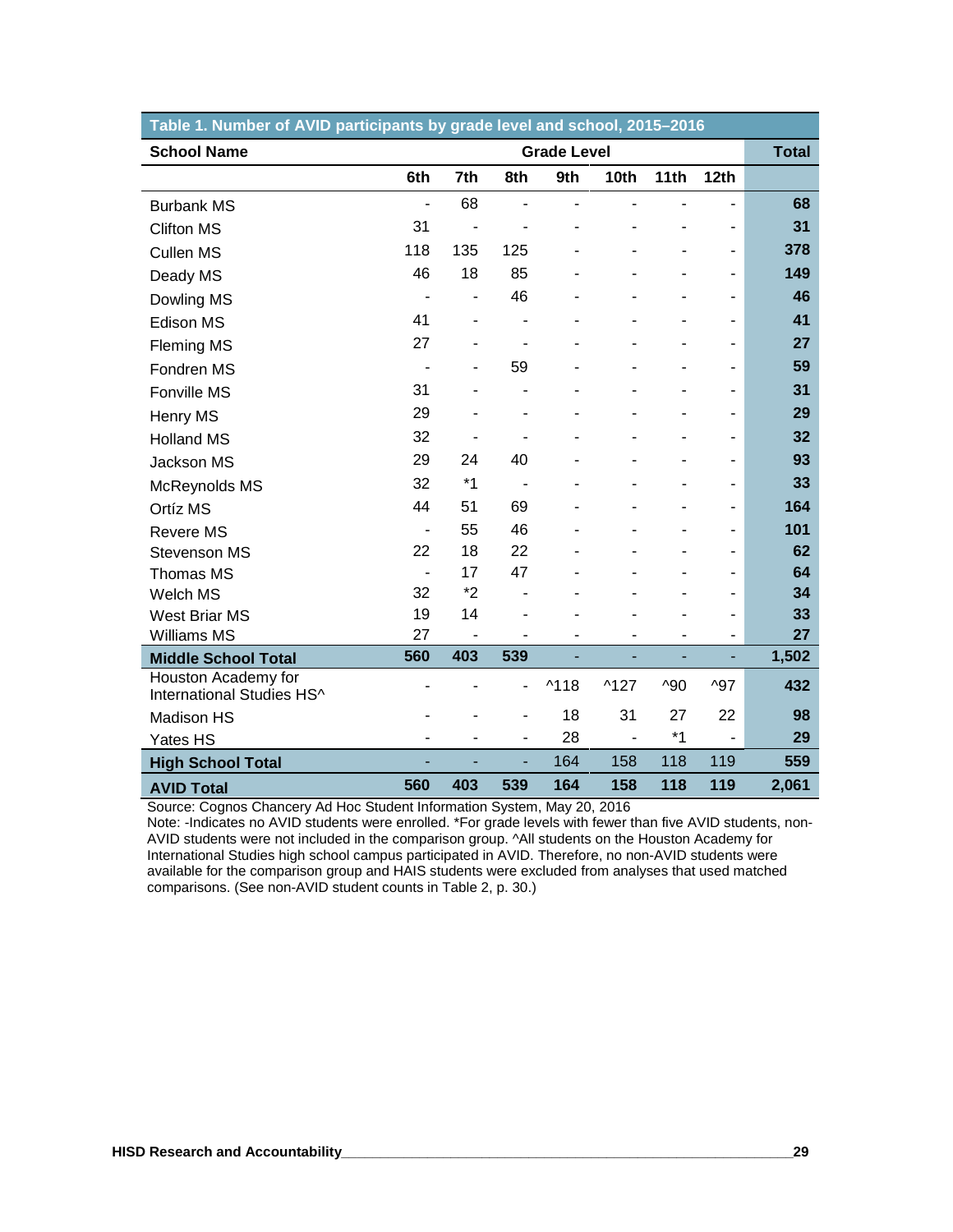| Table 1. Number of AVID participants by grade level and school, 2015–2016 |                          |                |                |                    |                |               |                          |              |
|---------------------------------------------------------------------------|--------------------------|----------------|----------------|--------------------|----------------|---------------|--------------------------|--------------|
| <b>School Name</b>                                                        |                          |                |                | <b>Grade Level</b> |                |               |                          | <b>Total</b> |
|                                                                           | 6th                      | 7th            | 8th            | 9th                | 10th           | 11th          | 12th                     |              |
| <b>Burbank MS</b>                                                         | $\overline{\phantom{a}}$ | 68             |                |                    |                |               | $\overline{\phantom{0}}$ | 68           |
| <b>Clifton MS</b>                                                         | 31                       |                |                |                    |                |               |                          | 31           |
| <b>Cullen MS</b>                                                          | 118                      | 135            | 125            |                    |                |               | $\overline{\phantom{m}}$ | 378          |
| Deady MS                                                                  | 46                       | 18             | 85             |                    |                |               |                          | 149          |
| Dowling MS                                                                | $\blacksquare$           | $\blacksquare$ | 46             |                    |                |               | ٠                        | 46           |
| Edison MS                                                                 | 41                       |                |                |                    |                |               |                          | 41           |
| <b>Fleming MS</b>                                                         | 27                       |                | $\blacksquare$ |                    |                |               | $\blacksquare$           | 27           |
| Fondren MS                                                                |                          |                | 59             |                    |                |               |                          | 59           |
| Fonville MS                                                               | 31                       |                |                |                    |                |               |                          | 31           |
| Henry MS                                                                  | 29                       |                | ۰              |                    |                |               | $\blacksquare$           | 29           |
| <b>Holland MS</b>                                                         | 32                       |                |                |                    |                |               |                          | 32           |
| Jackson MS                                                                | 29                       | 24             | 40             |                    |                |               | ۰                        | 93           |
| McReynolds MS                                                             | 32                       | $*1$           |                |                    |                |               |                          | 33           |
| Ortíz MS                                                                  | 44                       | 51             | 69             |                    |                |               |                          | 164          |
| <b>Revere MS</b>                                                          | $\overline{\phantom{a}}$ | 55             | 46             |                    |                |               |                          | 101          |
| <b>Stevenson MS</b>                                                       | 22                       | 18             | 22             |                    |                |               |                          | 62           |
| Thomas MS                                                                 | $\blacksquare$           | 17             | 47             |                    |                |               |                          | 64           |
| Welch MS                                                                  | 32                       | $*2$           |                |                    |                |               |                          | 34           |
| <b>West Briar MS</b>                                                      | 19                       | 14             |                |                    |                |               |                          | 33           |
| <b>Williams MS</b>                                                        | 27                       |                |                |                    |                |               |                          | 27           |
| <b>Middle School Total</b>                                                | 560                      | 403            | 539            |                    | ۰              |               | ٠                        | 1,502        |
| Houston Academy for<br>International Studies HS^                          |                          |                | ٠              | $^{\text{A}}$ 118  | $^{\wedge}127$ | $^{\prime}90$ | $^{\prime}97$            | 432          |
| Madison HS                                                                |                          |                |                | 18                 | 31             | 27            | 22                       | 98           |
| Yates HS                                                                  | ä,                       |                | ٠              | 28                 | $\overline{a}$ | $*1$          | $\overline{a}$           | 29           |
| <b>High School Total</b>                                                  |                          |                | L,             | 164                | 158            | 118           | 119                      | 559          |
| <b>AVID Total</b>                                                         | 560                      | 403            | 539            | 164                | 158            | 118           | 119                      | 2,061        |

Source: Cognos Chancery Ad Hoc Student Information System, May 20, 2016

Note: -Indicates no AVID students were enrolled. \*For grade levels with fewer than five AVID students, non-AVID students were not included in the comparison group. ^All students on the Houston Academy for International Studies high school campus participated in AVID. Therefore, no non-AVID students were available for the comparison group and HAIS students were excluded from analyses that used matched comparisons. (See non-AVID student counts in Table 2, p. 30.)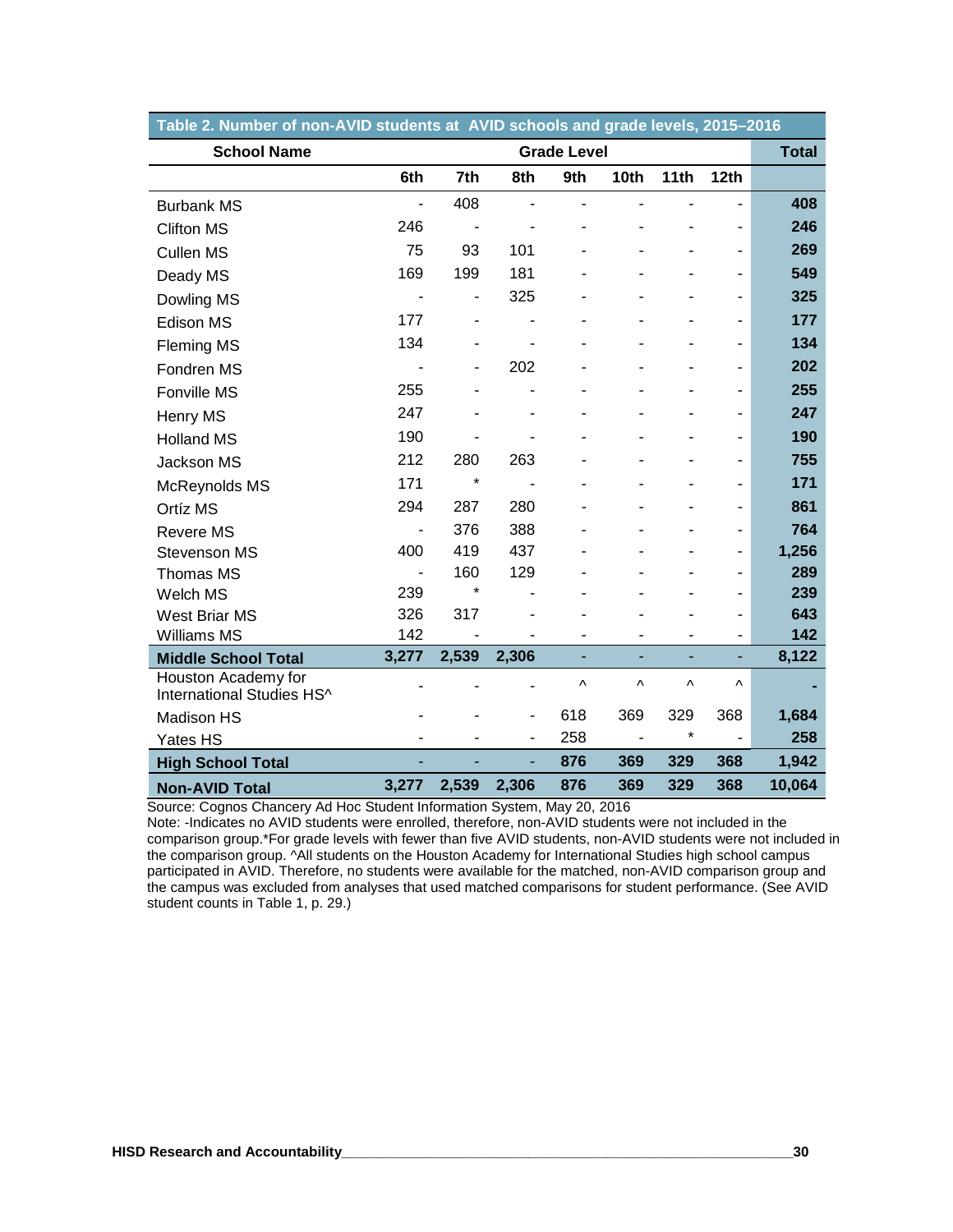| Table 2. Number of non-AVID students at  AVID schools and grade levels, 2015–2016 |       |               |                              |                    |      |      |      |              |
|-----------------------------------------------------------------------------------|-------|---------------|------------------------------|--------------------|------|------|------|--------------|
| <b>School Name</b>                                                                |       |               |                              | <b>Grade Level</b> |      |      |      | <b>Total</b> |
|                                                                                   | 6th   | 7th           | 8th                          | 9th                | 10th | 11th | 12th |              |
| <b>Burbank MS</b>                                                                 |       | 408           |                              |                    |      |      |      | 408          |
| <b>Clifton MS</b>                                                                 | 246   |               |                              |                    |      |      |      | 246          |
| <b>Cullen MS</b>                                                                  | 75    | 93            | 101                          |                    |      |      | ÷,   | 269          |
| Deady MS                                                                          | 169   | 199           | 181                          |                    |      |      |      | 549          |
| Dowling MS                                                                        |       | $\frac{1}{2}$ | 325                          |                    |      |      | ۳    | 325          |
| Edison MS                                                                         | 177   |               |                              |                    |      |      |      | 177          |
| <b>Fleming MS</b>                                                                 | 134   |               |                              |                    |      |      |      | 134          |
| Fondren MS                                                                        |       |               | 202                          |                    |      |      |      | 202          |
| Fonville MS                                                                       | 255   |               |                              |                    |      |      |      | 255          |
| Henry MS                                                                          | 247   |               |                              |                    |      |      | ÷,   | 247          |
| <b>Holland MS</b>                                                                 | 190   |               |                              |                    |      |      |      | 190          |
| Jackson MS                                                                        | 212   | 280           | 263                          |                    |      |      |      | 755          |
| McReynolds MS                                                                     | 171   | $\star$       |                              |                    |      |      |      | 171          |
| Ortíz MS                                                                          | 294   | 287           | 280                          |                    |      |      |      | 861          |
| <b>Revere MS</b>                                                                  |       | 376           | 388                          |                    |      |      |      | 764          |
| Stevenson MS                                                                      | 400   | 419           | 437                          |                    |      |      | ÷,   | 1,256        |
| Thomas MS                                                                         |       | 160           | 129                          |                    |      |      |      | 289          |
| Welch MS                                                                          | 239   | $\star$       |                              |                    |      |      |      | 239          |
| <b>West Briar MS</b>                                                              | 326   | 317           |                              |                    |      |      |      | 643          |
| <b>Williams MS</b>                                                                | 142   |               |                              |                    |      |      | -    | 142          |
| <b>Middle School Total</b>                                                        | 3,277 | 2,539         | 2,306                        | ä,                 | ÷    |      | ÷,   | 8,122        |
| Houston Academy for<br>International Studies HS^                                  |       |               | $\blacksquare$               | Λ                  | Λ    | Λ    | Λ    |              |
| Madison HS                                                                        |       |               | ٠                            | 618                | 369  | 329  | 368  | 1,684        |
| Yates HS                                                                          |       |               | $\qquad \qquad \blacksquare$ | 258                |      | *    |      | 258          |
| <b>High School Total</b>                                                          |       |               | ä,                           | 876                | 369  | 329  | 368  | 1,942        |
| <b>Non-AVID Total</b>                                                             | 3,277 | 2,539         | 2,306                        | 876                | 369  | 329  | 368  | 10,064       |

Source: Cognos Chancery Ad Hoc Student Information System, May 20, 2016

Note: -Indicates no AVID students were enrolled, therefore, non-AVID students were not included in the comparison group.\*For grade levels with fewer than five AVID students, non-AVID students were not included in the comparison group. ^All students on the Houston Academy for International Studies high school campus participated in AVID. Therefore, no students were available for the matched, non-AVID comparison group and the campus was excluded from analyses that used matched comparisons for student performance. (See AVID student counts in Table 1, p. 29.)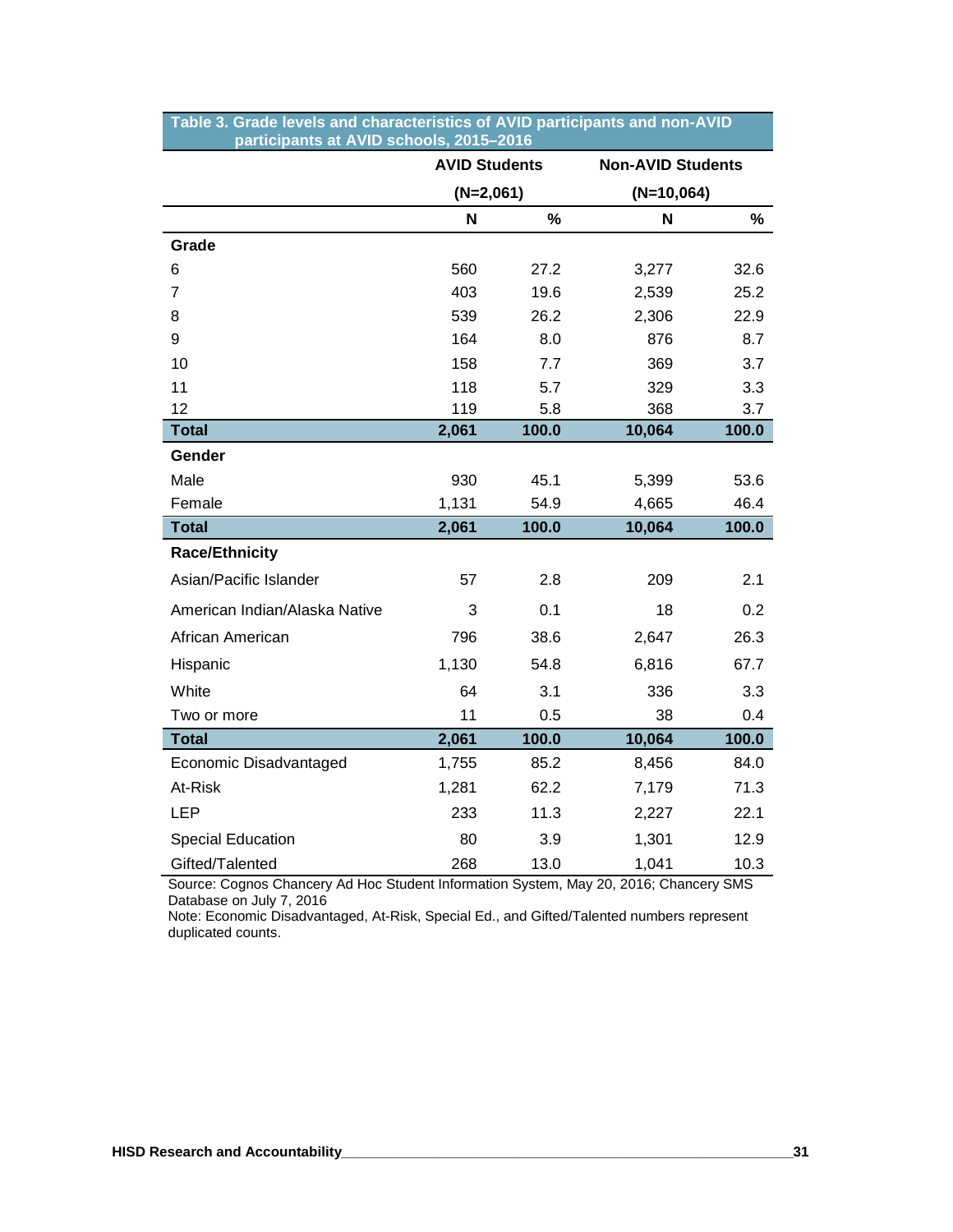|                               | <b>AVID Students</b> |       | <b>Non-AVID Students</b> |       |
|-------------------------------|----------------------|-------|--------------------------|-------|
|                               | $(N=2,061)$          |       | $(N=10,064)$             |       |
|                               | N                    | %     | N                        | %     |
| Grade                         |                      |       |                          |       |
| 6                             | 560                  | 27.2  | 3,277                    | 32.6  |
| 7                             | 403                  | 19.6  | 2,539                    | 25.2  |
| 8                             | 539                  | 26.2  | 2,306                    | 22.9  |
| 9                             | 164                  | 8.0   | 876                      | 8.7   |
| 10                            | 158                  | 7.7   | 369                      | 3.7   |
| 11                            | 118                  | 5.7   | 329                      | 3.3   |
| 12                            | 119                  | 5.8   | 368                      | 3.7   |
| <b>Total</b>                  | 2,061                | 100.0 | 10,064                   | 100.0 |
| Gender                        |                      |       |                          |       |
| Male                          | 930                  | 45.1  | 5,399                    | 53.6  |
| Female                        | 1,131                | 54.9  | 4,665                    | 46.4  |
| <b>Total</b>                  | 2,061                | 100.0 | 10,064                   | 100.0 |
| <b>Race/Ethnicity</b>         |                      |       |                          |       |
| Asian/Pacific Islander        | 57                   | 2.8   | 209                      | 2.1   |
| American Indian/Alaska Native | 3                    | 0.1   | 18                       | 0.2   |
| African American              | 796                  | 38.6  | 2,647                    | 26.3  |
| Hispanic                      | 1,130                | 54.8  | 6,816                    | 67.7  |
| White                         | 64                   | 3.1   | 336                      | 3.3   |
| Two or more                   | 11                   | 0.5   | 38                       | 0.4   |
| <b>Total</b>                  | 2,061                | 100.0 | 10,064                   | 100.0 |
| Economic Disadvantaged        | 1,755                | 85.2  | 8,456                    | 84.0  |
| At-Risk                       | 1,281                | 62.2  | 7,179                    | 71.3  |
| <b>LEP</b>                    | 233                  | 11.3  | 2,227                    | 22.1  |
| <b>Special Education</b>      | 80                   | 3.9   | 1,301                    | 12.9  |
| Gifted/Talented               | 268                  | 13.0  | 1,041                    | 10.3  |

#### **Table 3. Grade levels and characteristics of AVID participants and non-AVID ………. participants at AVID schools, 2015–2016**

Source: Cognos Chancery Ad Hoc Student Information System, May 20, 2016; Chancery SMS Database on July 7, 2016

Note: Economic Disadvantaged, At-Risk, Special Ed., and Gifted/Talented numbers represent duplicated counts.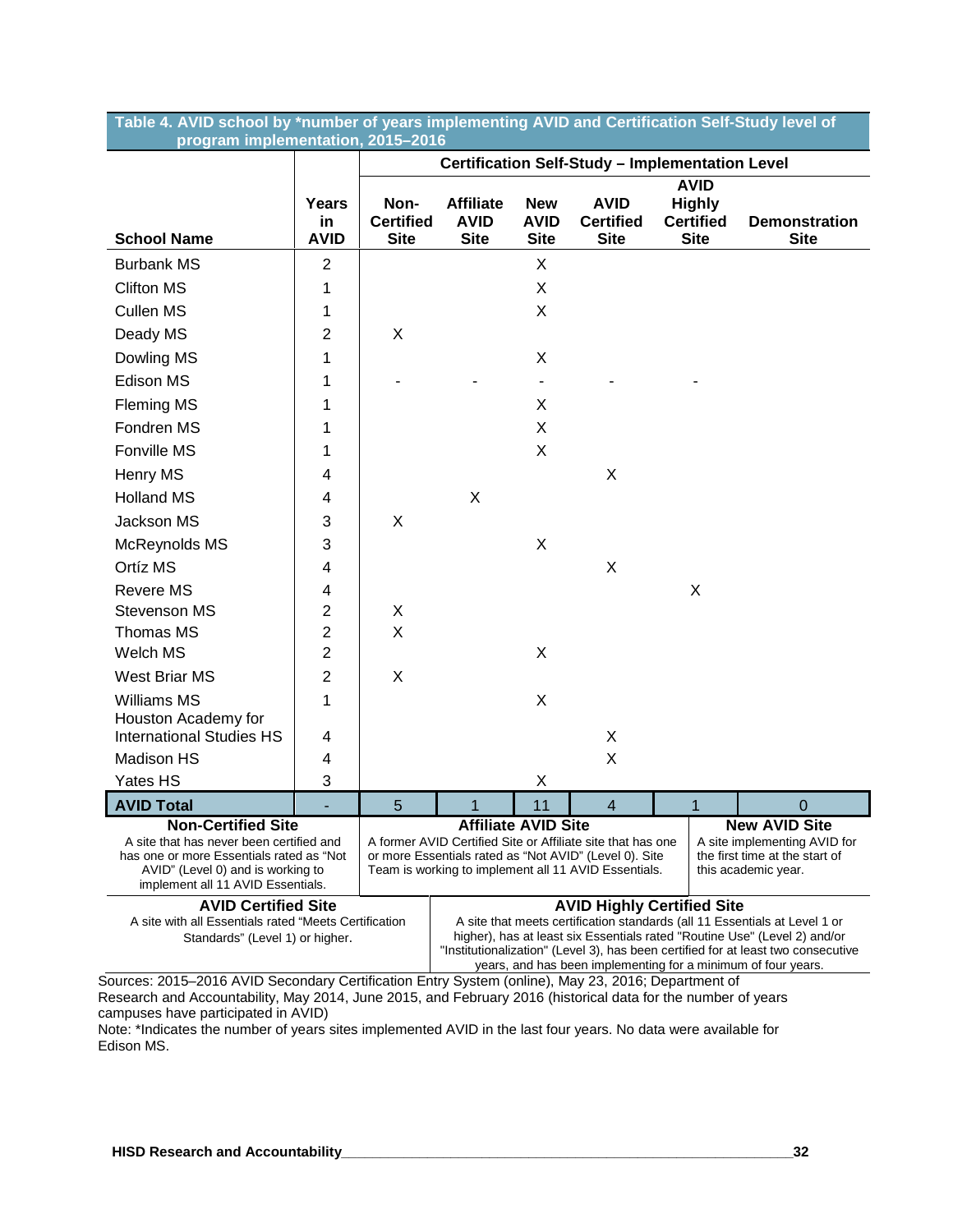|                                   | Table 4. AVID school by *number of years implementing AVID and Certification Self-Study level of |
|-----------------------------------|--------------------------------------------------------------------------------------------------|
| program implementation, 2015-2016 |                                                                                                  |

|                                                                                                                                                                |                                                                                          |                                         |                                                                                                                                                                                                                                                                        |                                                                                                                                                                                                                                                                                                               | Certification Self-Study - Implementation Level |                                                                 |                                     |  |  |
|----------------------------------------------------------------------------------------------------------------------------------------------------------------|------------------------------------------------------------------------------------------|-----------------------------------------|------------------------------------------------------------------------------------------------------------------------------------------------------------------------------------------------------------------------------------------------------------------------|---------------------------------------------------------------------------------------------------------------------------------------------------------------------------------------------------------------------------------------------------------------------------------------------------------------|-------------------------------------------------|-----------------------------------------------------------------|-------------------------------------|--|--|
| <b>School Name</b>                                                                                                                                             | Years<br>in<br><b>AVID</b>                                                               | Non-<br><b>Certified</b><br><b>Site</b> | <b>Affiliate</b><br><b>AVID</b><br><b>Site</b>                                                                                                                                                                                                                         | <b>New</b><br><b>AVID</b><br><b>Site</b>                                                                                                                                                                                                                                                                      | <b>AVID</b><br><b>Certified</b><br><b>Site</b>  | <b>AVID</b><br><b>Highly</b><br><b>Certified</b><br><b>Site</b> | <b>Demonstration</b><br><b>Site</b> |  |  |
| <b>Burbank MS</b>                                                                                                                                              | $\overline{2}$                                                                           |                                         |                                                                                                                                                                                                                                                                        | X                                                                                                                                                                                                                                                                                                             |                                                 |                                                                 |                                     |  |  |
| <b>Clifton MS</b>                                                                                                                                              | 1                                                                                        |                                         |                                                                                                                                                                                                                                                                        | X                                                                                                                                                                                                                                                                                                             |                                                 |                                                                 |                                     |  |  |
| <b>Cullen MS</b>                                                                                                                                               | 1                                                                                        |                                         |                                                                                                                                                                                                                                                                        | X                                                                                                                                                                                                                                                                                                             |                                                 |                                                                 |                                     |  |  |
| Deady MS                                                                                                                                                       | $\overline{2}$                                                                           | X                                       |                                                                                                                                                                                                                                                                        |                                                                                                                                                                                                                                                                                                               |                                                 |                                                                 |                                     |  |  |
| Dowling MS                                                                                                                                                     | 1                                                                                        |                                         |                                                                                                                                                                                                                                                                        | X                                                                                                                                                                                                                                                                                                             |                                                 |                                                                 |                                     |  |  |
| Edison MS                                                                                                                                                      | 1                                                                                        |                                         |                                                                                                                                                                                                                                                                        |                                                                                                                                                                                                                                                                                                               |                                                 |                                                                 |                                     |  |  |
| <b>Fleming MS</b>                                                                                                                                              | 1                                                                                        |                                         |                                                                                                                                                                                                                                                                        | X                                                                                                                                                                                                                                                                                                             |                                                 |                                                                 |                                     |  |  |
| Fondren MS                                                                                                                                                     | 1                                                                                        |                                         |                                                                                                                                                                                                                                                                        | X                                                                                                                                                                                                                                                                                                             |                                                 |                                                                 |                                     |  |  |
| Fonville MS                                                                                                                                                    | 1                                                                                        |                                         |                                                                                                                                                                                                                                                                        | X                                                                                                                                                                                                                                                                                                             |                                                 |                                                                 |                                     |  |  |
| Henry MS                                                                                                                                                       | 4                                                                                        |                                         |                                                                                                                                                                                                                                                                        |                                                                                                                                                                                                                                                                                                               | X                                               |                                                                 |                                     |  |  |
| <b>Holland MS</b>                                                                                                                                              | 4                                                                                        |                                         | X                                                                                                                                                                                                                                                                      |                                                                                                                                                                                                                                                                                                               |                                                 |                                                                 |                                     |  |  |
| Jackson MS                                                                                                                                                     | 3                                                                                        | X                                       |                                                                                                                                                                                                                                                                        |                                                                                                                                                                                                                                                                                                               |                                                 |                                                                 |                                     |  |  |
| McReynolds MS                                                                                                                                                  | 3                                                                                        |                                         |                                                                                                                                                                                                                                                                        | X                                                                                                                                                                                                                                                                                                             |                                                 |                                                                 |                                     |  |  |
| Ortíz MS                                                                                                                                                       | 4                                                                                        |                                         |                                                                                                                                                                                                                                                                        |                                                                                                                                                                                                                                                                                                               | X                                               |                                                                 |                                     |  |  |
| <b>Revere MS</b>                                                                                                                                               | 4                                                                                        |                                         |                                                                                                                                                                                                                                                                        |                                                                                                                                                                                                                                                                                                               |                                                 | X                                                               |                                     |  |  |
| Stevenson MS                                                                                                                                                   | $\overline{2}$                                                                           | X                                       |                                                                                                                                                                                                                                                                        |                                                                                                                                                                                                                                                                                                               |                                                 |                                                                 |                                     |  |  |
| Thomas MS                                                                                                                                                      | $\overline{2}$                                                                           | X                                       |                                                                                                                                                                                                                                                                        |                                                                                                                                                                                                                                                                                                               |                                                 |                                                                 |                                     |  |  |
| Welch MS                                                                                                                                                       | $\overline{2}$                                                                           |                                         |                                                                                                                                                                                                                                                                        | X                                                                                                                                                                                                                                                                                                             |                                                 |                                                                 |                                     |  |  |
| <b>West Briar MS</b>                                                                                                                                           | $\overline{2}$                                                                           | X                                       |                                                                                                                                                                                                                                                                        |                                                                                                                                                                                                                                                                                                               |                                                 |                                                                 |                                     |  |  |
| Williams MS                                                                                                                                                    | 1                                                                                        |                                         |                                                                                                                                                                                                                                                                        | Χ                                                                                                                                                                                                                                                                                                             |                                                 |                                                                 |                                     |  |  |
| Houston Academy for<br><b>International Studies HS</b>                                                                                                         | 4                                                                                        |                                         |                                                                                                                                                                                                                                                                        |                                                                                                                                                                                                                                                                                                               | X                                               |                                                                 |                                     |  |  |
| Madison HS                                                                                                                                                     | 4                                                                                        |                                         |                                                                                                                                                                                                                                                                        |                                                                                                                                                                                                                                                                                                               | X                                               |                                                                 |                                     |  |  |
| Yates HS                                                                                                                                                       | 3                                                                                        |                                         |                                                                                                                                                                                                                                                                        | Χ                                                                                                                                                                                                                                                                                                             |                                                 |                                                                 |                                     |  |  |
| <b>AVID Total</b>                                                                                                                                              |                                                                                          | 5                                       | 1                                                                                                                                                                                                                                                                      | 11                                                                                                                                                                                                                                                                                                            | $\overline{4}$                                  | 1                                                               | 0                                   |  |  |
| <b>Non-Certified Site</b>                                                                                                                                      |                                                                                          |                                         |                                                                                                                                                                                                                                                                        | <b>Affiliate AVID Site</b>                                                                                                                                                                                                                                                                                    |                                                 |                                                                 | <b>New AVID Site</b>                |  |  |
| A site that has never been certified and<br>has one or more Essentials rated as "Not<br>AVID" (Level 0) and is working to<br>implement all 11 AVID Essentials. |                                                                                          |                                         | A former AVID Certified Site or Affiliate site that has one<br>A site implementing AVID for<br>or more Essentials rated as "Not AVID" (Level 0). Site<br>the first time at the start of<br>Team is working to implement all 11 AVID Essentials.<br>this academic year. |                                                                                                                                                                                                                                                                                                               |                                                 |                                                                 |                                     |  |  |
| <b>AVID Certified Site</b>                                                                                                                                     |                                                                                          |                                         | <b>AVID Highly Certified Site</b>                                                                                                                                                                                                                                      |                                                                                                                                                                                                                                                                                                               |                                                 |                                                                 |                                     |  |  |
|                                                                                                                                                                | A site with all Essentials rated "Meets Certification<br>Standards" (Level 1) or higher. |                                         |                                                                                                                                                                                                                                                                        | A site that meets certification standards (all 11 Essentials at Level 1 or<br>higher), has at least six Essentials rated "Routine Use" (Level 2) and/or<br>"Institutionalization" (Level 3), has been certified for at least two consecutive<br>years, and has been implementing for a minimum of four years. |                                                 |                                                                 |                                     |  |  |

Sources: 2015–2016 AVID Secondary Certification Entry System (online), May 23, 2016; Department of Research and Accountability, May 2014, June 2015, and February 2016 (historical data for the number of years campuses have participated in AVID)

Note: \*Indicates the number of years sites implemented AVID in the last four years. No data were available for Edison MS.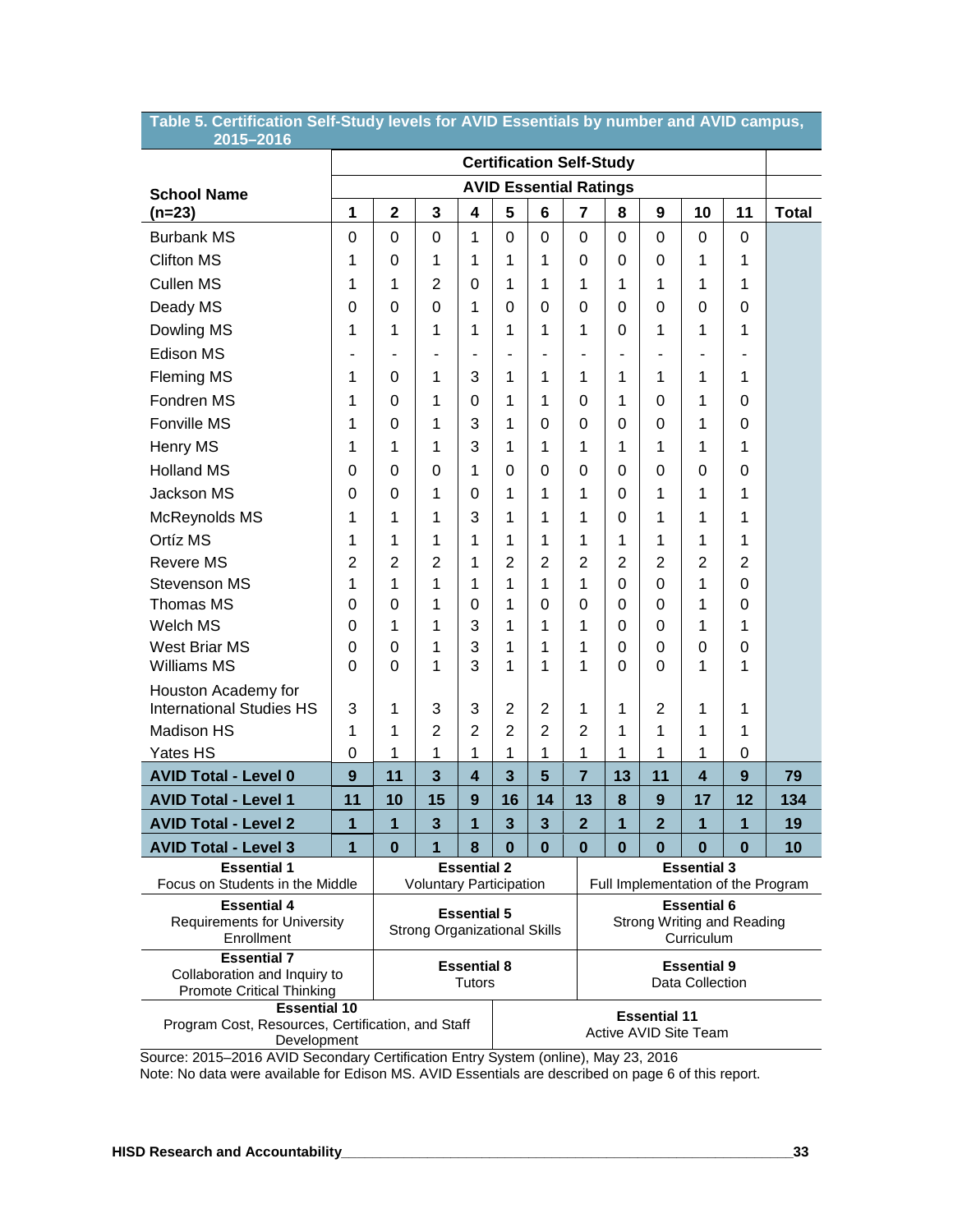| 2015-2016                                                                               |                                                           |                |                                |                         |                         |                                       |                                                                |                |                     |                         |                |                                    |
|-----------------------------------------------------------------------------------------|-----------------------------------------------------------|----------------|--------------------------------|-------------------------|-------------------------|---------------------------------------|----------------------------------------------------------------|----------------|---------------------|-------------------------|----------------|------------------------------------|
|                                                                                         |                                                           |                |                                |                         |                         |                                       | <b>Certification Self-Study</b>                                |                |                     |                         |                |                                    |
| <b>School Name</b>                                                                      |                                                           |                |                                |                         |                         |                                       | <b>AVID Essential Ratings</b>                                  |                |                     |                         |                |                                    |
| $(n=23)$                                                                                | 1                                                         | $\mathbf{2}$   | 3                              | 4                       | 5                       | 6                                     | 7                                                              | 8              | 9                   | 10                      | 11             | <b>Total</b>                       |
| <b>Burbank MS</b>                                                                       | 0                                                         | 0              | 0                              | 1                       | $\mathbf 0$             | 0                                     | $\Omega$                                                       | $\Omega$       | 0                   | $\Omega$                | 0              |                                    |
| <b>Clifton MS</b>                                                                       | 1                                                         | $\Omega$       | 1                              | 1                       | 1                       | 1                                     | 0                                                              | 0              | 0                   | 1                       | 1              |                                    |
| <b>Cullen MS</b>                                                                        | 1                                                         | 1              | $\overline{2}$                 | 0                       | 1                       | 1                                     | 1                                                              | 1              | 1                   | 1                       | 1              |                                    |
| Deady MS                                                                                | 0                                                         | $\Omega$       | 0                              | 1                       | 0                       | 0                                     | 0                                                              | 0              | 0                   | $\Omega$                | 0              |                                    |
| Dowling MS                                                                              | 1                                                         | 1              | 1                              | 1                       | 1                       | 1                                     | 1                                                              | $\Omega$       | 1                   | 1                       | 1              |                                    |
| <b>Edison MS</b>                                                                        | $\blacksquare$                                            | $\blacksquare$ | $\blacksquare$                 | ٠                       | ÷,                      | $\overline{\phantom{0}}$              | $\blacksquare$                                                 | $\blacksquare$ |                     |                         |                |                                    |
| <b>Fleming MS</b>                                                                       | 1                                                         | 0              | 1                              | 3                       | 1                       | 1                                     | 1                                                              | 1              | 1                   | 1                       | 1              |                                    |
| Fondren MS                                                                              | 1                                                         | $\Omega$       | 1                              | 0                       | 1                       | 1                                     | 0                                                              | 1              | 0                   | 1                       | 0              |                                    |
| Fonville MS                                                                             | 1                                                         | $\Omega$       | 1                              | 3                       | 1                       | 0                                     | 0                                                              | 0              | 0                   | 1                       | 0              |                                    |
| Henry MS                                                                                | 1                                                         | 1              | 1                              | 3                       | 1                       | 1                                     | 1                                                              | 1              | 1                   | 1                       | 1              |                                    |
| <b>Holland MS</b>                                                                       | $\Omega$                                                  | $\Omega$       | 0                              | 1                       | 0                       | 0                                     | 0                                                              | 0              | 0                   | 0                       | 0              |                                    |
| Jackson MS                                                                              | $\Omega$                                                  | $\Omega$       | 1                              | 0                       | 1                       | 1                                     | 1                                                              | 0              | 1                   | 1                       | 1              |                                    |
| McReynolds MS                                                                           | 1                                                         | 1              | 1                              | 3                       | 1                       | 1                                     | 1                                                              | $\Omega$       | 1                   | 1                       | 1              |                                    |
| Ortíz MS                                                                                | 1                                                         | 1              | 1                              | 1                       | 1                       | 1                                     | 1                                                              | 1              | 1                   | 1                       | 1              |                                    |
| <b>Revere MS</b>                                                                        | $\overline{2}$                                            | $\overline{2}$ | $\overline{2}$                 | 1                       | $\overline{2}$          | 2                                     | $\overline{2}$                                                 | $\overline{2}$ | $\overline{2}$      | $\overline{2}$          | $\overline{2}$ |                                    |
| <b>Stevenson MS</b>                                                                     | 1                                                         | 1              | 1                              | 1                       | 1                       | 1                                     | 1                                                              | $\Omega$       | 0                   | 1                       | 0              |                                    |
| <b>Thomas MS</b>                                                                        | 0                                                         | $\Omega$       | 1                              | 0                       | 1                       | 0                                     | 0                                                              | 0              | 0                   | 1                       | 0              |                                    |
| Welch MS                                                                                | 0                                                         | 1              | 1                              | 3                       | 1                       | 1                                     | 1                                                              | $\Omega$       | 0                   | 1                       | 1              |                                    |
| West Briar MS                                                                           | 0                                                         | $\Omega$       | 1                              | 3                       | 1                       | 1                                     | 1                                                              | $\Omega$       | 0                   | $\Omega$                | 0              |                                    |
| <b>Williams MS</b>                                                                      | 0                                                         | $\Omega$       | 1                              | 3                       | 1                       | 1                                     | 1                                                              | $\Omega$       | 0                   | 1                       | 1              |                                    |
| Houston Academy for<br><b>International Studies HS</b>                                  | 3                                                         | 1              | 3                              | 3                       | $\overline{2}$          | $\overline{2}$                        | 1                                                              | 1              | 2                   | 1                       | 1              |                                    |
| <b>Madison HS</b>                                                                       | 1                                                         | 1              | $\overline{2}$                 | $\overline{2}$          | $\overline{2}$          | $\overline{2}$                        | $\overline{2}$                                                 | 1              | 1                   | 1                       | 1              |                                    |
| Yates HS                                                                                | 0                                                         | 1              | 1                              | 1                       | 1                       | 1                                     | 1                                                              | 1              | 1                   | 1                       | 0              |                                    |
| <b>AVID Total - Level 0</b>                                                             | 9                                                         | 11             | 3                              | $\overline{\mathbf{4}}$ | $\overline{\mathbf{3}}$ | 5                                     | $\overline{7}$                                                 | 13             | 11                  | $\overline{\mathbf{4}}$ | 9              | 79                                 |
| <b>AVID Total - Level 1</b>                                                             | 11                                                        | 10             | 15                             | 9                       | 16                      | 14                                    | 13                                                             | 8              | 9                   | 17                      | 12             | 134                                |
| <b>AVID Total - Level 2</b>                                                             | 1                                                         | 1              | 3                              | 1                       | 3                       | 3                                     | $\overline{2}$                                                 | 1              | $\overline{2}$      | 1                       | 1              | 19                                 |
| <b>AVID Total - Level 3</b>                                                             | $\mathbf{1}$                                              | $\bf{0}$       | 1                              | 8                       | $\boldsymbol{0}$        | $\bf{0}$                              | $\boldsymbol{0}$                                               | $\bf{0}$       | $\bf{0}$            | $\bf{0}$                | $\bf{0}$       | 10                                 |
| <b>Essential 1</b><br>Focus on Students in the Middle                                   |                                                           |                | <b>Voluntary Participation</b> | <b>Essential 2</b>      |                         |                                       |                                                                |                |                     | <b>Essential 3</b>      |                | Full Implementation of the Program |
| <b>Essential 4</b><br><b>Requirements for University</b><br>Enrollment                  | <b>Essential 5</b><br><b>Strong Organizational Skills</b> |                |                                |                         |                         |                                       | <b>Essential 6</b><br>Strong Writing and Reading<br>Curriculum |                |                     |                         |                |                                    |
| <b>Essential 7</b><br>Collaboration and Inquiry to<br><b>Promote Critical Thinking</b>  | <b>Essential 8</b><br><b>Tutors</b>                       |                |                                |                         |                         | <b>Essential 9</b><br>Data Collection |                                                                |                |                     |                         |                |                                    |
| <b>Essential 10</b><br>Program Cost, Resources, Certification, and Staff<br>Development |                                                           |                |                                |                         |                         |                                       |                                                                |                | <b>Essential 11</b> | Active AVID Site Team   |                |                                    |

**Table 5. Certification Self-Study levels for AVID Essentials by number and AVID campus,** 

Source: 2015–2016 AVID Secondary Certification Entry System (online), May 23, 2016 Note: No data were available for Edison MS. AVID Essentials are described on page 6 of this report.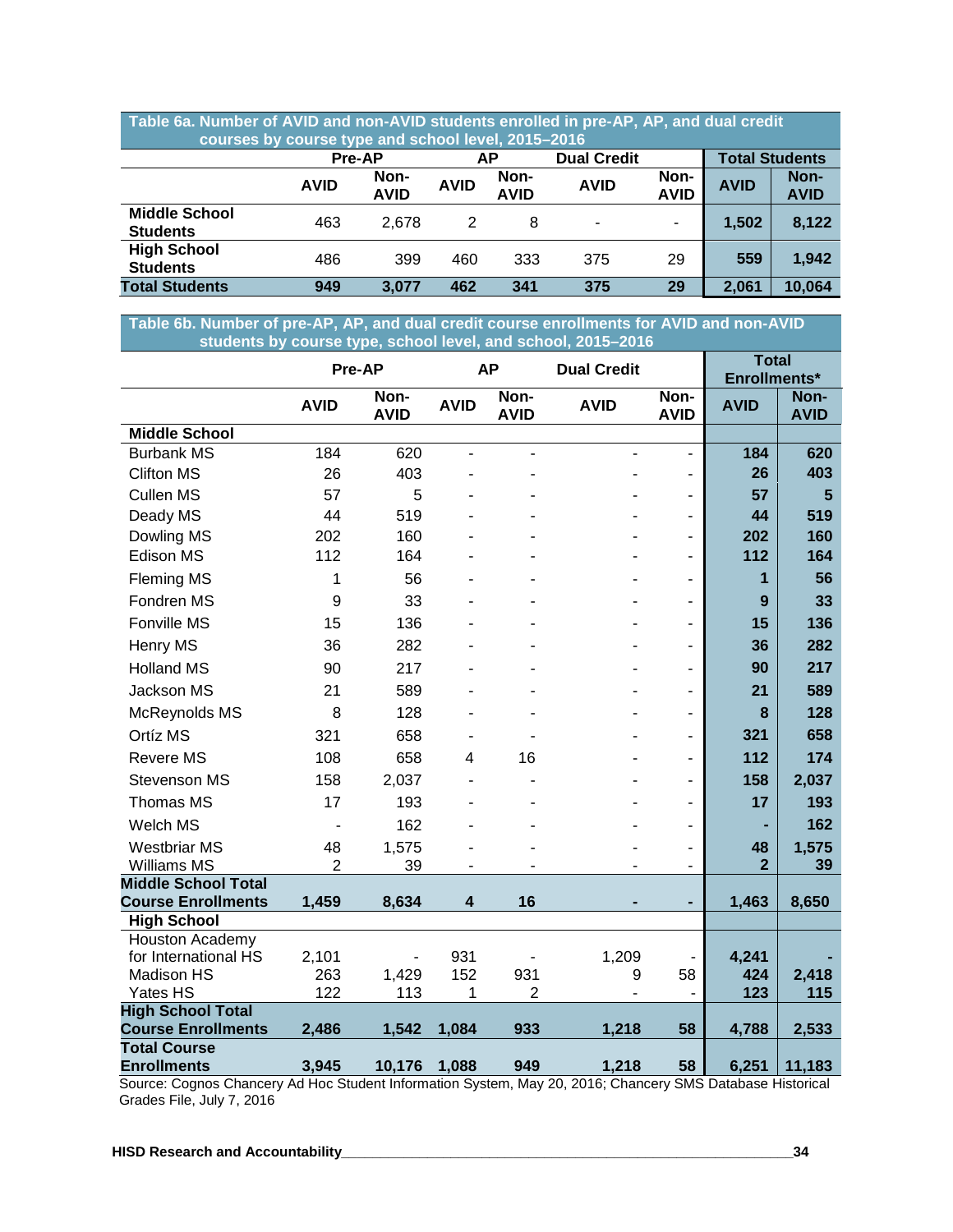| Table 6a. Number of AVID and non-AVID students enrolled in pre-AP, AP, and dual credit<br>courses by course type and school level, 2015-2016 |               |                     |             |                     |                          |                     |                       |                     |  |
|----------------------------------------------------------------------------------------------------------------------------------------------|---------------|---------------------|-------------|---------------------|--------------------------|---------------------|-----------------------|---------------------|--|
|                                                                                                                                              | <b>Pre-AP</b> |                     | АP          |                     | <b>Dual Credit</b>       |                     | <b>Total Students</b> |                     |  |
|                                                                                                                                              | <b>AVID</b>   | Non-<br><b>AVID</b> | <b>AVID</b> | Non-<br><b>AVID</b> | <b>AVID</b>              | Non-<br><b>AVID</b> | <b>AVID</b>           | Non-<br><b>AVID</b> |  |
| <b>Middle School</b><br><b>Students</b>                                                                                                      | 463           | 2,678               | 2           | 8                   | $\overline{\phantom{a}}$ | $\blacksquare$      | 1,502                 | 8,122               |  |
| <b>High School</b><br><b>Students</b>                                                                                                        | 486           | 399                 | 460         | 333                 | 375                      | 29                  | 559                   | 1,942               |  |
| <b>Total Students</b>                                                                                                                        | 949           | 3.077               | 462         | 341                 | 375                      | 29                  | 2,061                 | 10,064              |  |

**Table 6b. Number of pre-AP, AP, and dual credit course enrollments for AVID and non-AVID ….…….…students by course type, school level, and school, 2015–2016**

|                                                 |                | Pre-AP              |             | <b>AP</b>                | <b>Dual Credit</b> |                          | <b>Total</b><br>Enrollments* |                     |
|-------------------------------------------------|----------------|---------------------|-------------|--------------------------|--------------------|--------------------------|------------------------------|---------------------|
|                                                 | <b>AVID</b>    | Non-<br><b>AVID</b> | <b>AVID</b> | Non-<br><b>AVID</b>      | <b>AVID</b>        | Non-<br><b>AVID</b>      | <b>AVID</b>                  | Non-<br><b>AVID</b> |
| <b>Middle School</b>                            |                |                     |             |                          |                    |                          |                              |                     |
| <b>Burbank MS</b>                               | 184            | 620                 | ÷,          | $\overline{\phantom{a}}$ | ä,                 | $\overline{\phantom{0}}$ | 184                          | 620                 |
| <b>Clifton MS</b>                               | 26             | 403                 |             |                          |                    | -                        | 26                           | 403                 |
| <b>Cullen MS</b>                                | 57             | 5                   |             |                          |                    | -                        | 57                           | $5\phantom{1}$      |
| Deady MS                                        | 44             | 519                 |             |                          |                    | $\overline{\phantom{0}}$ | 44                           | 519                 |
| Dowling MS                                      | 202            | 160                 |             |                          |                    |                          | 202                          | 160                 |
| Edison MS                                       | 112            | 164                 |             |                          |                    | $\overline{a}$           | 112                          | 164                 |
| <b>Fleming MS</b>                               | 1              | 56                  |             |                          |                    | $\overline{a}$           | 1                            | 56                  |
| Fondren MS                                      | 9              | 33                  |             |                          |                    | -                        | 9                            | 33                  |
| Fonville MS                                     | 15             | 136                 |             |                          |                    | ٠                        | 15                           | 136                 |
| Henry MS                                        | 36             | 282                 |             |                          |                    | -                        | 36                           | 282                 |
| <b>Holland MS</b>                               | 90             | 217                 |             |                          |                    | $\overline{a}$           | 90                           | 217                 |
| Jackson MS                                      | 21             | 589                 |             |                          |                    |                          | 21                           | 589                 |
| McReynolds MS                                   | 8              | 128                 |             |                          |                    | $\overline{a}$           | 8                            | 128                 |
| Ortíz MS                                        | 321            | 658                 |             |                          |                    |                          | 321                          | 658                 |
| <b>Revere MS</b>                                | 108            | 658                 | 4           | 16                       |                    | -                        | 112                          | 174                 |
| <b>Stevenson MS</b>                             | 158            | 2,037               |             |                          |                    |                          | 158                          | 2,037               |
| Thomas MS                                       | 17             | 193                 |             |                          |                    | $\overline{a}$           | 17                           | 193                 |
| Welch MS                                        |                | 162                 |             |                          |                    | ä,                       |                              | 162                 |
| <b>Westbriar MS</b>                             | 48             | 1,575               |             |                          |                    |                          | 48                           | 1,575               |
| <b>Williams MS</b>                              | $\overline{2}$ | 39                  |             |                          |                    |                          | $\overline{2}$               | 39                  |
| <b>Middle School Total</b>                      |                |                     |             |                          |                    |                          |                              |                     |
| <b>Course Enrollments</b><br><b>High School</b> | 1,459          | 8,634               | 4           | 16                       |                    |                          | 1,463                        | 8,650               |
| Houston Academy                                 |                |                     |             |                          |                    |                          |                              |                     |
| for International HS                            | 2,101          |                     | 931         |                          | 1,209              |                          | 4,241                        |                     |
| <b>Madison HS</b>                               | 263            | 1,429               | 152         | 931                      | 9                  | 58                       | 424                          | 2,418               |
| Yates HS                                        | 122            | 113                 | 1           | $\overline{2}$           |                    |                          | 123                          | 115                 |
| <b>High School Total</b>                        |                |                     |             |                          |                    |                          |                              |                     |
| <b>Course Enrollments</b>                       | 2,486          | 1,542               | 1,084       | 933                      | 1,218              | 58                       | 4,788                        | 2,533               |
| <b>Total Course</b>                             |                |                     |             |                          |                    |                          |                              |                     |
| <b>Enrollments</b>                              | 3,945          | 10,176              | 1,088       | 949                      | 1,218              | 58                       | 6,251                        | 11,183              |

Source: Cognos Chancery Ad Hoc Student Information System, May 20, 2016; Chancery SMS Database Historical Grades File, July 7, 2016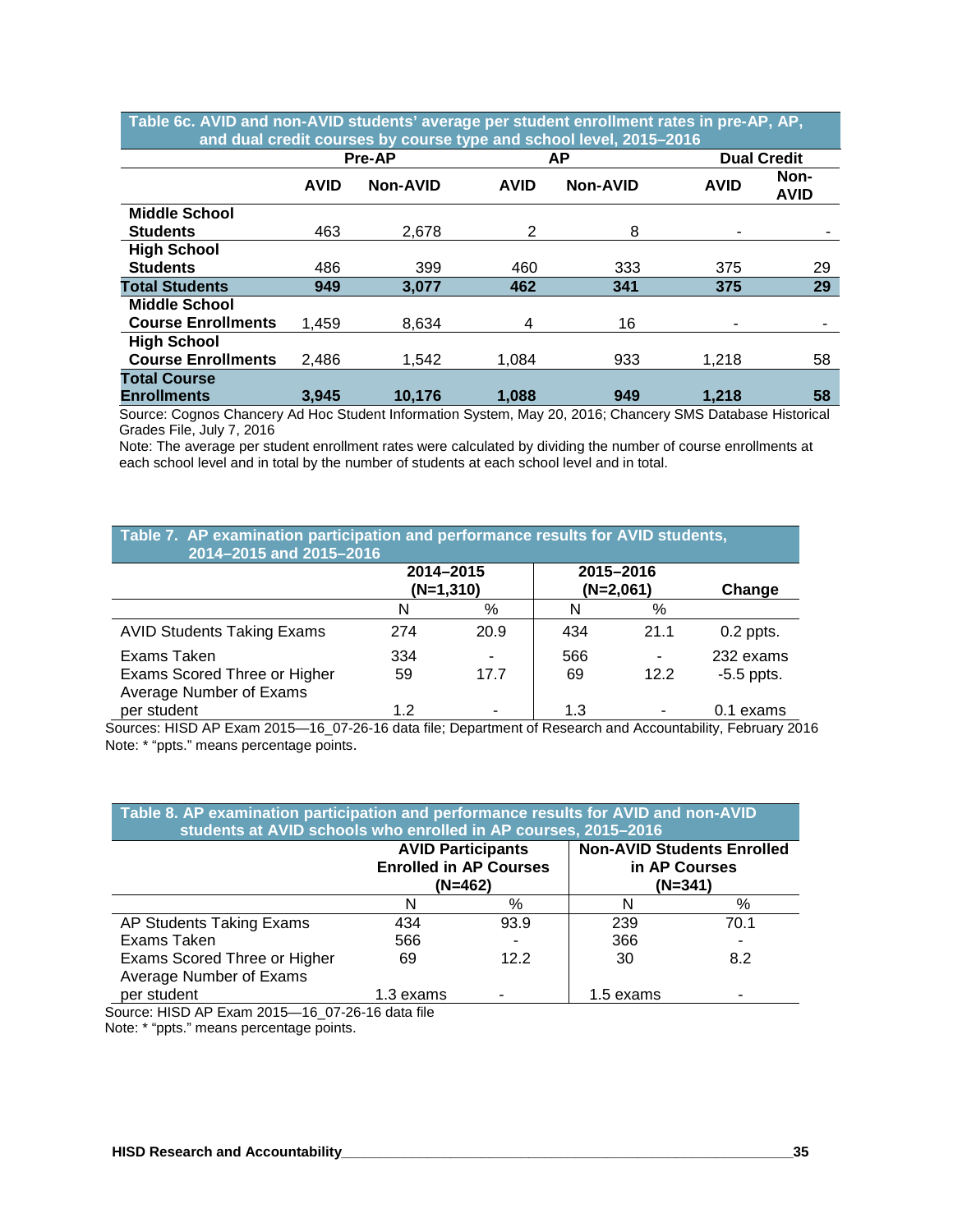| and dual credit courses by course type and school level, 2015–2016 |                 |             |                 |             |                     |  |  |  |  |
|--------------------------------------------------------------------|-----------------|-------------|-----------------|-------------|---------------------|--|--|--|--|
|                                                                    |                 |             | АP              |             | <b>Dual Credit</b>  |  |  |  |  |
| <b>AVID</b>                                                        | <b>Non-AVID</b> | <b>AVID</b> | <b>Non-AVID</b> | <b>AVID</b> | Non-<br><b>AVID</b> |  |  |  |  |
|                                                                    |                 |             |                 |             |                     |  |  |  |  |
| 463                                                                | 2,678           | 2           | 8               |             |                     |  |  |  |  |
|                                                                    |                 |             |                 |             |                     |  |  |  |  |
| 486                                                                | 399             | 460         | 333             | 375         | 29                  |  |  |  |  |
| 949                                                                | 3.077           | 462         | 341             | 375         | 29                  |  |  |  |  |
|                                                                    |                 |             |                 |             |                     |  |  |  |  |
| 1,459                                                              | 8,634           | 4           | 16              |             |                     |  |  |  |  |
|                                                                    |                 |             |                 |             |                     |  |  |  |  |
| 2,486                                                              | 1.542           | 1,084       | 933             | 1,218       | 58                  |  |  |  |  |
|                                                                    |                 |             |                 |             |                     |  |  |  |  |
| 3,945                                                              | 10.176          | 1.088       | 949             | 1,218       | 58                  |  |  |  |  |
|                                                                    |                 | Pre-AP      |                 |             |                     |  |  |  |  |

**Table 6c. AVID and non-AVID students' average per student enrollment rates in pre-AP, AP,** 

Source: Cognos Chancery Ad Hoc Student Information System, May 20, 2016; Chancery SMS Database Historical Grades File, July 7, 2016

Note: The average per student enrollment rates were calculated by dividing the number of course enrollments at each school level and in total by the number of students at each school level and in total.

| Table 7. AP examination participation and performance results for AVID students,<br>2014-2015 and 2015-2016 |           |                          |           |                          |                           |  |  |  |  |
|-------------------------------------------------------------------------------------------------------------|-----------|--------------------------|-----------|--------------------------|---------------------------|--|--|--|--|
|                                                                                                             |           | 2014-2015<br>$(N=1,310)$ |           | 2015-2016<br>$(N=2,061)$ | Change                    |  |  |  |  |
|                                                                                                             | N         | %                        | N         | %                        |                           |  |  |  |  |
| <b>AVID Students Taking Exams</b>                                                                           | 274       | 20.9                     | 434       | 21.1                     | $0.2$ ppts.               |  |  |  |  |
| Exams Taken<br>Exams Scored Three or Higher<br>Average Number of Exams                                      | 334<br>59 | 17.7                     | 566<br>69 | 12.2                     | 232 exams<br>$-5.5$ ppts. |  |  |  |  |
| per student                                                                                                 | 1.2       | -                        | 1.3       |                          | 0.1 exams                 |  |  |  |  |

Sources: HISD AP Exam 2015—16\_07-26-16 data file; Department of Research and Accountability, February 2016 Note: \* "ppts." means percentage points.

|                                                             | <b>AVID Participants</b><br><b>Enrolled in AP Courses</b><br>(N=462) |      | <b>Non-AVID Students Enrolled</b><br>in AP Courses<br>(N=341) |      |
|-------------------------------------------------------------|----------------------------------------------------------------------|------|---------------------------------------------------------------|------|
|                                                             | N                                                                    | %    | N                                                             | %    |
| AP Students Taking Exams                                    | 434                                                                  | 93.9 | 239                                                           | 70.1 |
| Exams Taken                                                 | 566                                                                  |      | 366                                                           |      |
| Exams Scored Three or Higher<br>Average Number of Exams     | 69                                                                   | 12.2 | 30                                                            | 8.2  |
| per student<br>$0.017 - 10.070$ $0.0010 - 1.01$<br>$\cdots$ | 1.3 exams                                                            |      | 1.5 exams                                                     |      |

Source: HISD AP Exam 2015—16\_07-26-16 data file

Note: \* "ppts." means percentage points.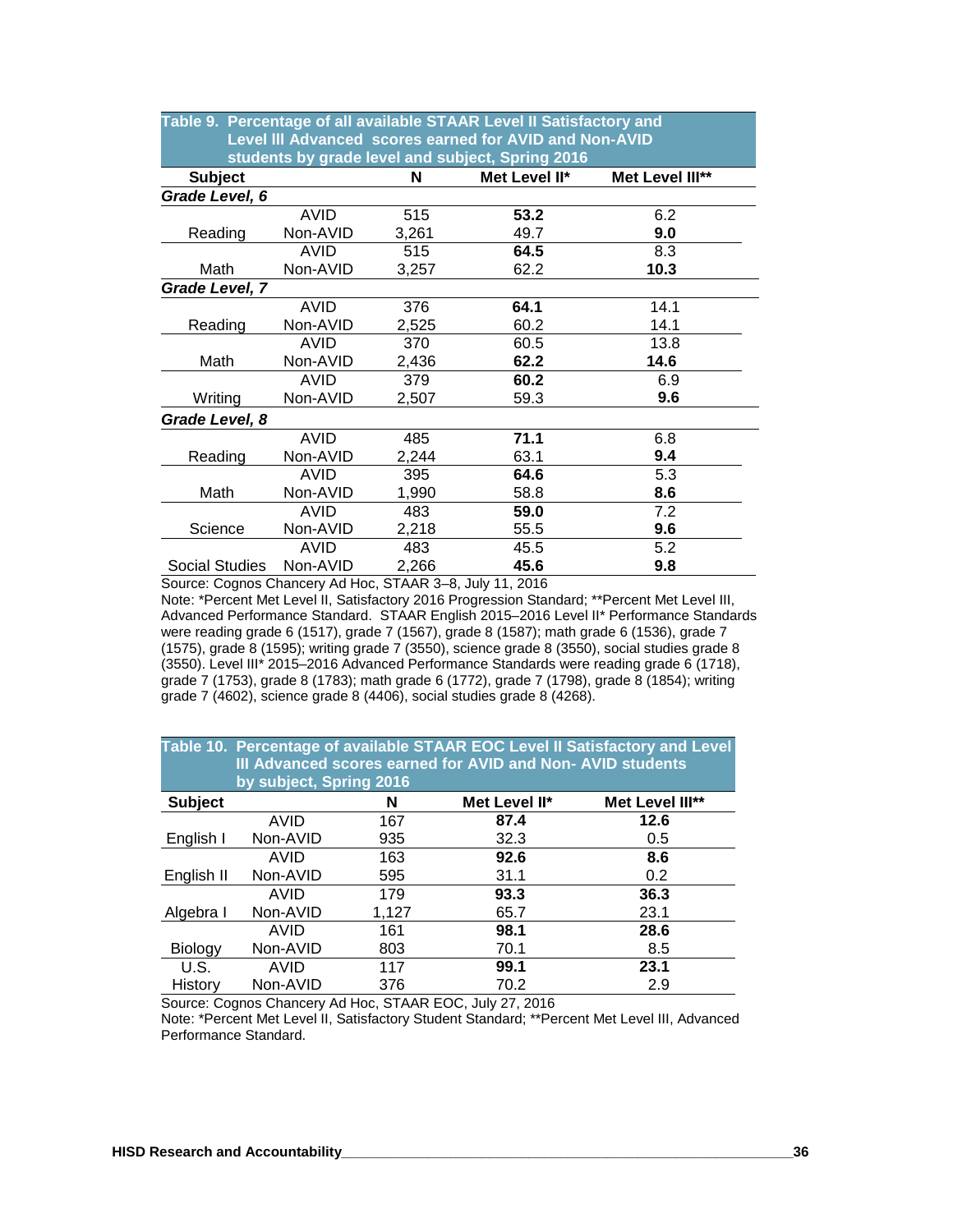| Table 9. Percentage of all available STAAR Level II Satisfactory and |             |       |                                                        |                 |  |  |  |  |  |
|----------------------------------------------------------------------|-------------|-------|--------------------------------------------------------|-----------------|--|--|--|--|--|
|                                                                      |             |       | Level III Advanced scores earned for AVID and Non-AVID |                 |  |  |  |  |  |
| students by grade level and subject, Spring 2016                     |             |       |                                                        |                 |  |  |  |  |  |
| <b>Subject</b>                                                       |             | N     | Met Level II*                                          | Met Level III** |  |  |  |  |  |
| Grade Level, 6                                                       |             |       |                                                        |                 |  |  |  |  |  |
|                                                                      | AVID        | 515   | 53.2                                                   | 6.2             |  |  |  |  |  |
| Reading                                                              | Non-AVID    | 3,261 | 49.7                                                   | 9.0             |  |  |  |  |  |
|                                                                      | AVID        | 515   | 64.5                                                   | 8.3             |  |  |  |  |  |
| Math                                                                 | Non-AVID    | 3,257 | 62.2                                                   | 10.3            |  |  |  |  |  |
| Grade Level, 7                                                       |             |       |                                                        |                 |  |  |  |  |  |
|                                                                      | <b>AVID</b> | 376   | 64.1                                                   | 14.1            |  |  |  |  |  |
| Reading                                                              | Non-AVID    | 2,525 | 60.2                                                   | 14.1            |  |  |  |  |  |
|                                                                      | AVID        | 370   | 60.5                                                   | 13.8            |  |  |  |  |  |
| Math                                                                 | Non-AVID    | 2,436 | 62.2                                                   | 14.6            |  |  |  |  |  |
|                                                                      | AVID        | 379   | 60.2                                                   | 6.9             |  |  |  |  |  |
| Writing                                                              | Non-AVID    | 2,507 | 59.3                                                   | 9.6             |  |  |  |  |  |
| Grade Level, 8                                                       |             |       |                                                        |                 |  |  |  |  |  |
|                                                                      | <b>AVID</b> | 485   | 71.1                                                   | 6.8             |  |  |  |  |  |
| Reading                                                              | Non-AVID    | 2,244 | 63.1                                                   | 9.4             |  |  |  |  |  |
|                                                                      | <b>AVID</b> | 395   | 64.6                                                   | 5.3             |  |  |  |  |  |
| Math                                                                 | Non-AVID    | 1,990 | 58.8                                                   | 8.6             |  |  |  |  |  |
|                                                                      | AVID        | 483   | 59.0                                                   | 7.2             |  |  |  |  |  |
| Science                                                              | Non-AVID    | 2,218 | 55.5                                                   | 9.6             |  |  |  |  |  |
|                                                                      | <b>AVID</b> | 483   | 45.5                                                   | 5.2             |  |  |  |  |  |
| <b>Social Studies</b>                                                | Non-AVID    | 2,266 | 45.6                                                   | 9.8             |  |  |  |  |  |

Source: Cognos Chancery Ad Hoc, STAAR 3–8, July 11, 2016

Note: \*Percent Met Level II, Satisfactory 2016 Progression Standard; \*\*Percent Met Level III, Advanced Performance Standard. STAAR English 2015–2016 Level II\* Performance Standards were reading grade 6 (1517), grade 7 (1567), grade 8 (1587); math grade 6 (1536), grade 7 (1575), grade 8 (1595); writing grade 7 (3550), science grade 8 (3550), social studies grade 8 (3550). Level III\* 2015–2016 Advanced Performance Standards were reading grade 6 (1718), grade 7 (1753), grade 8 (1783); math grade 6 (1772), grade 7 (1798), grade 8 (1854); writing grade 7 (4602), science grade 8 (4406), social studies grade 8 (4268).

|                | by subject, Spring 2016 |       | III Advanced scores earned for AVID and Non-AVID students | Table 10. Percentage of available STAAR EOC Level II Satisfactory and Level |
|----------------|-------------------------|-------|-----------------------------------------------------------|-----------------------------------------------------------------------------|
| <b>Subject</b> |                         | N     | Met Level II*                                             | Met Level III**                                                             |
|                | AVID                    | 167   | 87.4                                                      | 12.6                                                                        |
| English I      | Non-AVID                | 935   | 32.3                                                      | 0.5                                                                         |
|                | AVID                    | 163   | 92.6                                                      | 8.6                                                                         |
| English II     | Non-AVID                | 595   | 31.1                                                      | $0.2^{\circ}$                                                               |
|                | AVID                    | 179   | 93.3                                                      | 36.3                                                                        |
| Algebra I      | Non-AVID                | 1,127 | 65.7                                                      | 23.1                                                                        |
|                | AVID                    | 161   | 98.1                                                      | 28.6                                                                        |
| Biology        | Non-AVID                | 803   | 70.1                                                      | 8.5                                                                         |
| U.S.           | <b>AVID</b>             | 117   | 99.1                                                      | 23.1                                                                        |
| History        | Non-AVID                | 376   | 70.2                                                      | 2.9                                                                         |
|                |                         |       |                                                           |                                                                             |

Source: Cognos Chancery Ad Hoc, STAAR EOC, July 27, 2016

Note: \*Percent Met Level II, Satisfactory Student Standard; \*\*Percent Met Level III, Advanced Performance Standard.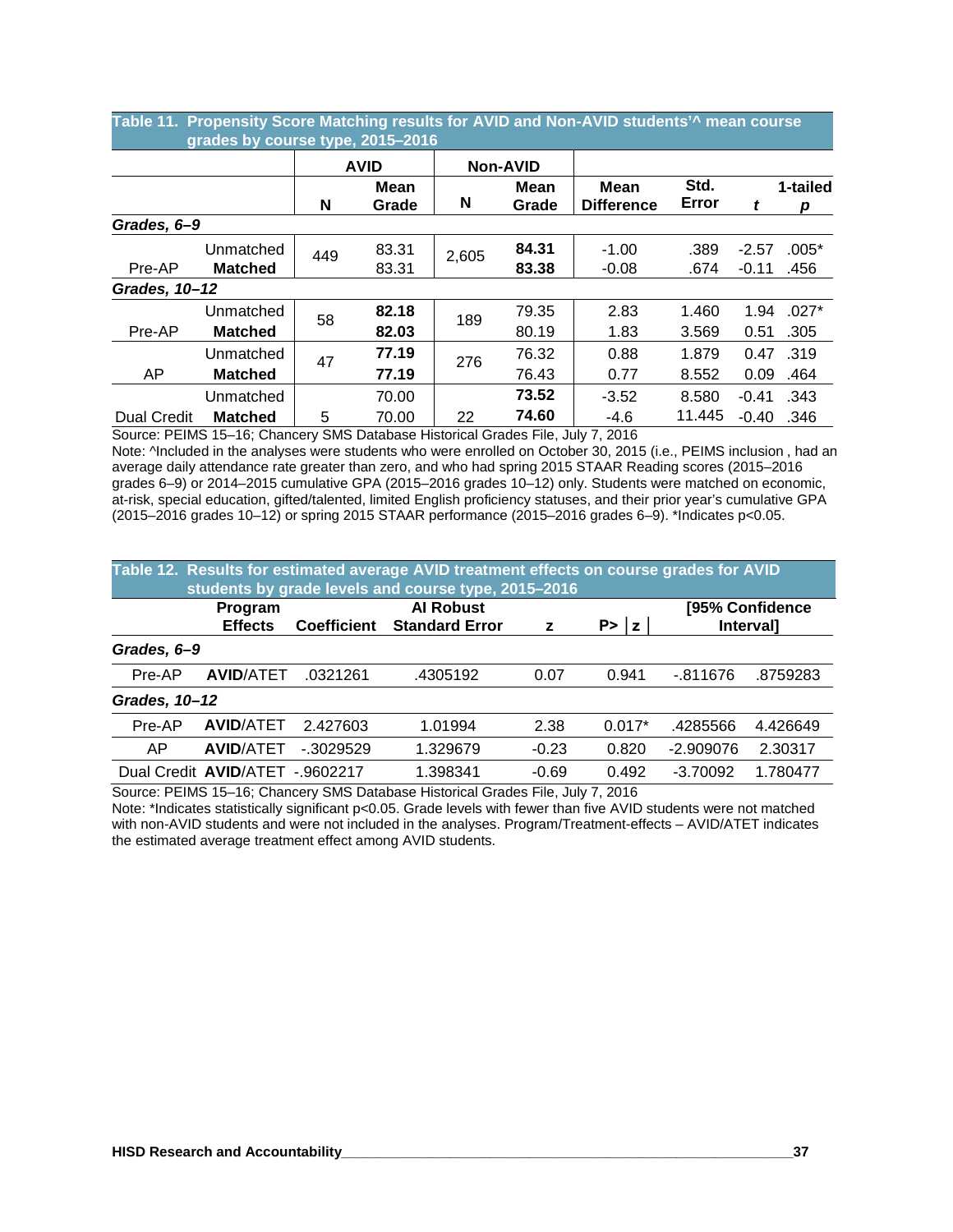|                    | grades by course type, 2015-2016 |     |             |       |                 |                   |        |         |          |
|--------------------|----------------------------------|-----|-------------|-------|-----------------|-------------------|--------|---------|----------|
|                    |                                  |     | <b>AVID</b> |       | <b>Non-AVID</b> |                   |        |         |          |
|                    |                                  |     | <b>Mean</b> |       | Mean            | <b>Mean</b>       | Std.   |         | 1-tailed |
|                    |                                  | N   | Grade       | N     | Grade           | <b>Difference</b> | Error  | t       | р        |
| Grades, 6-9        |                                  |     |             |       |                 |                   |        |         |          |
|                    | Unmatched                        | 449 | 83.31       | 2,605 | 84.31           | $-1.00$           | .389   | $-2.57$ | $.005*$  |
| Pre-AP             | <b>Matched</b>                   |     | 83.31       |       | 83.38           | $-0.08$           | .674   | $-0.11$ | .456     |
| Grades, 10-12      |                                  |     |             |       |                 |                   |        |         |          |
|                    | Unmatched                        | 58  | 82.18       | 189   | 79.35           | 2.83              | 1.460  | 1.94    | $.027*$  |
| Pre-AP             | <b>Matched</b>                   |     | 82.03       |       | 80.19           | 1.83              | 3.569  | 0.51    | .305     |
|                    | Unmatched                        | 47  | 77.19       | 276   | 76.32           | 0.88              | 1.879  | 0.47    | .319     |
| AP                 | <b>Matched</b>                   |     | 77.19       |       | 76.43           | 0.77              | 8.552  | 0.09    | .464     |
|                    | Unmatched                        |     | 70.00       |       | 73.52           | $-3.52$           | 8.580  | $-0.41$ | .343     |
| <b>Dual Credit</b> | <b>Matched</b>                   | 5   | 70.00       | 22    | 74.60           | -4.6              | 11.445 | $-0.40$ | .346     |

**Table 11. Propensity Score Matching results for AVID and Non-AVID students'^ mean course** 

Source: PEIMS 15–16; Chancery SMS Database Historical Grades File, July 7, 2016 Note: <sup>A</sup>Included in the analyses were students who were enrolled on October 30, 2015 (i.e., PEIMS inclusion, had an average daily attendance rate greater than zero, and who had spring 2015 STAAR Reading scores (2015–2016 grades 6–9) or 2014–2015 cumulative GPA (2015–2016 grades 10–12) only. Students were matched on economic, at-risk, special education, gifted/talented, limited English proficiency statuses, and their prior year's cumulative GPA (2015–2016 grades 10–12) or spring 2015 STAAR performance (2015–2016 grades 6–9). \*Indicates p<0.05.

|               | Table 12. Results for estimated average AVID treatment effects on course grades for AVID<br>students by grade levels and course type, 2015-2016 |                                                                                 |          |         |          |             |                                     |  |  |  |  |  |
|---------------|-------------------------------------------------------------------------------------------------------------------------------------------------|---------------------------------------------------------------------------------|----------|---------|----------|-------------|-------------------------------------|--|--|--|--|--|
|               | Program<br><b>Effects</b>                                                                                                                       | <b>Al Robust</b><br>P >  z <br><b>Standard Error</b><br><b>Coefficient</b><br>z |          |         |          |             | [95% Confidence<br><b>Intervall</b> |  |  |  |  |  |
| Grades, 6-9   |                                                                                                                                                 |                                                                                 |          |         |          |             |                                     |  |  |  |  |  |
| Pre-AP        | <b>AVID/ATET</b>                                                                                                                                | .0321261                                                                        | .4305192 | 0.07    | 0.941    | $-0.811676$ | .8759283                            |  |  |  |  |  |
| Grades, 10-12 |                                                                                                                                                 |                                                                                 |          |         |          |             |                                     |  |  |  |  |  |
| Pre-AP        | <b>AVID/ATET</b>                                                                                                                                | 2.427603                                                                        | 1.01994  | 2.38    | $0.017*$ | .4285566    | 4.426649                            |  |  |  |  |  |
| AP            | <b>AVID/ATET</b>                                                                                                                                | $-0.3029529$                                                                    | 1.329679 | $-0.23$ | 0.820    | $-2.909076$ | 2.30317                             |  |  |  |  |  |
|               | Dual Credit AVID/ATET<br>------------                                                                                                           | $-9602217$                                                                      | 1.398341 | $-0.69$ | 0.492    | $-3.70092$  | 1.780477                            |  |  |  |  |  |

Source: PEIMS 15–16; Chancery SMS Database Historical Grades File, July 7, 2016

Note: \*Indicates statistically significant p<0.05. Grade levels with fewer than five AVID students were not matched with non-AVID students and were not included in the analyses. Program/Treatment-effects – AVID/ATET indicates the estimated average treatment effect among AVID students.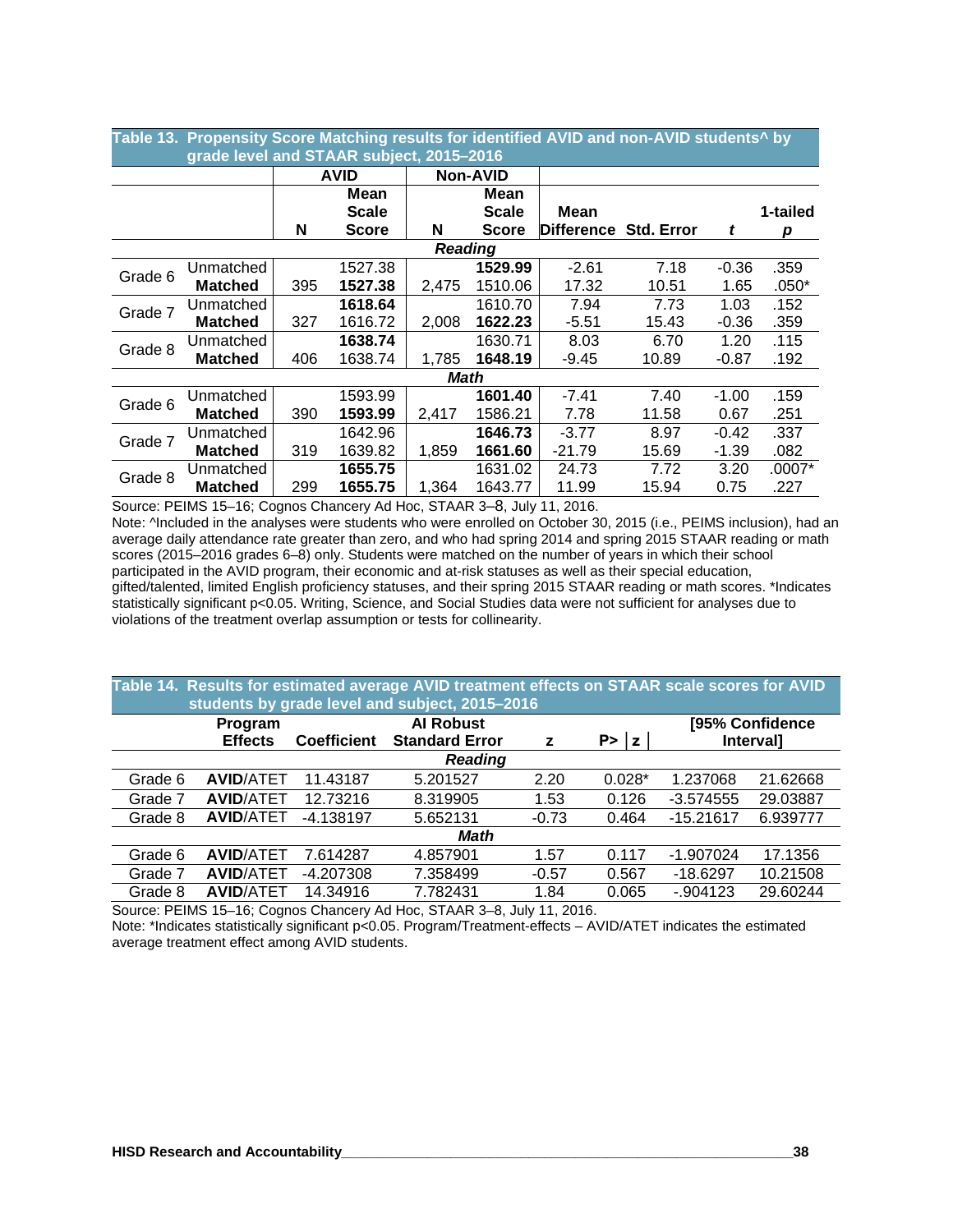| Table 13.  Propensity Score Matching results for identified AVID and non-AVID students^ by |                                          |     |              |                |                 |                       |       |         |          |  |  |
|--------------------------------------------------------------------------------------------|------------------------------------------|-----|--------------|----------------|-----------------|-----------------------|-------|---------|----------|--|--|
|                                                                                            | grade level and STAAR subject, 2015-2016 |     |              |                |                 |                       |       |         |          |  |  |
|                                                                                            |                                          |     | <b>AVID</b>  |                | <b>Non-AVID</b> |                       |       |         |          |  |  |
|                                                                                            |                                          |     | Mean         |                | Mean            |                       |       |         |          |  |  |
|                                                                                            |                                          |     | <b>Scale</b> |                | <b>Scale</b>    | Mean                  |       |         | 1-tailed |  |  |
|                                                                                            |                                          | N   | <b>Score</b> | N              | <b>Score</b>    | Difference Std. Error |       | t       | р        |  |  |
|                                                                                            |                                          |     |              | <b>Reading</b> |                 |                       |       |         |          |  |  |
|                                                                                            | Unmatched                                |     | 1527.38      |                | 1529.99         | $-2.61$               | 7.18  | $-0.36$ | .359     |  |  |
| Grade 6                                                                                    | <b>Matched</b>                           | 395 | 1527.38      | 2,475          | 1510.06         | 17.32                 | 10.51 | 1.65    | $.050*$  |  |  |
| Grade 7                                                                                    | Unmatched                                |     | 1618.64      |                | 1610.70         | 7.94                  | 7.73  | 1.03    | .152     |  |  |
|                                                                                            | <b>Matched</b>                           | 327 | 1616.72      | 2,008          | 1622.23         | $-5.51$               | 15.43 | $-0.36$ | .359     |  |  |
| Grade 8                                                                                    | Unmatched                                |     | 1638.74      |                | 1630.71         | 8.03                  | 6.70  | 1.20    | .115     |  |  |
|                                                                                            | <b>Matched</b>                           | 406 | 1638.74      | 1,785          | 1648.19         | -9.45                 | 10.89 | $-0.87$ | .192     |  |  |
|                                                                                            |                                          |     |              | Math           |                 |                       |       |         |          |  |  |
| Grade 6                                                                                    | Unmatched                                |     | 1593.99      |                | 1601.40         | $-7.41$               | 7.40  | $-1.00$ | .159     |  |  |
|                                                                                            | <b>Matched</b>                           | 390 | 1593.99      | 2,417          | 1586.21         | 7.78                  | 11.58 | 0.67    | .251     |  |  |
| Grade 7                                                                                    | Unmatched                                |     | 1642.96      |                | 1646.73         | $-3.77$               | 8.97  | $-0.42$ | .337     |  |  |
|                                                                                            | <b>Matched</b>                           | 319 | 1639.82      | 1,859          | 1661.60         | $-21.79$              | 15.69 | $-1.39$ | .082     |  |  |
| Grade 8                                                                                    | Unmatched                                |     | 1655.75      |                | 1631.02         | 24.73                 | 7.72  | 3.20    | .0007*   |  |  |
|                                                                                            | <b>Matched</b>                           | 299 | 1655.75      | 1,364          | 1643.77         | 11.99                 | 15.94 | 0.75    | .227     |  |  |

Source: PEIMS 15–16; Cognos Chancery Ad Hoc, STAAR 3–8, July 11, 2016.

Note: <sup>A</sup>Included in the analyses were students who were enrolled on October 30, 2015 (i.e., PEIMS inclusion), had an average daily attendance rate greater than zero, and who had spring 2014 and spring 2015 STAAR reading or math scores (2015–2016 grades 6–8) only. Students were matched on the number of years in which their school participated in the AVID program, their economic and at-risk statuses as well as their special education, gifted/talented, limited English proficiency statuses, and their spring 2015 STAAR reading or math scores. \*Indicates statistically significant p<0.05. Writing, Science, and Social Studies data were not sufficient for analyses due to violations of the treatment overlap assumption or tests for collinearity.

#### **Table 14. Results for estimated average AVID treatment effects on STAAR scale scores for AVID ……….... students by grade level and subject, 2015–2016 Program Coefficient AI Robust Standard Error z P> │z │ [95% Confidence Interval]** *Reading* Grade 6 **AVID**/ATET 11.43187 5.201527 2.20 0.028\* 1.237068 21.62668 Grade 7 **AVID**/ATET 12.73216 8.319905 1.53 0.126 -3.574555 29.03887 Grade 8 **AVID**/ATET -4.138197 5.652131 -0.73 0.464 -15.21617 6.939777 *Math* Grade 6 **AVID**/ATET 7.614287 4.857901 1.57 0.117 -1.907024 17.1356 Grade 7 **AVID**/ATET -4.207308 7.358499 -0.57 0.567 -18.6297 10.21508 Grade 8 **AVID**/ATET 14.34916 7.782431 1.84 0.065 -.904123 29.60244

Source: PEIMS 15–16; Cognos Chancery Ad Hoc, STAAR 3–8, July 11, 2016. Note: \*Indicates statistically significant p<0.05. Program/Treatment-effects – AVID/ATET indicates the estimated average treatment effect among AVID students.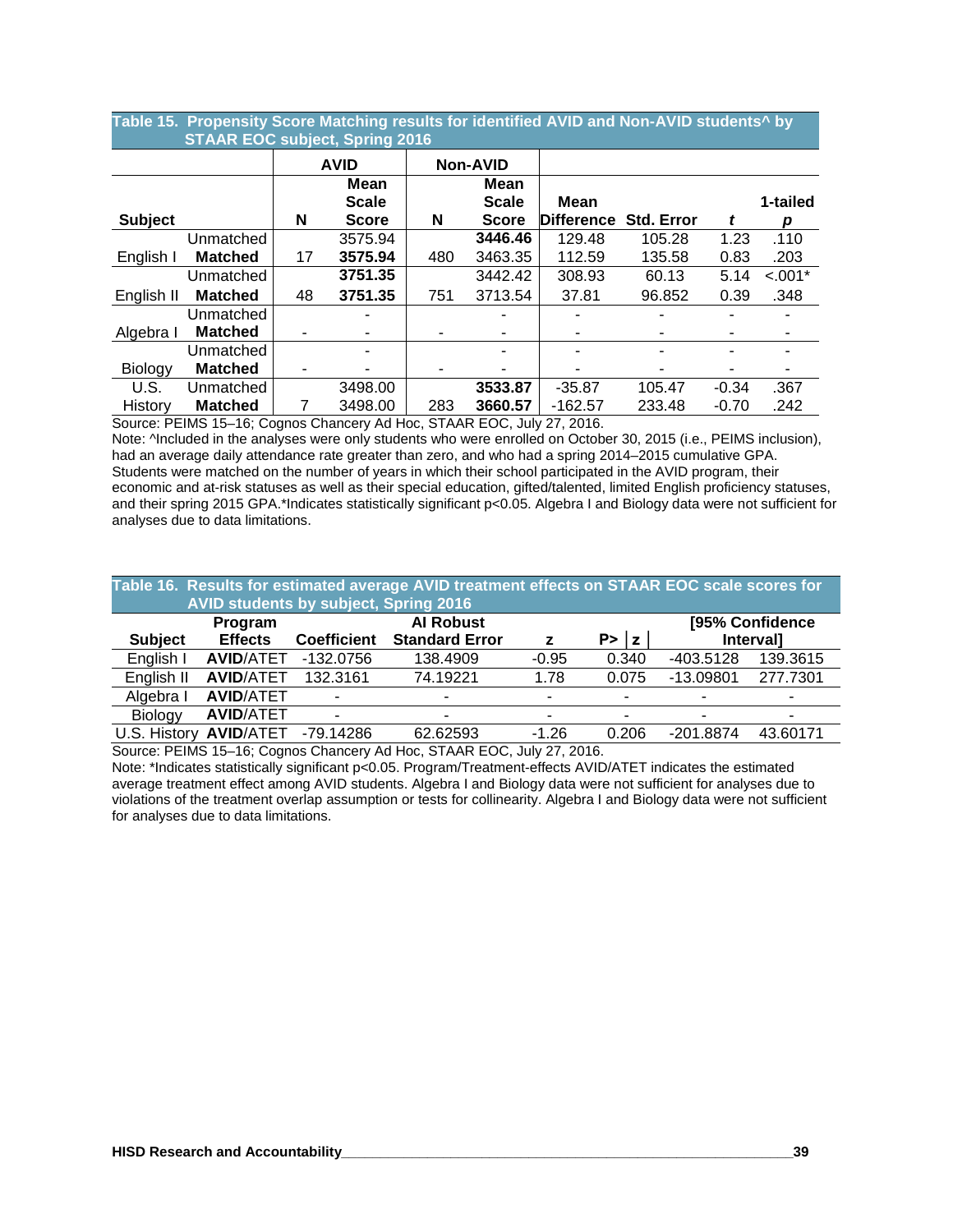|                |                  | Mean         |                       | <b>Mean</b>                                |                                                              |                                                  |         |           |  |  |  |
|----------------|------------------|--------------|-----------------------|--------------------------------------------|--------------------------------------------------------------|--------------------------------------------------|---------|-----------|--|--|--|
|                |                  | <b>Scale</b> |                       | <b>Scale</b>                               | Mean                                                         |                                                  |         | 1-tailed  |  |  |  |
|                | N                | <b>Score</b> | N                     | <b>Score</b>                               |                                                              | <b>Std. Error</b>                                |         | р         |  |  |  |
| Unmatched      |                  | 3575.94      |                       | 3446.46                                    | 129.48                                                       | 105.28                                           | 1.23    | .110      |  |  |  |
| <b>Matched</b> | 17               | 3575.94      | 480                   | 3463.35                                    | 112.59                                                       | 135.58                                           | 0.83    | .203      |  |  |  |
| Unmatched      |                  | 3751.35      |                       | 3442.42                                    | 308.93                                                       | 60.13                                            | 5.14    | $< .001*$ |  |  |  |
| <b>Matched</b> | 48               | 3751.35      | 751                   | 3713.54                                    | 37.81                                                        | 96.852                                           | 0.39    | .348      |  |  |  |
| Unmatched      |                  |              |                       |                                            |                                                              |                                                  |         |           |  |  |  |
| <b>Matched</b> |                  |              |                       |                                            |                                                              |                                                  |         |           |  |  |  |
| Unmatched      |                  |              |                       |                                            |                                                              |                                                  |         |           |  |  |  |
| <b>Matched</b> |                  |              |                       |                                            |                                                              |                                                  |         |           |  |  |  |
| Unmatched      |                  | 3498.00      |                       | 3533.87                                    | $-35.87$                                                     | 105.47                                           | $-0.34$ | .367      |  |  |  |
| <b>Matched</b> |                  | 3498.00      | 283                   | 3660.57                                    | $-162.57$                                                    | 233.48                                           | $-0.70$ | .242      |  |  |  |
|                | $P = 1000151000$ |              | <b>AVID</b><br>$\sim$ | <b>STAAR EOC subject, Spring 2016</b><br>. | <b>Non-AVID</b><br>$\sim$ $\sim$ $\sim$ $\sim$ $\sim$ $\sim$ | <b>Difference</b><br>$\sim$ $\sim$ $\sim$ $\sim$ |         |           |  |  |  |

# **Table 15. Propensity Score Matching results for identified AVID and Non-AVID students^ by**

Source: PEIMS 15–16; Cognos Chancery Ad Hoc, STAAR EOC, July 27, 2016.

Note: <sup> $\Lambda$ </sup>Included in the analyses were only students who were enrolled on October 30, 2015 (i.e., PEIMS inclusion), had an average daily attendance rate greater than zero, and who had a spring 2014–2015 cumulative GPA. Students were matched on the number of years in which their school participated in the AVID program, their economic and at-risk statuses as well as their special education, gifted/talented, limited English proficiency statuses, and their spring 2015 GPA.\*Indicates statistically significant p<0.05. Algebra I and Biology data were not sufficient for analyses due to data limitations.

|                                                | Table 16. Results for estimated average AVID treatment effects on STAAR EOC scale scores for |                          |                       |                          |        |                          |                  |  |  |  |  |  |
|------------------------------------------------|----------------------------------------------------------------------------------------------|--------------------------|-----------------------|--------------------------|--------|--------------------------|------------------|--|--|--|--|--|
| AVID students by subject, Spring 2016          |                                                                                              |                          |                       |                          |        |                          |                  |  |  |  |  |  |
| <b>Al Robust</b><br>[95% Confidence<br>Program |                                                                                              |                          |                       |                          |        |                          |                  |  |  |  |  |  |
| <b>Subject</b>                                 | <b>Effects</b>                                                                               | <b>Coefficient</b>       | <b>Standard Error</b> | z                        | P >  z |                          | <b>Intervall</b> |  |  |  |  |  |
| English I                                      | <b>AVID/ATET</b>                                                                             | $-132.0756$              | 138.4909              | $-0.95$                  | 0.340  | -403.5128                | 139.3615         |  |  |  |  |  |
| English II                                     | <b>AVID/ATET</b>                                                                             | 132.3161                 | 74.19221              | 1.78                     | 0.075  | $-13.09801$              | 277.7301         |  |  |  |  |  |
| Algebra I                                      | <b>AVID/ATET</b>                                                                             |                          | -                     | ۰                        |        | $\overline{\phantom{0}}$ |                  |  |  |  |  |  |
| Biology                                        | <b>AVID/ATET</b>                                                                             | $\overline{\phantom{a}}$ | $\blacksquare$        | $\overline{\phantom{a}}$ |        | $\overline{\phantom{0}}$ |                  |  |  |  |  |  |
| U.S. History                                   | <b>AVID/ATET</b>                                                                             | $-79.14286$              | 62.62593              | $-1.26$                  | 0.206  | $-201.8874$              | 43.60171         |  |  |  |  |  |

Source: PEIMS 15–16; Cognos Chancery Ad Hoc, STAAR EOC, July 27, 2016.

Note: \*Indicates statistically significant p<0.05. Program/Treatment-effects AVID/ATET indicates the estimated average treatment effect among AVID students. Algebra I and Biology data were not sufficient for analyses due to violations of the treatment overlap assumption or tests for collinearity. Algebra I and Biology data were not sufficient for analyses due to data limitations.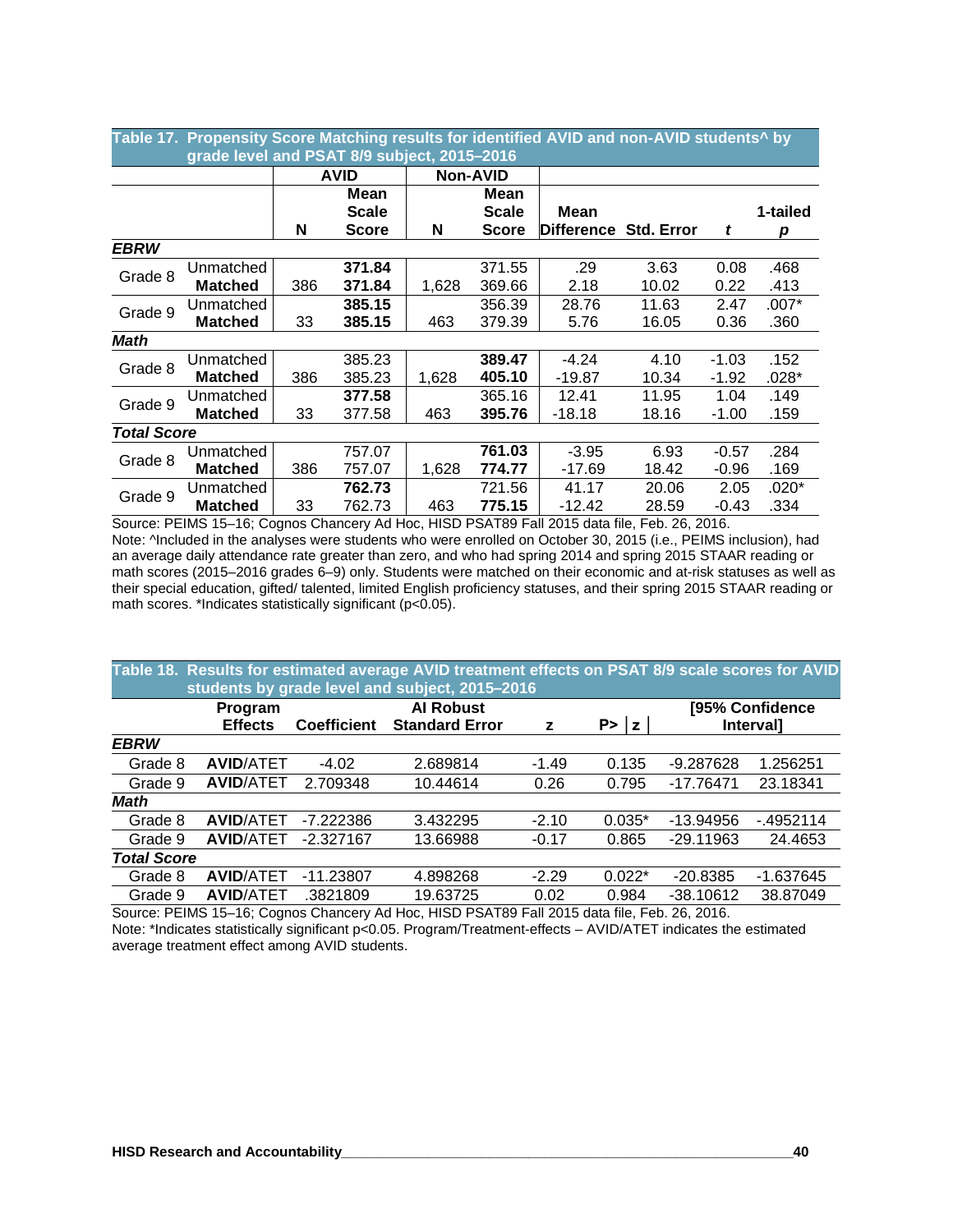|                    | grade level and PSAT 8/9 subject, 2015-2016 |     |              |       |                 |                    |                   |         |          |  |  |
|--------------------|---------------------------------------------|-----|--------------|-------|-----------------|--------------------|-------------------|---------|----------|--|--|
|                    |                                             |     | <b>AVID</b>  |       | <b>Non-AVID</b> |                    |                   |         |          |  |  |
|                    |                                             |     | <b>Mean</b>  |       | Mean            |                    |                   |         |          |  |  |
|                    |                                             |     | <b>Scale</b> |       | Scale           | Mean               |                   |         | 1-tailed |  |  |
|                    |                                             | N   | <b>Score</b> | N     | <b>Score</b>    | <b>IDifference</b> | <b>Std. Error</b> | t       | р        |  |  |
| <b>EBRW</b>        |                                             |     |              |       |                 |                    |                   |         |          |  |  |
| Grade 8            | Unmatched                                   |     | 371.84       |       | 371.55          | .29                | 3.63              | 0.08    | .468     |  |  |
|                    | <b>Matched</b>                              | 386 | 371.84       | 1,628 | 369.66          | 2.18               | 10.02             | 0.22    | .413     |  |  |
| Grade 9            | Unmatched                                   |     | 385.15       |       | 356.39          | 28.76              | 11.63             | 2.47    | $.007*$  |  |  |
|                    | <b>Matched</b>                              | 33  | 385.15       | 463   | 379.39          | 5.76               | 16.05             | 0.36    | .360     |  |  |
| <b>Math</b>        |                                             |     |              |       |                 |                    |                   |         |          |  |  |
| Grade 8            | Unmatched                                   |     | 385.23       |       | 389.47          | $-4.24$            | 4.10              | $-1.03$ | .152     |  |  |
|                    | <b>Matched</b>                              | 386 | 385.23       | 1,628 | 405.10          | $-19.87$           | 10.34             | $-1.92$ | $.028*$  |  |  |
| Grade 9            | Unmatched                                   |     | 377.58       |       | 365.16          | 12.41              | 11.95             | 1.04    | .149     |  |  |
|                    | <b>Matched</b>                              | 33  | 377.58       | 463   | 395.76          | $-18.18$           | 18.16             | -1.00   | .159     |  |  |
| <b>Total Score</b> |                                             |     |              |       |                 |                    |                   |         |          |  |  |
| Grade 8            | Unmatched                                   |     | 757.07       |       | 761.03          | $-3.95$            | 6.93              | $-0.57$ | .284     |  |  |
|                    | <b>Matched</b>                              | 386 | 757.07       | 1,628 | 774.77          | $-17.69$           | 18.42             | $-0.96$ | .169     |  |  |
|                    | Unmatched                                   |     | 762.73       |       | 721.56          | 41.17              | 20.06             | 2.05    | .020*    |  |  |
| Grade 9            | <b>Matched</b>                              | 33  | 762.73       | 463   | 775.15          | $-12.42$           | 28.59             | $-0.43$ | .334     |  |  |

**Table 17. Propensity Score Matching results for identified AVID and non-AVID students^ by**

Source: PEIMS 15–16; Cognos Chancery Ad Hoc, HISD PSAT89 Fall 2015 data file, Feb. 26, 2016. Note: ^Included in the analyses were students who were enrolled on October 30, 2015 (i.e., PEIMS inclusion), had an average daily attendance rate greater than zero, and who had spring 2014 and spring 2015 STAAR reading or math scores (2015–2016 grades 6–9) only. Students were matched on their economic and at-risk statuses as well as their special education, gifted/ talented, limited English proficiency statuses, and their spring 2015 STAAR reading or math scores. \*Indicates statistically significant (p<0.05).

|                    | Table 18. Results for estimated average AVID treatment effects on PSAT 8/9 scale scores for AVID<br>students by grade level and subject, 2015-2016  |             |          |         |          |             |             |  |  |  |  |  |
|--------------------|-----------------------------------------------------------------------------------------------------------------------------------------------------|-------------|----------|---------|----------|-------------|-------------|--|--|--|--|--|
|                    | <b>Al Robust</b><br>[95% Confidence<br>Program<br><b>Effects</b><br><b>Standard Error</b><br><b>Coefficient</b><br>P >  z <br><b>Intervall</b><br>z |             |          |         |          |             |             |  |  |  |  |  |
| <b>EBRW</b>        |                                                                                                                                                     |             |          |         |          |             |             |  |  |  |  |  |
| Grade 8            | <b>AVID/ATET</b>                                                                                                                                    | $-4.02$     | 2.689814 | $-1.49$ | 0.135    | $-9.287628$ | 1.256251    |  |  |  |  |  |
| Grade 9            | <b>AVID/ATET</b>                                                                                                                                    | 2.709348    | 10.44614 | 0.26    | 0.795    | $-17.76471$ | 23.18341    |  |  |  |  |  |
| <b>Math</b>        |                                                                                                                                                     |             |          |         |          |             |             |  |  |  |  |  |
| Grade 8            | <b>AVID/ATET</b>                                                                                                                                    | $-7.222386$ | 3.432295 | $-2.10$ | $0.035*$ | $-13.94956$ | $-4952114$  |  |  |  |  |  |
| Grade 9            | <b>AVID/ATET</b>                                                                                                                                    | $-2.327167$ | 13.66988 | $-0.17$ | 0.865    | $-29.11963$ | 24.4653     |  |  |  |  |  |
| <b>Total Score</b> |                                                                                                                                                     |             |          |         |          |             |             |  |  |  |  |  |
| Grade 8            | <b>AVID/ATET</b>                                                                                                                                    | $-11.23807$ | 4.898268 | $-2.29$ | $0.022*$ | $-20.8385$  | $-1.637645$ |  |  |  |  |  |
| Grade 9            | <b>AVID/ATET</b>                                                                                                                                    | .3821809    | 19.63725 | 0.02    | 0.984    | $-38.10612$ | 38.87049    |  |  |  |  |  |

Source: PEIMS 15–16; Cognos Chancery Ad Hoc, HISD PSAT89 Fall 2015 data file, Feb. 26, 2016. Note: \*Indicates statistically significant p<0.05. Program/Treatment-effects – AVID/ATET indicates the estimated average treatment effect among AVID students.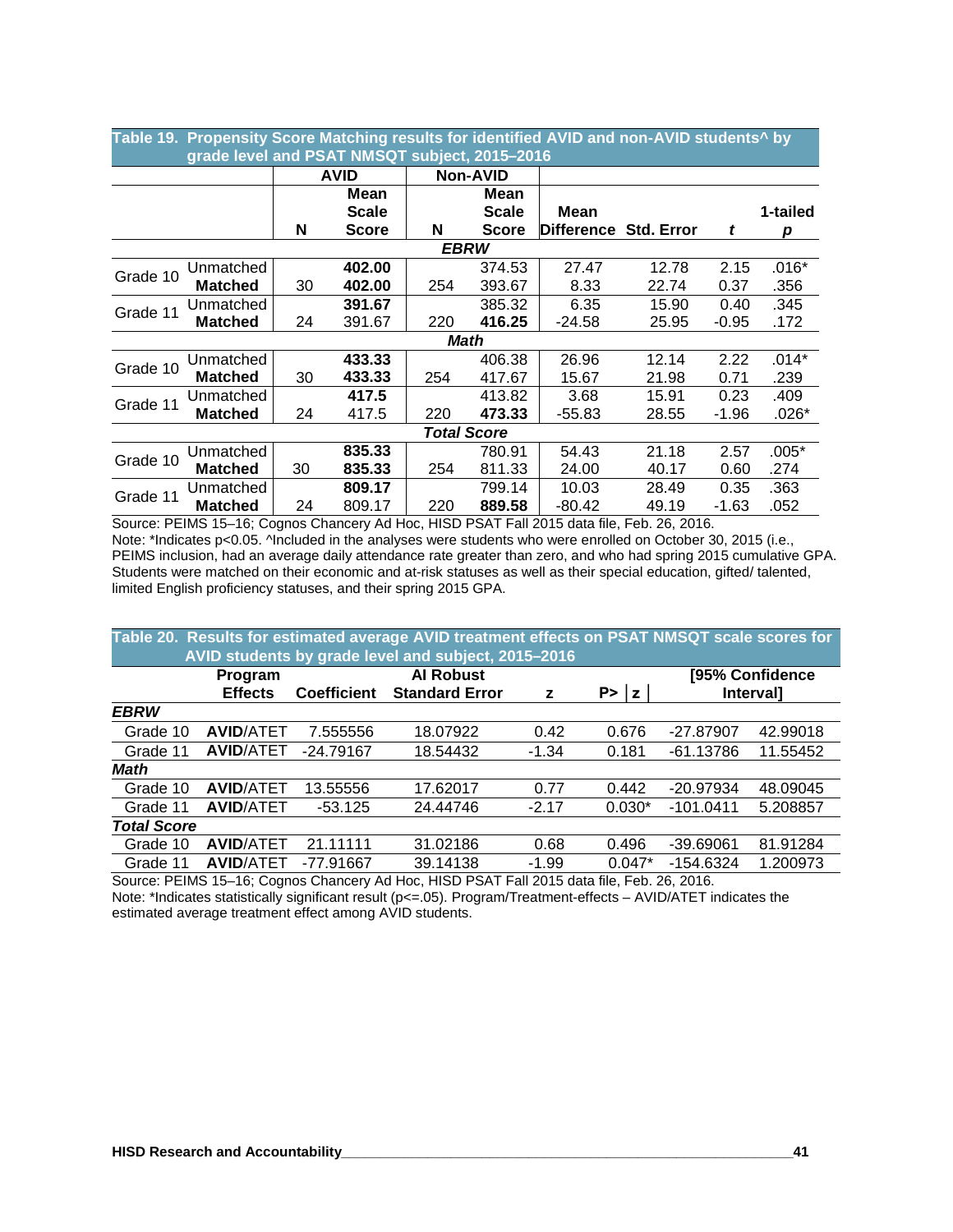|                                               | Table 19. Propensity Score Matching results for identified AVID and non-AVID students^ by |    |              |     |                    |                              |       |         |          |  |  |  |
|-----------------------------------------------|-------------------------------------------------------------------------------------------|----|--------------|-----|--------------------|------------------------------|-------|---------|----------|--|--|--|
| grade level and PSAT NMSQT subject, 2015-2016 |                                                                                           |    |              |     |                    |                              |       |         |          |  |  |  |
|                                               |                                                                                           |    | <b>AVID</b>  |     | <b>Non-AVID</b>    |                              |       |         |          |  |  |  |
|                                               |                                                                                           |    | Mean         |     | Mean               |                              |       |         |          |  |  |  |
|                                               |                                                                                           |    | <b>Scale</b> |     | <b>Scale</b>       | Mean                         |       |         | 1-tailed |  |  |  |
|                                               |                                                                                           | N  | <b>Score</b> | N   | <b>Score</b>       | <b>Difference Std. Error</b> |       | t       | р        |  |  |  |
|                                               | <b>EBRW</b>                                                                               |    |              |     |                    |                              |       |         |          |  |  |  |
| Grade 10                                      | Unmatched                                                                                 |    | 402.00       |     | 374.53             | 27.47                        | 12.78 | 2.15    | $.016*$  |  |  |  |
|                                               | <b>Matched</b>                                                                            | 30 | 402.00       | 254 | 393.67             | 8.33                         | 22.74 | 0.37    | .356     |  |  |  |
| Grade 11                                      | Unmatched                                                                                 |    | 391.67       |     | 385.32             | 6.35                         | 15.90 | 0.40    | .345     |  |  |  |
|                                               | <b>Matched</b>                                                                            | 24 | 391.67       | 220 | 416.25             | $-24.58$                     | 25.95 | $-0.95$ | .172     |  |  |  |
|                                               |                                                                                           |    |              |     | Math               |                              |       |         |          |  |  |  |
| Grade 10                                      | Unmatched                                                                                 |    | 433.33       |     | 406.38             | 26.96                        | 12.14 | 2.22    | $.014*$  |  |  |  |
|                                               | <b>Matched</b>                                                                            | 30 | 433.33       | 254 | 417.67             | 15.67                        | 21.98 | 0.71    | .239     |  |  |  |
| Grade 11                                      | Unmatched                                                                                 |    | 417.5        |     | 413.82             | 3.68                         | 15.91 | 0.23    | .409     |  |  |  |
|                                               | <b>Matched</b>                                                                            | 24 | 417.5        | 220 | 473.33             | $-55.83$                     | 28.55 | $-1.96$ | $.026*$  |  |  |  |
|                                               |                                                                                           |    |              |     | <b>Total Score</b> |                              |       |         |          |  |  |  |
| Grade 10                                      | Unmatched                                                                                 |    | 835.33       |     | 780.91             | 54.43                        | 21.18 | 2.57    | $.005*$  |  |  |  |
|                                               | <b>Matched</b>                                                                            | 30 | 835.33       | 254 | 811.33             | 24.00                        | 40.17 | 0.60    | .274     |  |  |  |
| Grade 11                                      | Unmatched                                                                                 |    | 809.17       |     | 799.14             | 10.03                        | 28.49 | 0.35    | .363     |  |  |  |
|                                               | <b>Matched</b>                                                                            | 24 | 809.17       | 220 | 889.58             | $-80.42$                     | 49.19 | $-1.63$ | .052     |  |  |  |

Source: PEIMS 15–16; Cognos Chancery Ad Hoc, HISD PSAT Fall 2015 data file, Feb. 26, 2016. Note: \*Indicates p<0.05. ^Included in the analyses were students who were enrolled on October 30, 2015 (i.e., PEIMS inclusion, had an average daily attendance rate greater than zero, and who had spring 2015 cumulative GPA. Students were matched on their economic and at-risk statuses as well as their special education, gifted/ talented, limited English proficiency statuses, and their spring 2015 GPA.

|                    | Table 20. Results for estimated average AVID treatment effects on PSAT NMSQT scale scores for |                    |                                                     |         |          |                 |                  |  |  |  |  |  |
|--------------------|-----------------------------------------------------------------------------------------------|--------------------|-----------------------------------------------------|---------|----------|-----------------|------------------|--|--|--|--|--|
|                    |                                                                                               |                    | AVID students by grade level and subject, 2015-2016 |         |          |                 |                  |  |  |  |  |  |
|                    | Program                                                                                       |                    | <b>Al Robust</b>                                    |         |          | [95% Confidence |                  |  |  |  |  |  |
|                    | <b>Effects</b>                                                                                | <b>Coefficient</b> | <b>Standard Error</b>                               | z       | P >  z   |                 | <b>Intervall</b> |  |  |  |  |  |
| <b>EBRW</b>        |                                                                                               |                    |                                                     |         |          |                 |                  |  |  |  |  |  |
| Grade 10           | <b>AVID/ATET</b>                                                                              | 7.555556           | 18.07922                                            | 0.42    | 0.676    | -27.87907       | 42.99018         |  |  |  |  |  |
| Grade 11           | <b>AVID/ATET</b>                                                                              | $-24.79167$        | 18.54432                                            | $-1.34$ | 0.181    | $-61.13786$     | 11.55452         |  |  |  |  |  |
| Math               |                                                                                               |                    |                                                     |         |          |                 |                  |  |  |  |  |  |
| Grade 10           | <b>AVID/ATET</b>                                                                              | 13.55556           | 17.62017                                            | 0.77    | 0.442    | -20.97934       | 48.09045         |  |  |  |  |  |
| Grade 11           | <b>AVID/ATET</b>                                                                              | $-53.125$          | 24.44746                                            | $-2.17$ | $0.030*$ | $-101.0411$     | 5.208857         |  |  |  |  |  |
| <b>Total Score</b> |                                                                                               |                    |                                                     |         |          |                 |                  |  |  |  |  |  |
| Grade 10           | <b>AVID/ATET</b>                                                                              | 21.11111           | 31.02186                                            | 0.68    | 0.496    | $-39.69061$     | 81.91284         |  |  |  |  |  |
| Grade 11           | <b>AVID/ATET</b>                                                                              | -77.91667          | 39.14138                                            | $-1.99$ | $0.047*$ | $-154.6324$     | 1.200973         |  |  |  |  |  |

Source: PEIMS 15–16; Cognos Chancery Ad Hoc, HISD PSAT Fall 2015 data file, Feb. 26, 2016. Note: \*Indicates statistically significant result (p<=.05). Program/Treatment-effects – AVID/ATET indicates the estimated average treatment effect among AVID students.